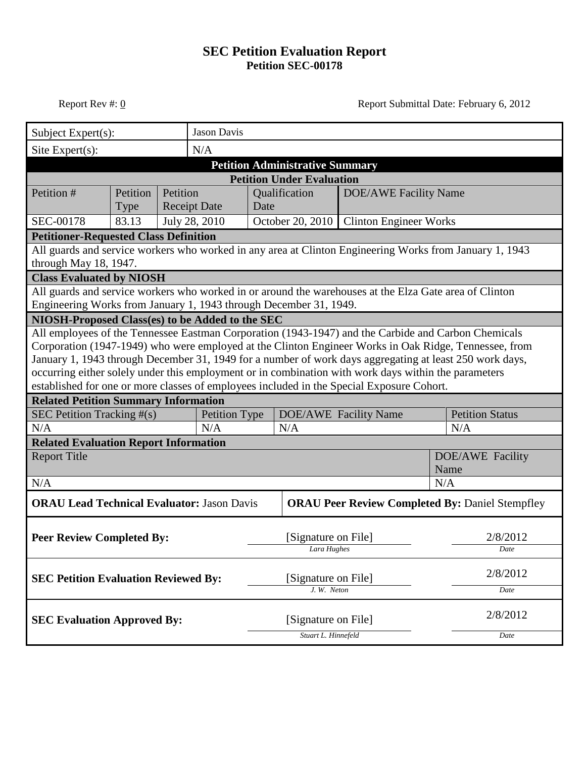### **SEC Petition Evaluation Report Petition SEC-00178**

Report Rev #: 0 Report Submittal Date: February 6, 2012

| <b>Jason Davis</b><br>Subject Expert(s):                          |                             |          |                     |                     |                                                                            |                                                                                                                                                                                                              |          |                                                        |
|-------------------------------------------------------------------|-----------------------------|----------|---------------------|---------------------|----------------------------------------------------------------------------|--------------------------------------------------------------------------------------------------------------------------------------------------------------------------------------------------------------|----------|--------------------------------------------------------|
|                                                                   |                             |          |                     |                     |                                                                            |                                                                                                                                                                                                              |          |                                                        |
| N/A<br>Site Expert $(s)$ :                                        |                             |          |                     |                     |                                                                            |                                                                                                                                                                                                              |          |                                                        |
|                                                                   |                             |          |                     |                     | <b>Petition Administrative Summary</b><br><b>Petition Under Evaluation</b> |                                                                                                                                                                                                              |          |                                                        |
| Petition #                                                        | Petition                    | Petition |                     |                     |                                                                            |                                                                                                                                                                                                              |          |                                                        |
|                                                                   | Type                        |          | <b>Receipt Date</b> | Date                | Qualification                                                              | <b>DOE/AWE Facility Name</b>                                                                                                                                                                                 |          |                                                        |
| <b>SEC-00178</b>                                                  | 83.13                       |          | July 28, 2010       |                     | October 20, 2010                                                           | <b>Clinton Engineer Works</b>                                                                                                                                                                                |          |                                                        |
| <b>Petitioner-Requested Class Definition</b>                      |                             |          |                     |                     |                                                                            |                                                                                                                                                                                                              |          |                                                        |
| through May 18, 1947.                                             |                             |          |                     |                     |                                                                            | All guards and service workers who worked in any area at Clinton Engineering Works from January 1, 1943                                                                                                      |          |                                                        |
| <b>Class Evaluated by NIOSH</b>                                   |                             |          |                     |                     |                                                                            |                                                                                                                                                                                                              |          |                                                        |
|                                                                   |                             |          |                     |                     |                                                                            | All guards and service workers who worked in or around the warehouses at the Elza Gate area of Clinton                                                                                                       |          |                                                        |
| Engineering Works from January 1, 1943 through December 31, 1949. |                             |          |                     |                     |                                                                            |                                                                                                                                                                                                              |          |                                                        |
| NIOSH-Proposed Class(es) to be Added to the SEC                   |                             |          |                     |                     |                                                                            |                                                                                                                                                                                                              |          |                                                        |
|                                                                   |                             |          |                     |                     |                                                                            | All employees of the Tennessee Eastman Corporation (1943-1947) and the Carbide and Carbon Chemicals<br>Corporation (1947-1949) who were employed at the Clinton Engineer Works in Oak Ridge, Tennessee, from |          |                                                        |
|                                                                   |                             |          |                     |                     |                                                                            | January 1, 1943 through December 31, 1949 for a number of work days aggregating at least 250 work days,                                                                                                      |          |                                                        |
|                                                                   |                             |          |                     |                     |                                                                            | occurring either solely under this employment or in combination with work days within the parameters                                                                                                         |          |                                                        |
|                                                                   |                             |          |                     |                     |                                                                            | established for one or more classes of employees included in the Special Exposure Cohort.                                                                                                                    |          |                                                        |
| <b>Related Petition Summary Information</b>                       |                             |          |                     |                     |                                                                            |                                                                                                                                                                                                              |          |                                                        |
| SEC Petition Tracking $#(s)$                                      |                             |          | Petition Type       |                     |                                                                            | <b>DOE/AWE Facility Name</b>                                                                                                                                                                                 |          | <b>Petition Status</b>                                 |
| N/A                                                               |                             |          | N/A                 |                     | N/A                                                                        |                                                                                                                                                                                                              |          | N/A                                                    |
| <b>Related Evaluation Report Information</b>                      |                             |          |                     |                     |                                                                            |                                                                                                                                                                                                              |          |                                                        |
| <b>Report Title</b>                                               |                             |          |                     |                     |                                                                            |                                                                                                                                                                                                              |          | DOE/AWE Facility                                       |
|                                                                   |                             |          |                     |                     |                                                                            |                                                                                                                                                                                                              | Name     |                                                        |
| $\rm N/A$                                                         |                             |          |                     |                     |                                                                            |                                                                                                                                                                                                              | N/A      |                                                        |
| <b>ORAU Lead Technical Evaluator: Jason Davis</b>                 |                             |          |                     |                     |                                                                            |                                                                                                                                                                                                              |          | <b>ORAU Peer Review Completed By: Daniel Stempfley</b> |
| <b>Peer Review Completed By:</b>                                  |                             |          |                     |                     | [Signature on File]<br>Lara Hughes                                         |                                                                                                                                                                                                              |          | 2/8/2012<br>Date                                       |
|                                                                   |                             |          |                     |                     |                                                                            |                                                                                                                                                                                                              |          |                                                        |
| <b>SEC Petition Evaluation Reviewed By:</b>                       |                             |          |                     | [Signature on File] |                                                                            |                                                                                                                                                                                                              | 2/8/2012 |                                                        |
|                                                                   |                             |          |                     | J. W. Neton         | Date                                                                       |                                                                                                                                                                                                              |          |                                                        |
|                                                                   |                             |          |                     |                     |                                                                            |                                                                                                                                                                                                              |          |                                                        |
| <b>SEC Evaluation Approved By:</b>                                |                             |          |                     |                     | [Signature on File]                                                        |                                                                                                                                                                                                              | 2/8/2012 |                                                        |
|                                                                   | Stuart L. Hinnefeld<br>Date |          |                     |                     |                                                                            |                                                                                                                                                                                                              |          |                                                        |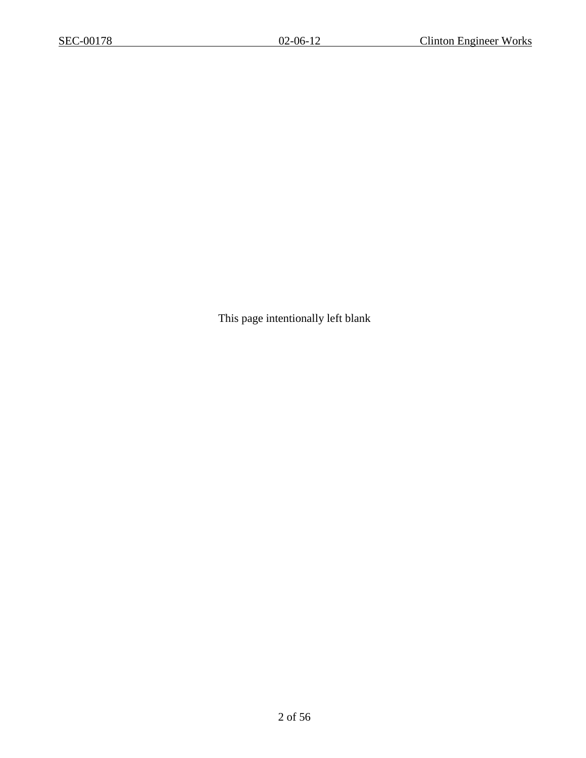This page intentionally left blank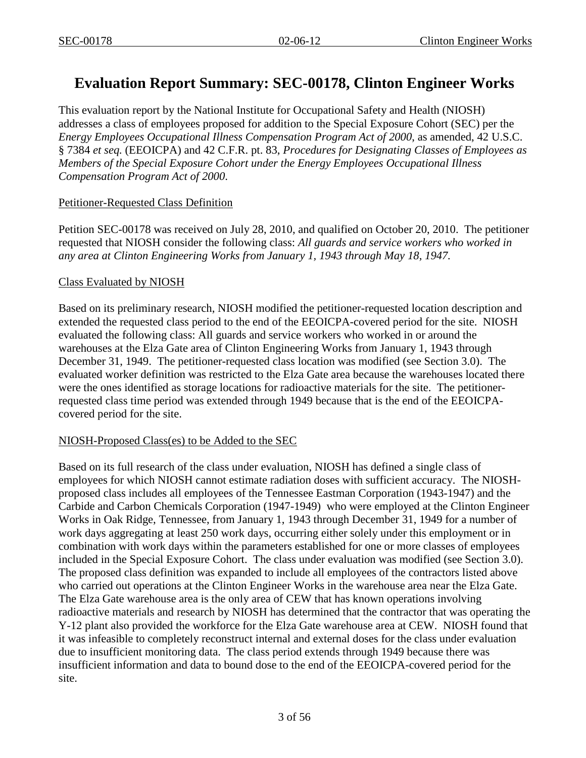## **Evaluation Report Summary: SEC-00178, Clinton Engineer Works**

This evaluation report by the National Institute for Occupational Safety and Health (NIOSH) addresses a class of employees proposed for addition to the Special Exposure Cohort (SEC) per the *Energy Employees Occupational Illness Compensation Program Act of 2000*, as amended, 42 U.S.C. § 7384 *et seq.* (EEOICPA) and 42 C.F.R. pt. 83, *Procedures for Designating Classes of Employees as Members of the Special Exposure Cohort under the Energy Employees Occupational Illness Compensation Program Act of 2000*.

### Petitioner-Requested Class Definition

Petition SEC-00178 was received on July 28, 2010, and qualified on October 20, 2010. The petitioner requested that NIOSH consider the following class: *All guards and service workers who worked in any area at Clinton Engineering Works from January 1, 1943 through May 18, 1947.*

#### Class Evaluated by NIOSH

Based on its preliminary research, NIOSH modified the petitioner-requested location description and extended the requested class period to the end of the EEOICPA-covered period for the site. NIOSH evaluated the following class: All guards and service workers who worked in or around the warehouses at the Elza Gate area of Clinton Engineering Works from January 1, 1943 through December 31, 1949. The petitioner-requested class location was modified (see Section 3.0). The evaluated worker definition was restricted to the Elza Gate area because the warehouses located there were the ones identified as storage locations for radioactive materials for the site. The petitionerrequested class time period was extended through 1949 because that is the end of the EEOICPAcovered period for the site.

#### NIOSH-Proposed Class(es) to be Added to the SEC

Based on its full research of the class under evaluation, NIOSH has defined a single class of employees for which NIOSH cannot estimate radiation doses with sufficient accuracy. The NIOSHproposed class includes all employees of the Tennessee Eastman Corporation (1943-1947) and the Carbide and Carbon Chemicals Corporation (1947-1949) who were employed at the Clinton Engineer Works in Oak Ridge, Tennessee, from January 1, 1943 through December 31, 1949 for a number of work days aggregating at least 250 work days, occurring either solely under this employment or in combination with work days within the parameters established for one or more classes of employees included in the Special Exposure Cohort. The class under evaluation was modified (see Section 3.0). The proposed class definition was expanded to include all employees of the contractors listed above who carried out operations at the Clinton Engineer Works in the warehouse area near the Elza Gate. The Elza Gate warehouse area is the only area of CEW that has known operations involving radioactive materials and research by NIOSH has determined that the contractor that was operating the Y-12 plant also provided the workforce for the Elza Gate warehouse area at CEW. NIOSH found that it was infeasible to completely reconstruct internal and external doses for the class under evaluation due to insufficient monitoring data. The class period extends through 1949 because there was insufficient information and data to bound dose to the end of the EEOICPA-covered period for the site.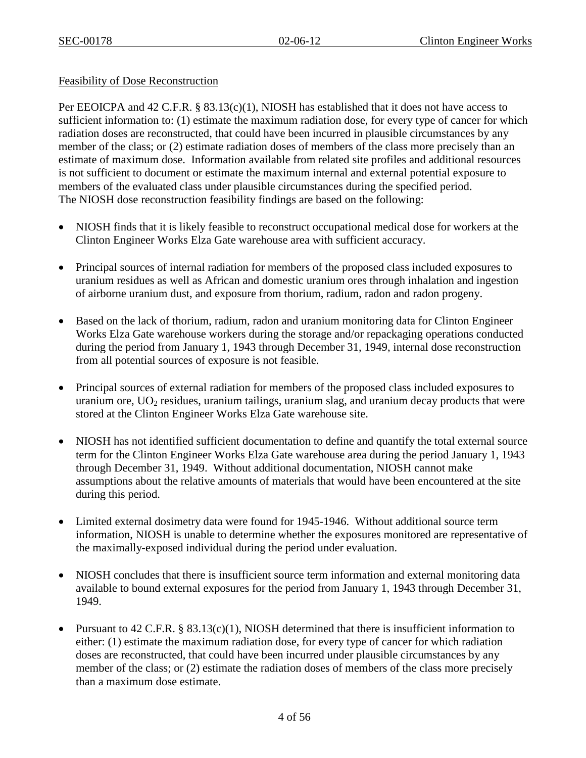#### Feasibility of Dose Reconstruction

Per EEOICPA and 42 C.F.R. § 83.13(c)(1), NIOSH has established that it does not have access to sufficient information to: (1) estimate the maximum radiation dose, for every type of cancer for which radiation doses are reconstructed, that could have been incurred in plausible circumstances by any member of the class; or (2) estimate radiation doses of members of the class more precisely than an estimate of maximum dose. Information available from related site profiles and additional resources is not sufficient to document or estimate the maximum internal and external potential exposure to members of the evaluated class under plausible circumstances during the specified period. The NIOSH dose reconstruction feasibility findings are based on the following:

- NIOSH finds that it is likely feasible to reconstruct occupational medical dose for workers at the Clinton Engineer Works Elza Gate warehouse area with sufficient accuracy.
- Principal sources of internal radiation for members of the proposed class included exposures to uranium residues as well as African and domestic uranium ores through inhalation and ingestion of airborne uranium dust, and exposure from thorium, radium, radon and radon progeny.
- Based on the lack of thorium, radium, radon and uranium monitoring data for Clinton Engineer Works Elza Gate warehouse workers during the storage and/or repackaging operations conducted during the period from January 1, 1943 through December 31, 1949, internal dose reconstruction from all potential sources of exposure is not feasible.
- Principal sources of external radiation for members of the proposed class included exposures to uranium ore,  $UO<sub>2</sub>$  residues, uranium tailings, uranium slag, and uranium decay products that were stored at the Clinton Engineer Works Elza Gate warehouse site.
- NIOSH has not identified sufficient documentation to define and quantify the total external source term for the Clinton Engineer Works Elza Gate warehouse area during the period January 1, 1943 through December 31, 1949. Without additional documentation, NIOSH cannot make assumptions about the relative amounts of materials that would have been encountered at the site during this period.
- Limited external dosimetry data were found for 1945-1946. Without additional source term information, NIOSH is unable to determine whether the exposures monitored are representative of the maximally-exposed individual during the period under evaluation.
- NIOSH concludes that there is insufficient source term information and external monitoring data available to bound external exposures for the period from January 1, 1943 through December 31, 1949.
- Pursuant to 42 C.F.R. § 83.13(c)(1), NIOSH determined that there is insufficient information to either: (1) estimate the maximum radiation dose, for every type of cancer for which radiation doses are reconstructed, that could have been incurred under plausible circumstances by any member of the class; or (2) estimate the radiation doses of members of the class more precisely than a maximum dose estimate.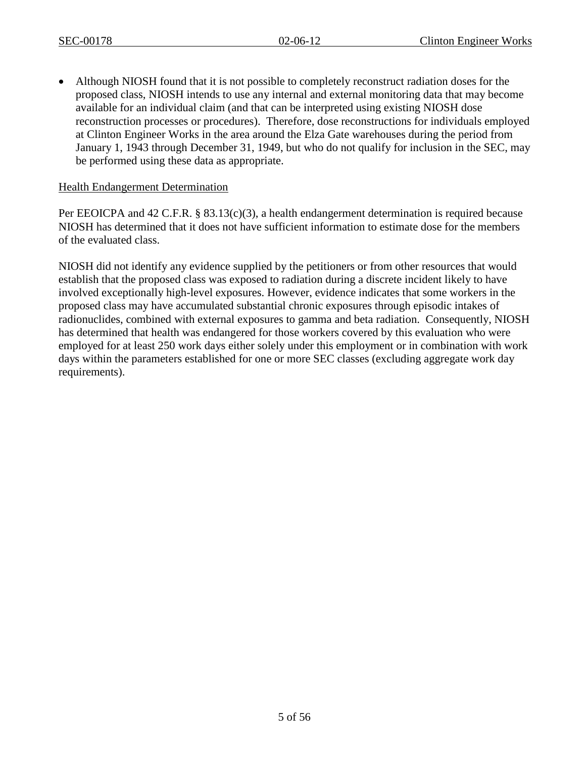• Although NIOSH found that it is not possible to completely reconstruct radiation doses for the proposed class, NIOSH intends to use any internal and external monitoring data that may become available for an individual claim (and that can be interpreted using existing NIOSH dose reconstruction processes or procedures). Therefore, dose reconstructions for individuals employed at Clinton Engineer Works in the area around the Elza Gate warehouses during the period from January 1, 1943 through December 31, 1949, but who do not qualify for inclusion in the SEC, may be performed using these data as appropriate.

#### Health Endangerment Determination

Per EEOICPA and 42 C.F.R. § 83.13(c)(3), a health endangerment determination is required because NIOSH has determined that it does not have sufficient information to estimate dose for the members of the evaluated class.

NIOSH did not identify any evidence supplied by the petitioners or from other resources that would establish that the proposed class was exposed to radiation during a discrete incident likely to have involved exceptionally high-level exposures. However, evidence indicates that some workers in the proposed class may have accumulated substantial chronic exposures through episodic intakes of radionuclides, combined with external exposures to gamma and beta radiation. Consequently, NIOSH has determined that health was endangered for those workers covered by this evaluation who were employed for at least 250 work days either solely under this employment or in combination with work days within the parameters established for one or more SEC classes (excluding aggregate work day requirements).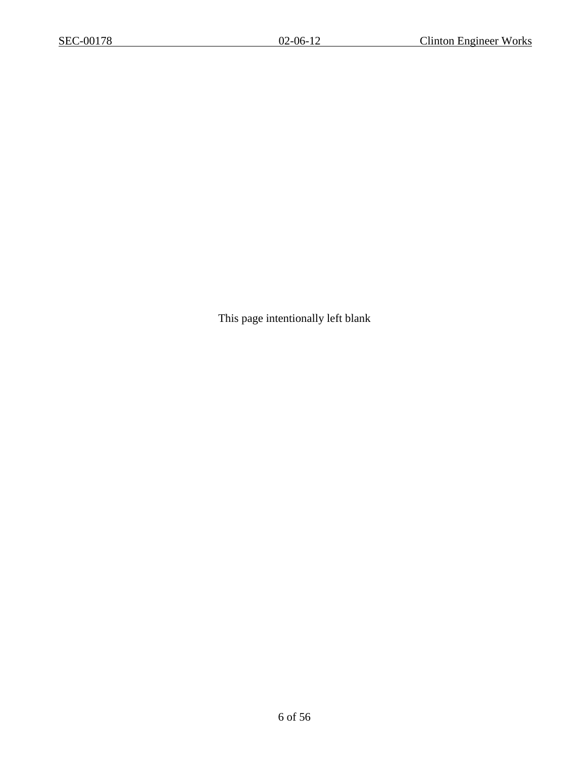This page intentionally left blank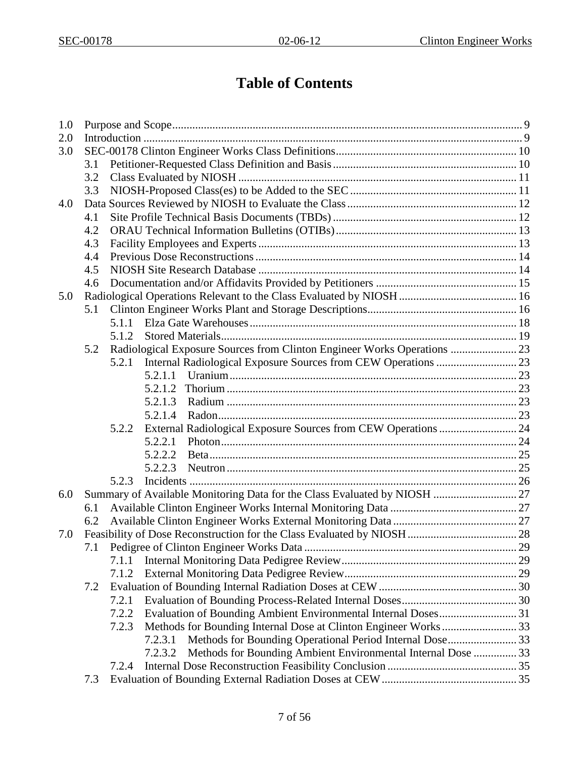# **Table of Contents**

| 1.0 |     |                                                                           |  |
|-----|-----|---------------------------------------------------------------------------|--|
| 2.0 |     |                                                                           |  |
| 3.0 |     |                                                                           |  |
|     | 3.1 |                                                                           |  |
|     | 3.2 |                                                                           |  |
|     | 3.3 |                                                                           |  |
| 4.0 |     |                                                                           |  |
|     | 4.1 |                                                                           |  |
|     | 4.2 |                                                                           |  |
|     | 4.3 |                                                                           |  |
|     | 4.4 |                                                                           |  |
|     | 4.5 |                                                                           |  |
|     | 4.6 |                                                                           |  |
| 5.0 |     |                                                                           |  |
|     | 5.1 |                                                                           |  |
|     |     | 5.1.1                                                                     |  |
|     |     | 5.1.2                                                                     |  |
|     | 5.2 | Radiological Exposure Sources from Clinton Engineer Works Operations  23  |  |
|     |     | 5.2.1                                                                     |  |
|     |     | 5.2.1.1                                                                   |  |
|     |     |                                                                           |  |
|     |     | 5.2.1.3                                                                   |  |
|     |     | 5.2.1.4                                                                   |  |
|     |     | 5.2.2                                                                     |  |
|     |     | 5.2.2.1                                                                   |  |
|     |     | 5.2.2.2                                                                   |  |
|     |     | 5.2.2.3                                                                   |  |
|     |     | 5.2.3                                                                     |  |
| 6.0 |     | Summary of Available Monitoring Data for the Class Evaluated by NIOSH  27 |  |
|     | 6.1 |                                                                           |  |
|     | 6.2 |                                                                           |  |
| 7.0 |     |                                                                           |  |
|     |     |                                                                           |  |
|     |     | 7.1.1                                                                     |  |
|     |     | 7.1.2                                                                     |  |
|     | 7.2 |                                                                           |  |
|     |     | 7.2.1                                                                     |  |
|     |     | 7.2.2                                                                     |  |
|     |     | 7.2.3                                                                     |  |
|     |     | 7.2.3.1                                                                   |  |
|     |     | Methods for Bounding Ambient Environmental Internal Dose  33<br>7.2.3.2   |  |
|     |     | 7.2.4                                                                     |  |
|     | 7.3 |                                                                           |  |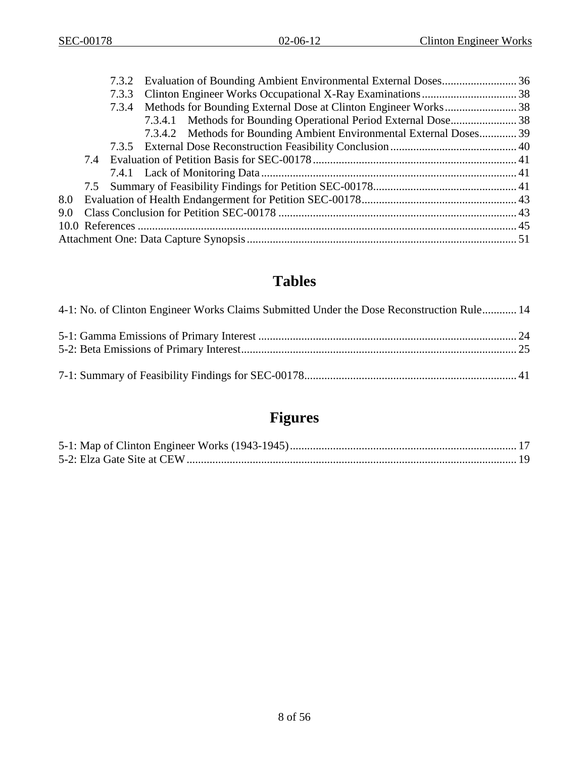|  |  | 7.3.4.2 Methods for Bounding Ambient Environmental External Doses 39 |  |
|--|--|----------------------------------------------------------------------|--|
|  |  |                                                                      |  |
|  |  |                                                                      |  |
|  |  |                                                                      |  |
|  |  |                                                                      |  |
|  |  |                                                                      |  |
|  |  |                                                                      |  |
|  |  |                                                                      |  |
|  |  |                                                                      |  |
|  |  |                                                                      |  |

# **Tables**

| 4-1: No. of Clinton Engineer Works Claims Submitted Under the Dose Reconstruction Rule 14 |  |
|-------------------------------------------------------------------------------------------|--|
|                                                                                           |  |
|                                                                                           |  |

# **Figures**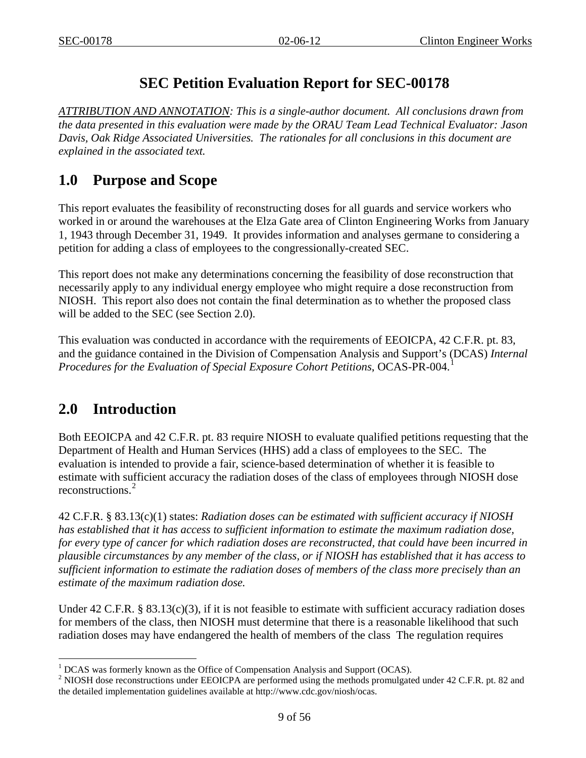# **SEC Petition Evaluation Report for SEC-00178**

*ATTRIBUTION AND ANNOTATION: This is a single-author document. All conclusions drawn from the data presented in this evaluation were made by the ORAU Team Lead Technical Evaluator: Jason Davis, Oak Ridge Associated Universities. The rationales for all conclusions in this document are explained in the associated text.*

# <span id="page-8-0"></span>**1.0 Purpose and Scope**

This report evaluates the feasibility of reconstructing doses for all guards and service workers who worked in or around the warehouses at the Elza Gate area of Clinton Engineering Works from January 1, 1943 through December 31, 1949. It provides information and analyses germane to considering a petition for adding a class of employees to the congressionally-created SEC.

This report does not make any determinations concerning the feasibility of dose reconstruction that necessarily apply to any individual energy employee who might require a dose reconstruction from NIOSH. This report also does not contain the final determination as to whether the proposed class will be added to the SEC (see Section 2.0).

This evaluation was conducted in accordance with the requirements of EEOICPA, 42 C.F.R. pt. 83, and the guidance contained in the Division of Compensation Analysis and Support's (DCAS) *Internal Procedures for the Evaluation of Special Exposure Cohort Petitions, OCAS-PR-004.*<sup>[1](#page-8-2)</sup>

# <span id="page-8-1"></span>**2.0 Introduction**

Both EEOICPA and 42 C.F.R. pt. 83 require NIOSH to evaluate qualified petitions requesting that the Department of Health and Human Services (HHS) add a class of employees to the SEC. The evaluation is intended to provide a fair, science-based determination of whether it is feasible to estimate with sufficient accuracy the radiation doses of the class of employees through NIOSH dose reconstructions. [2](#page-8-3)

42 C.F.R. § 83.13(c)(1) states: *Radiation doses can be estimated with sufficient accuracy if NIOSH has established that it has access to sufficient information to estimate the maximum radiation dose, for every type of cancer for which radiation doses are reconstructed, that could have been incurred in plausible circumstances by any member of the class, or if NIOSH has established that it has access to sufficient information to estimate the radiation doses of members of the class more precisely than an estimate of the maximum radiation dose.*

Under 42 C.F.R.  $\S 83.13(c)(3)$ , if it is not feasible to estimate with sufficient accuracy radiation doses for members of the class, then NIOSH must determine that there is a reasonable likelihood that such radiation doses may have endangered the health of members of the class The regulation requires

<span id="page-8-3"></span><span id="page-8-2"></span>

<sup>&</sup>lt;sup>1</sup> DCAS was formerly known as the Office of Compensation Analysis and Support (OCAS).<br><sup>2</sup> NIOSH dose reconstructions under EEOICPA are performed using the methods promulgated under 42 C.F.R. pt. 82 and the detailed implementation guidelines available at http://www.cdc.gov/niosh/ocas.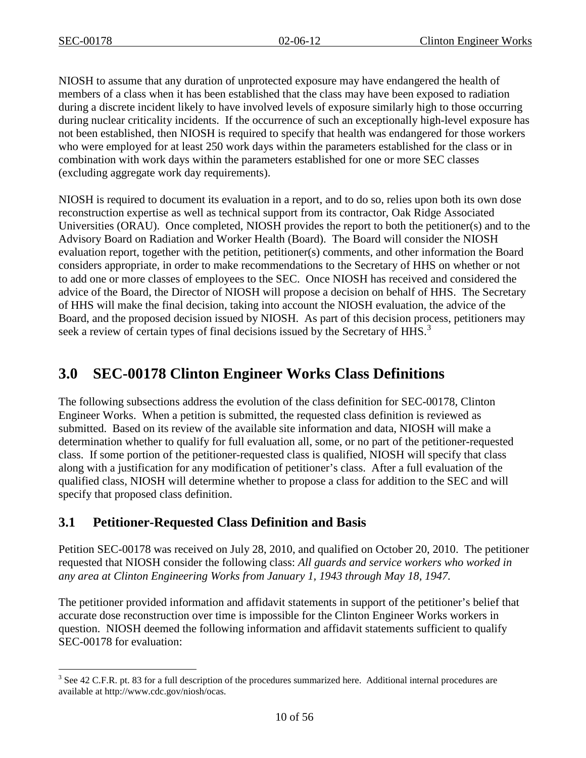NIOSH to assume that any duration of unprotected exposure may have endangered the health of members of a class when it has been established that the class may have been exposed to radiation during a discrete incident likely to have involved levels of exposure similarly high to those occurring during nuclear criticality incidents. If the occurrence of such an exceptionally high-level exposure has not been established, then NIOSH is required to specify that health was endangered for those workers who were employed for at least 250 work days within the parameters established for the class or in combination with work days within the parameters established for one or more SEC classes (excluding aggregate work day requirements).

NIOSH is required to document its evaluation in a report, and to do so, relies upon both its own dose reconstruction expertise as well as technical support from its contractor, Oak Ridge Associated Universities (ORAU). Once completed, NIOSH provides the report to both the petitioner(s) and to the Advisory Board on Radiation and Worker Health (Board). The Board will consider the NIOSH evaluation report, together with the petition, petitioner(s) comments, and other information the Board considers appropriate, in order to make recommendations to the Secretary of HHS on whether or not to add one or more classes of employees to the SEC. Once NIOSH has received and considered the advice of the Board, the Director of NIOSH will propose a decision on behalf of HHS. The Secretary of HHS will make the final decision, taking into account the NIOSH evaluation, the advice of the Board, and the proposed decision issued by NIOSH. As part of this decision process, petitioners may seek a review of certain types of final decisions issued by the Secretary of HHS.<sup>[3](#page-9-2)</sup>

## <span id="page-9-0"></span>**3.0 SEC-00178 Clinton Engineer Works Class Definitions**

The following subsections address the evolution of the class definition for SEC-00178, Clinton Engineer Works. When a petition is submitted, the requested class definition is reviewed as submitted. Based on its review of the available site information and data, NIOSH will make a determination whether to qualify for full evaluation all, some, or no part of the petitioner-requested class. If some portion of the petitioner-requested class is qualified, NIOSH will specify that class along with a justification for any modification of petitioner's class. After a full evaluation of the qualified class, NIOSH will determine whether to propose a class for addition to the SEC and will specify that proposed class definition.

### <span id="page-9-1"></span>**3.1 Petitioner-Requested Class Definition and Basis**

Petition SEC-00178 was received on July 28, 2010, and qualified on October 20, 2010. The petitioner requested that NIOSH consider the following class: *All guards and service workers who worked in any area at Clinton Engineering Works from January 1, 1943 through May 18, 1947.*

The petitioner provided information and affidavit statements in support of the petitioner's belief that accurate dose reconstruction over time is impossible for the Clinton Engineer Works workers in question. NIOSH deemed the following information and affidavit statements sufficient to qualify SEC-00178 for evaluation:

<span id="page-9-2"></span> $3$  See 42 C.F.R. pt. 83 for a full description of the procedures summarized here. Additional internal procedures are available at http://www.cdc.gov/niosh/ocas.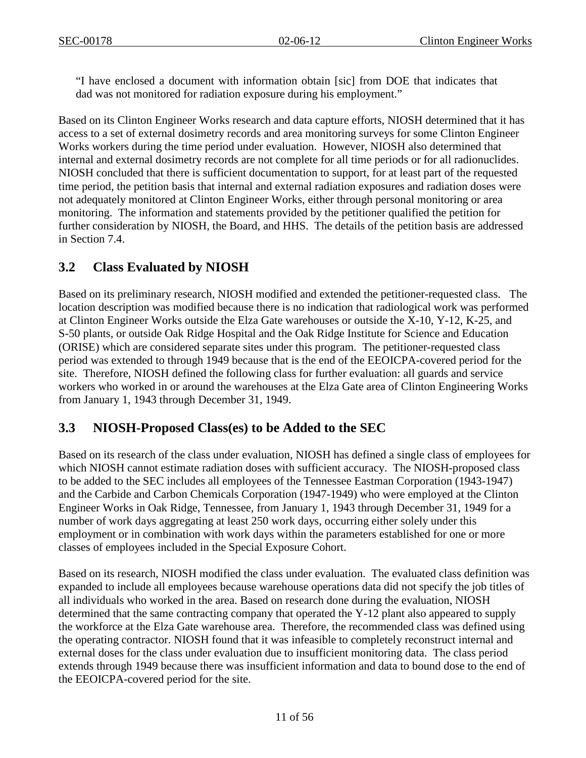"I have enclosed a document with information obtain [sic] from DOE that indicates that dad was not monitored for radiation exposure during his employment."

Based on its Clinton Engineer Works research and data capture efforts, NIOSH determined that it has access to a set of external dosimetry records and area monitoring surveys for some Clinton Engineer Works workers during the time period under evaluation. However, NIOSH also determined that internal and external dosimetry records are not complete for all time periods or for all radionuclides. NIOSH concluded that there is sufficient documentation to support, for at least part of the requested time period, the petition basis that internal and external radiation exposures and radiation doses were not adequately monitored at Clinton Engineer Works, either through personal monitoring or area monitoring. The information and statements provided by the petitioner qualified the petition for further consideration by NIOSH, the Board, and HHS. The details of the petition basis are addressed in Section 7.4.

### <span id="page-10-0"></span>**3.2 Class Evaluated by NIOSH**

Based on its preliminary research, NIOSH modified and extended the petitioner-requested class. The location description was modified because there is no indication that radiological work was performed at Clinton Engineer Works outside the Elza Gate warehouses or outside the X-10, Y-12, K-25, and S-50 plants, or outside Oak Ridge Hospital and the Oak Ridge Institute for Science and Education (ORISE) which are considered separate sites under this program. The petitioner-requested class period was extended to through 1949 because that is the end of the EEOICPA-covered period for the site. Therefore, NIOSH defined the following class for further evaluation: all guards and service workers who worked in or around the warehouses at the Elza Gate area of Clinton Engineering Works from January 1, 1943 through December 31, 1949.

### <span id="page-10-1"></span>**3.3 NIOSH-Proposed Class(es) to be Added to the SEC**

Based on its research of the class under evaluation, NIOSH has defined a single class of employees for which NIOSH cannot estimate radiation doses with sufficient accuracy. The NIOSH-proposed class to be added to the SEC includes all employees of the Tennessee Eastman Corporation (1943-1947) and the Carbide and Carbon Chemicals Corporation (1947-1949) who were employed at the Clinton Engineer Works in Oak Ridge, Tennessee, from January 1, 1943 through December 31, 1949 for a number of work days aggregating at least 250 work days, occurring either solely under this employment or in combination with work days within the parameters established for one or more classes of employees included in the Special Exposure Cohort.

Based on its research, NIOSH modified the class under evaluation. The evaluated class definition was expanded to include all employees because warehouse operations data did not specify the job titles of all individuals who worked in the area. Based on research done during the evaluation, NIOSH determined that the same contracting company that operated the Y-12 plant also appeared to supply the workforce at the Elza Gate warehouse area. Therefore, the recommended class was defined using the operating contractor. NIOSH found that it was infeasible to completely reconstruct internal and external doses for the class under evaluation due to insufficient monitoring data. The class period extends through 1949 because there was insufficient information and data to bound dose to the end of the EEOICPA-covered period for the site.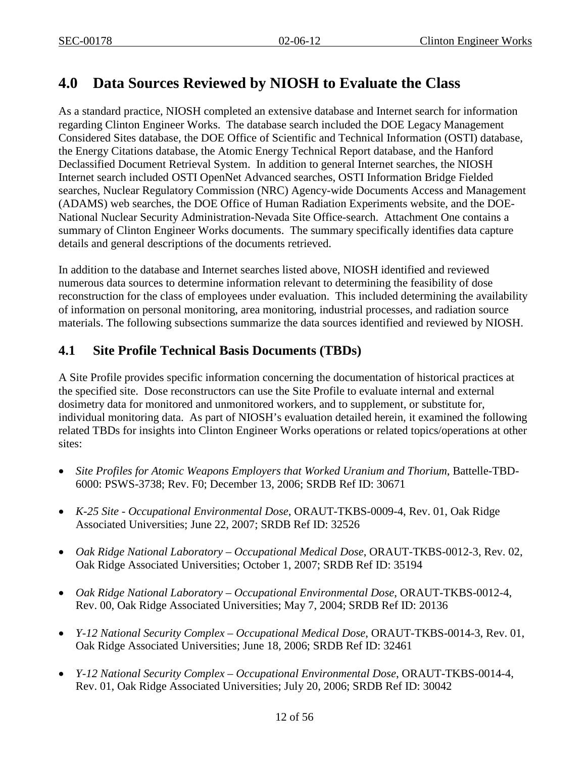# <span id="page-11-0"></span>**4.0 Data Sources Reviewed by NIOSH to Evaluate the Class**

As a standard practice, NIOSH completed an extensive database and Internet search for information regarding Clinton Engineer Works. The database search included the DOE Legacy Management Considered Sites database, the DOE Office of Scientific and Technical Information (OSTI) database, the Energy Citations database, the Atomic Energy Technical Report database, and the Hanford Declassified Document Retrieval System. In addition to general Internet searches, the NIOSH Internet search included OSTI OpenNet Advanced searches, OSTI Information Bridge Fielded searches, Nuclear Regulatory Commission (NRC) Agency-wide Documents Access and Management (ADAMS) web searches, the DOE Office of Human Radiation Experiments website, and the DOE-National Nuclear Security Administration-Nevada Site Office-search. Attachment One contains a summary of Clinton Engineer Works documents. The summary specifically identifies data capture details and general descriptions of the documents retrieved.

In addition to the database and Internet searches listed above, NIOSH identified and reviewed numerous data sources to determine information relevant to determining the feasibility of dose reconstruction for the class of employees under evaluation. This included determining the availability of information on personal monitoring, area monitoring, industrial processes, and radiation source materials. The following subsections summarize the data sources identified and reviewed by NIOSH.

### <span id="page-11-1"></span>**4.1 Site Profile Technical Basis Documents (TBDs)**

A Site Profile provides specific information concerning the documentation of historical practices at the specified site. Dose reconstructors can use the Site Profile to evaluate internal and external dosimetry data for monitored and unmonitored workers, and to supplement, or substitute for, individual monitoring data. As part of NIOSH's evaluation detailed herein, it examined the following related TBDs for insights into Clinton Engineer Works operations or related topics/operations at other sites:

- *Site Profiles for Atomic Weapons Employers that Worked Uranium and Thorium*, Battelle-TBD-6000: PSWS-3738; Rev. F0; December 13, 2006; SRDB Ref ID: 30671
- *K-25 Site - Occupational Environmental Dose*, ORAUT-TKBS-0009-4, Rev. 01, Oak Ridge Associated Universities; June 22, 2007; SRDB Ref ID: 32526
- *Oak Ridge National Laboratory – Occupational Medical Dose*, ORAUT-TKBS-0012-3, Rev. 02, Oak Ridge Associated Universities; October 1, 2007; SRDB Ref ID: 35194
- *Oak Ridge National Laboratory – Occupational Environmental Dose*, ORAUT-TKBS-0012-4, Rev. 00, Oak Ridge Associated Universities; May 7, 2004; SRDB Ref ID: 20136
- *Y-12 National Security Complex – Occupational Medical Dose*, ORAUT-TKBS-0014-3, Rev. 01, Oak Ridge Associated Universities; June 18, 2006; SRDB Ref ID: 32461
- *Y-12 National Security Complex – Occupational Environmental Dose*, ORAUT-TKBS-0014-4, Rev. 01, Oak Ridge Associated Universities; July 20, 2006; SRDB Ref ID: 30042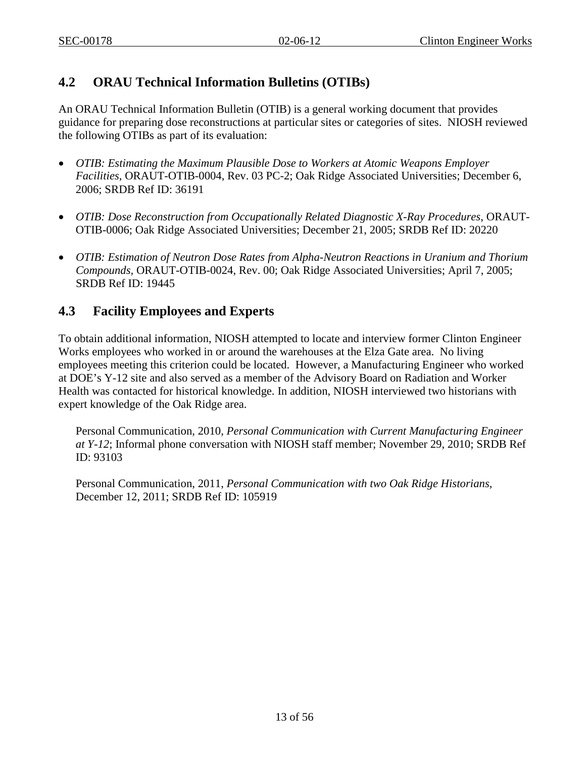### <span id="page-12-0"></span>**4.2 ORAU Technical Information Bulletins (OTIBs)**

An ORAU Technical Information Bulletin (OTIB) is a general working document that provides guidance for preparing dose reconstructions at particular sites or categories of sites. NIOSH reviewed the following OTIBs as part of its evaluation:

- *OTIB: Estimating the Maximum Plausible Dose to Workers at Atomic Weapons Employer Facilities,* ORAUT-OTIB-0004, Rev. 03 PC-2; Oak Ridge Associated Universities; December 6, 2006; SRDB Ref ID: 36191
- *OTIB: Dose Reconstruction from Occupationally Related Diagnostic X-Ray Procedures*, ORAUT-OTIB-0006; Oak Ridge Associated Universities; December 21, 2005; SRDB Ref ID: 20220
- *OTIB: Estimation of Neutron Dose Rates from Alpha-Neutron Reactions in Uranium and Thorium Compounds,* ORAUT-OTIB-0024, Rev. 00; Oak Ridge Associated Universities; April 7, 2005; SRDB Ref ID: 19445

### <span id="page-12-1"></span>**4.3 Facility Employees and Experts**

To obtain additional information, NIOSH attempted to locate and interview former Clinton Engineer Works employees who worked in or around the warehouses at the Elza Gate area. No living employees meeting this criterion could be located. However, a Manufacturing Engineer who worked at DOE's Y-12 site and also served as a member of the Advisory Board on Radiation and Worker Health was contacted for historical knowledge. In addition, NIOSH interviewed two historians with expert knowledge of the Oak Ridge area.

Personal Communication, 2010, *Personal Communication with Current Manufacturing Engineer at Y-12*; Informal phone conversation with NIOSH staff member; November 29, 2010; SRDB Ref ID: 93103

Personal Communication, 2011, *Personal Communication with two Oak Ridge Historians,*  December 12, 2011; SRDB Ref ID: 105919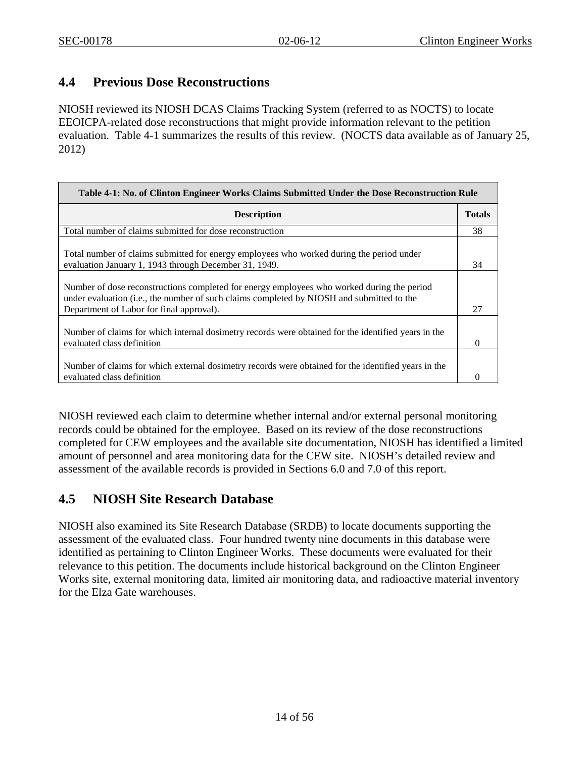### <span id="page-13-0"></span>**4.4 Previous Dose Reconstructions**

NIOSH reviewed its NIOSH DCAS Claims Tracking System (referred to as NOCTS) to locate EEOICPA-related dose reconstructions that might provide information relevant to the petition evaluation. Table 4-1 summarizes the results of this review. (NOCTS data available as of January 25, 2012)

| Table 4-1: No. of Clinton Engineer Works Claims Submitted Under the Dose Reconstruction Rule                                                                                                                                        |               |  |
|-------------------------------------------------------------------------------------------------------------------------------------------------------------------------------------------------------------------------------------|---------------|--|
| <b>Description</b>                                                                                                                                                                                                                  | <b>Totals</b> |  |
| Total number of claims submitted for dose reconstruction                                                                                                                                                                            | 38            |  |
| Total number of claims submitted for energy employees who worked during the period under<br>evaluation January 1, 1943 through December 31, 1949.                                                                                   | 34            |  |
| Number of dose reconstructions completed for energy employees who worked during the period<br>under evaluation (i.e., the number of such claims completed by NIOSH and submitted to the<br>Department of Labor for final approval). | 27            |  |
| Number of claims for which internal dosimetry records were obtained for the identified years in the<br>evaluated class definition                                                                                                   |               |  |
| Number of claims for which external dosimetry records were obtained for the identified years in the<br>evaluated class definition                                                                                                   |               |  |

NIOSH reviewed each claim to determine whether internal and/or external personal monitoring records could be obtained for the employee. Based on its review of the dose reconstructions completed for CEW employees and the available site documentation, NIOSH has identified a limited amount of personnel and area monitoring data for the CEW site. NIOSH's detailed review and assessment of the available records is provided in Sections 6.0 and 7.0 of this report.

### <span id="page-13-1"></span>**4.5 NIOSH Site Research Database**

NIOSH also examined its Site Research Database (SRDB) to locate documents supporting the assessment of the evaluated class. Four hundred twenty nine documents in this database were identified as pertaining to Clinton Engineer Works. These documents were evaluated for their relevance to this petition. The documents include historical background on the Clinton Engineer Works site, external monitoring data, limited air monitoring data, and radioactive material inventory for the Elza Gate warehouses.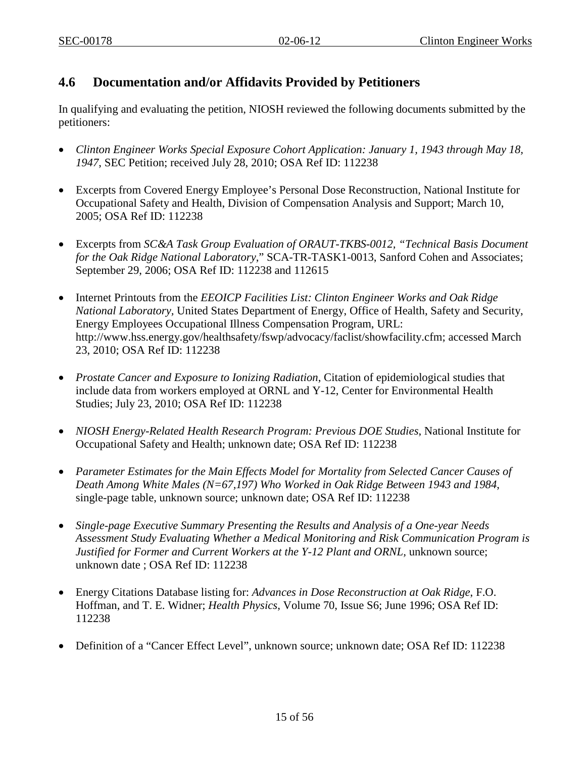### <span id="page-14-0"></span>**4.6 Documentation and/or Affidavits Provided by Petitioners**

In qualifying and evaluating the petition, NIOSH reviewed the following documents submitted by the petitioners:

- *Clinton Engineer Works Special Exposure Cohort Application: January 1, 1943 through May 18, 1947*, SEC Petition; received July 28, 2010; OSA Ref ID: 112238
- Excerpts from Covered Energy Employee's Personal Dose Reconstruction, National Institute for Occupational Safety and Health, Division of Compensation Analysis and Support; March 10, 2005; OSA Ref ID: 112238
- Excerpts from *SC&A Task Group Evaluation of ORAUT-TKBS-0012, "Technical Basis Document for the Oak Ridge National Laboratory*," SCA-TR-TASK1-0013, Sanford Cohen and Associates; September 29, 2006; OSA Ref ID: 112238 and 112615
- Internet Printouts from the *EEOICP Facilities List: Clinton Engineer Works and Oak Ridge National Laboratory,* United States Department of Energy, Office of Health, Safety and Security, Energy Employees Occupational Illness Compensation Program, URL: http://www.hss.energy.gov/healthsafety/fswp/advocacy/faclist/showfacility.cfm; accessed March 23, 2010; OSA Ref ID: 112238
- *Prostate Cancer and Exposure to Ionizing Radiation*, Citation of epidemiological studies that include data from workers employed at ORNL and Y-12, Center for Environmental Health Studies; July 23, 2010; OSA Ref ID: 112238
- *NIOSH Energy-Related Health Research Program: Previous DOE Studies*, National Institute for Occupational Safety and Health; unknown date; OSA Ref ID: 112238
- *Parameter Estimates for the Main Effects Model for Mortality from Selected Cancer Causes of Death Among White Males (N=67,197) Who Worked in Oak Ridge Between 1943 and 1984*, single-page table, unknown source; unknown date; OSA Ref ID: 112238
- *Single-page Executive Summary Presenting the Results and Analysis of a One-year Needs Assessment Study Evaluating Whether a Medical Monitoring and Risk Communication Program is Justified for Former and Current Workers at the Y-12 Plant and ORNL*, unknown source; unknown date ; OSA Ref ID: 112238
- Energy Citations Database listing for: *Advances in Dose Reconstruction at Oak Ridge*, F.O. Hoffman, and T. E. Widner; *Health Physics*, Volume 70, Issue S6; June 1996; OSA Ref ID: 112238
- Definition of a "Cancer Effect Level", unknown source; unknown date; OSA Ref ID: 112238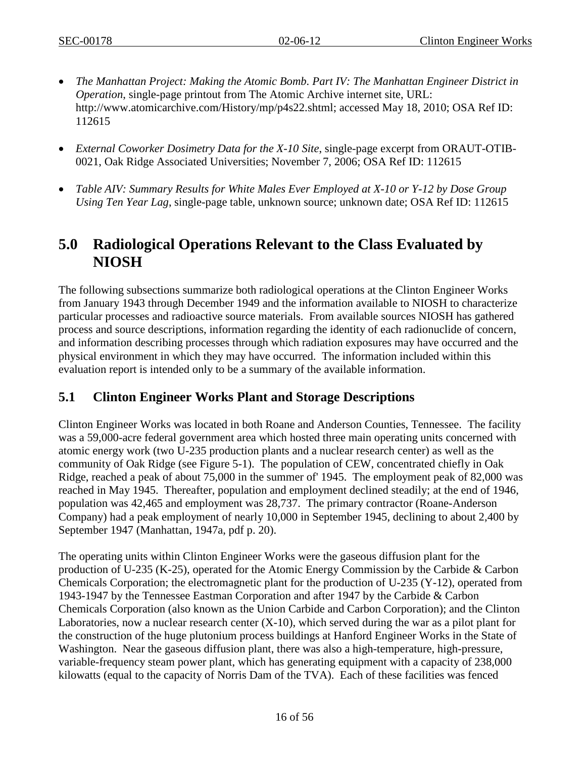- *The Manhattan Project: Making the Atomic Bomb. Part IV: The Manhattan Engineer District in Operation*, single-page printout from The Atomic Archive internet site, URL: http://www.atomicarchive.com/History/mp/p4s22.shtml; accessed May 18, 2010; OSA Ref ID: 112615
- *External Coworker Dosimetry Data for the X-10 Site*, single-page excerpt from ORAUT-OTIB-0021, Oak Ridge Associated Universities; November 7, 2006; OSA Ref ID: 112615
- *Table AIV: Summary Results for White Males Ever Employed at X-10 or Y-12 by Dose Group Using Ten Year Lag*, single-page table, unknown source; unknown date; OSA Ref ID: 112615

# <span id="page-15-0"></span>**5.0 Radiological Operations Relevant to the Class Evaluated by NIOSH**

The following subsections summarize both radiological operations at the Clinton Engineer Works from January 1943 through December 1949 and the information available to NIOSH to characterize particular processes and radioactive source materials. From available sources NIOSH has gathered process and source descriptions, information regarding the identity of each radionuclide of concern, and information describing processes through which radiation exposures may have occurred and the physical environment in which they may have occurred. The information included within this evaluation report is intended only to be a summary of the available information.

### <span id="page-15-1"></span>**5.1 Clinton Engineer Works Plant and Storage Descriptions**

Clinton Engineer Works was located in both Roane and Anderson Counties, Tennessee. The facility was a 59,000-acre federal government area which hosted three main operating units concerned with atomic energy work (two U-235 production plants and a nuclear research center) as well as the community of Oak Ridge (see Figure 5-1). The population of CEW, concentrated chiefly in Oak Ridge, reached a peak of about 75,000 in the summer of' 1945. The employment peak of 82,000 was reached in May 1945. Thereafter, population and employment declined steadily; at the end of 1946, population was 42,465 and employment was 28,737. The primary contractor (Roane-Anderson Company) had a peak employment of nearly 10,000 in September 1945, declining to about 2,400 by September 1947 (Manhattan, 1947a, pdf p. 20).

The operating units within Clinton Engineer Works were the gaseous diffusion plant for the production of U-235 (K-25), operated for the Atomic Energy Commission by the Carbide & Carbon Chemicals Corporation; the electromagnetic plant for the production of U-235 (Y-12), operated from 1943-1947 by the Tennessee Eastman Corporation and after 1947 by the Carbide & Carbon Chemicals Corporation (also known as the Union Carbide and Carbon Corporation); and the Clinton Laboratories, now a nuclear research center  $(X-10)$ , which served during the war as a pilot plant for the construction of the huge plutonium process buildings at Hanford Engineer Works in the State of Washington. Near the gaseous diffusion plant, there was also a high-temperature, high-pressure, variable-frequency steam power plant, which has generating equipment with a capacity of 238,000 kilowatts (equal to the capacity of Norris Dam of the TVA). Each of these facilities was fenced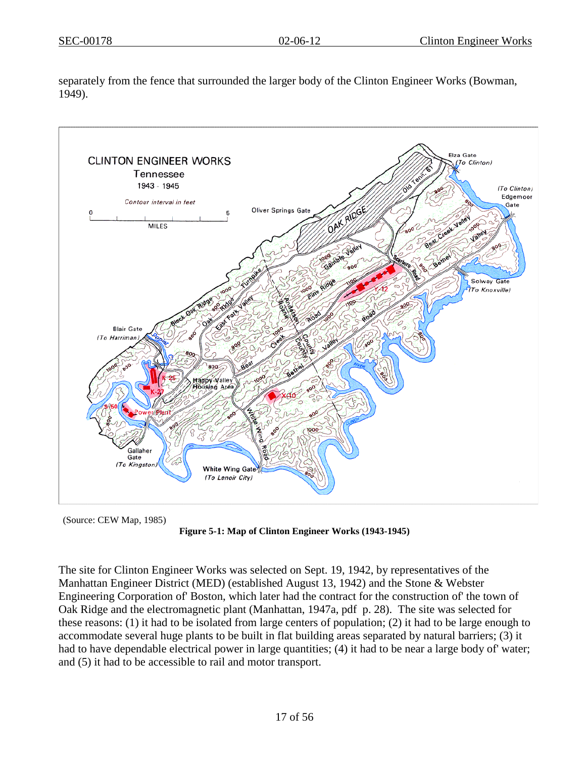separately from the fence that surrounded the larger body of the Clinton Engineer Works (Bowman, 1949).



<span id="page-16-0"></span>(Source: CEW Map, 1985)

**Figure 5-1: Map of Clinton Engineer Works (1943-1945)**

The site for Clinton Engineer Works was selected on Sept. 19, 1942, by representatives of the Manhattan Engineer District (MED) (established August 13, 1942) and the Stone & Webster Engineering Corporation of' Boston, which later had the contract for the construction of' the town of Oak Ridge and the electromagnetic plant (Manhattan, 1947a, pdf p. 28). The site was selected for these reasons: (1) it had to be isolated from large centers of population; (2) it had to be large enough to accommodate several huge plants to be built in flat building areas separated by natural barriers; (3) it had to have dependable electrical power in large quantities; (4) it had to be near a large body of' water; and (5) it had to be accessible to rail and motor transport.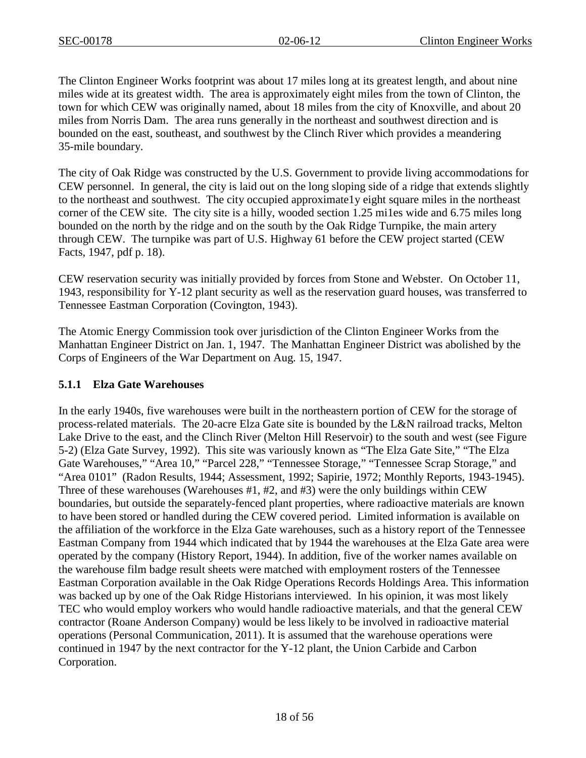The Clinton Engineer Works footprint was about 17 miles long at its greatest length, and about nine miles wide at its greatest width. The area is approximately eight miles from the town of Clinton, the town for which CEW was originally named, about 18 miles from the city of Knoxville, and about 20 miles from Norris Dam. The area runs generally in the northeast and southwest direction and is bounded on the east, southeast, and southwest by the Clinch River which provides a meandering 35-mile boundary.

The city of Oak Ridge was constructed by the U.S. Government to provide living accommodations for CEW personnel. In general, the city is laid out on the long sloping side of a ridge that extends slightly to the northeast and southwest. The city occupied approximate1y eight square miles in the northeast corner of the CEW site. The city site is a hilly, wooded section 1.25 mi1es wide and 6.75 miles long bounded on the north by the ridge and on the south by the Oak Ridge Turnpike, the main artery through CEW. The turnpike was part of U.S. Highway 61 before the CEW project started (CEW Facts, 1947, pdf p. 18).

CEW reservation security was initially provided by forces from Stone and Webster. On October 11, 1943, responsibility for Y-12 plant security as well as the reservation guard houses, was transferred to Tennessee Eastman Corporation (Covington, 1943).

The Atomic Energy Commission took over jurisdiction of the Clinton Engineer Works from the Manhattan Engineer District on Jan. 1, 1947. The Manhattan Engineer District was abolished by the Corps of Engineers of the War Department on Aug. 15, 1947.

### <span id="page-17-0"></span>**5.1.1 Elza Gate Warehouses**

In the early 1940s, five warehouses were built in the northeastern portion of CEW for the storage of process-related materials. The 20-acre Elza Gate site is bounded by the L&N railroad tracks, Melton Lake Drive to the east, and the Clinch River (Melton Hill Reservoir) to the south and west (see Figure 5-2) (Elza Gate Survey, 1992). This site was variously known as "The Elza Gate Site," "The Elza Gate Warehouses," "Area 10," "Parcel 228," "Tennessee Storage," "Tennessee Scrap Storage," and "Area 0101" (Radon Results, 1944; Assessment, 1992; Sapirie, 1972; Monthly Reports, 1943-1945). Three of these warehouses (Warehouses #1, #2, and #3) were the only buildings within CEW boundaries, but outside the separately-fenced plant properties, where radioactive materials are known to have been stored or handled during the CEW covered period. Limited information is available on the affiliation of the workforce in the Elza Gate warehouses, such as a history report of the Tennessee Eastman Company from 1944 which indicated that by 1944 the warehouses at the Elza Gate area were operated by the company (History Report, 1944). In addition, five of the worker names available on the warehouse film badge result sheets were matched with employment rosters of the Tennessee Eastman Corporation available in the Oak Ridge Operations Records Holdings Area. This information was backed up by one of the Oak Ridge Historians interviewed. In his opinion, it was most likely TEC who would employ workers who would handle radioactive materials, and that the general CEW contractor (Roane Anderson Company) would be less likely to be involved in radioactive material operations (Personal Communication, 2011). It is assumed that the warehouse operations were continued in 1947 by the next contractor for the Y-12 plant, the Union Carbide and Carbon Corporation.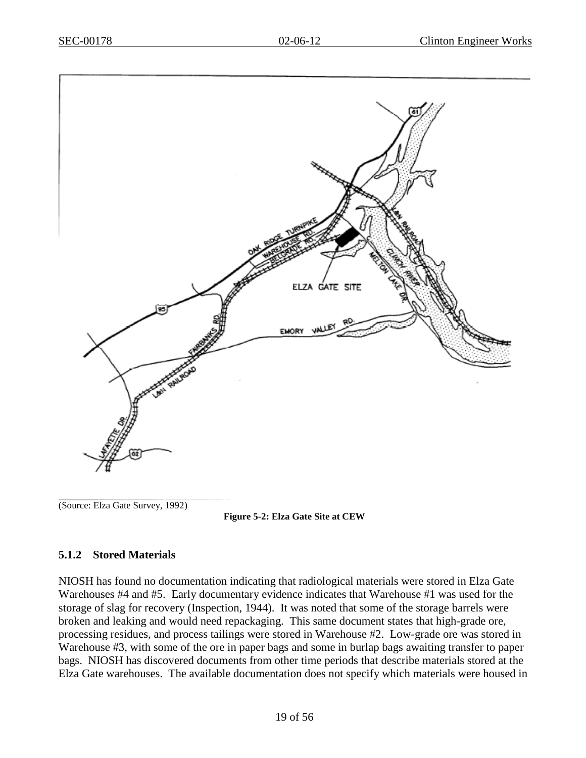

<span id="page-18-1"></span>(Source: Elza Gate Survey, 1992)



### <span id="page-18-0"></span>**5.1.2 Stored Materials**

NIOSH has found no documentation indicating that radiological materials were stored in Elza Gate Warehouses #4 and #5. Early documentary evidence indicates that Warehouse #1 was used for the storage of slag for recovery (Inspection, 1944). It was noted that some of the storage barrels were broken and leaking and would need repackaging. This same document states that high-grade ore, processing residues, and process tailings were stored in Warehouse #2. Low-grade ore was stored in Warehouse #3, with some of the ore in paper bags and some in burlap bags awaiting transfer to paper bags. NIOSH has discovered documents from other time periods that describe materials stored at the Elza Gate warehouses. The available documentation does not specify which materials were housed in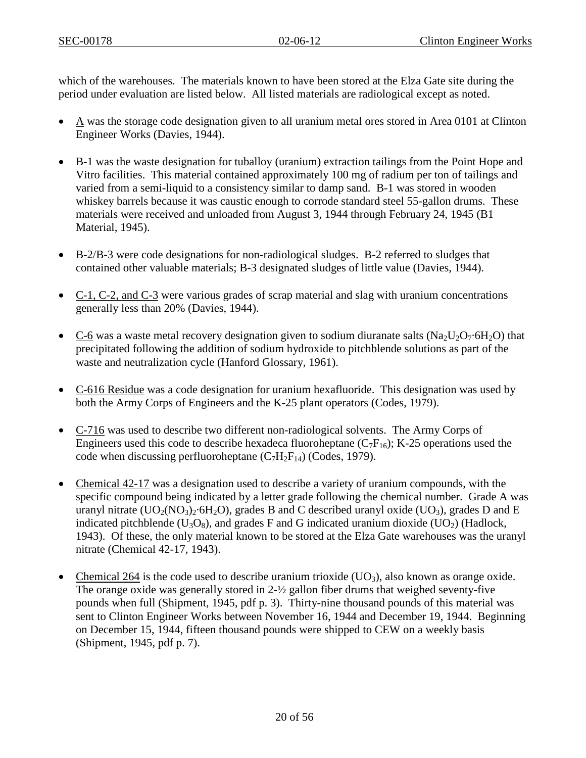which of the warehouses. The materials known to have been stored at the Elza Gate site during the period under evaluation are listed below. All listed materials are radiological except as noted.

- $\bullet$  A was the storage code designation given to all uranium metal ores stored in Area 0101 at Clinton Engineer Works (Davies, 1944).
- B-1 was the waste designation for tuballoy (uranium) extraction tailings from the Point Hope and Vitro facilities. This material contained approximately 100 mg of radium per ton of tailings and varied from a semi-liquid to a consistency similar to damp sand. B-1 was stored in wooden whiskey barrels because it was caustic enough to corrode standard steel 55-gallon drums. These materials were received and unloaded from August 3, 1944 through February 24, 1945 (B1 Material, 1945).
- B-2/B-3 were code designations for non-radiological sludges. B-2 referred to sludges that contained other valuable materials; B-3 designated sludges of little value (Davies, 1944).
- C-1, C-2, and C-3 were various grades of scrap material and slag with uranium concentrations generally less than 20% (Davies, 1944).
- C-6 was a waste metal recovery designation given to sodium diuranate salts ( $Na<sub>2</sub>U<sub>2</sub>O<sub>7</sub>·6H<sub>2</sub>O$ ) that precipitated following the addition of sodium hydroxide to pitchblende solutions as part of the waste and neutralization cycle (Hanford Glossary, 1961).
- C-616 Residue was a code designation for uranium hexafluoride. This designation was used by both the Army Corps of Engineers and the K-25 plant operators (Codes, 1979).
- C-716 was used to describe two different non-radiological solvents. The Army Corps of Engineers used this code to describe hexadeca fluoroheptane  $(C_7F_{16})$ ; K-25 operations used the code when discussing perfluoroheptane  $(C_7H_2F_{14})$  (Codes, 1979).
- Chemical 42-17 was a designation used to describe a variety of uranium compounds, with the specific compound being indicated by a letter grade following the chemical number. Grade A was uranyl nitrate  $(UO_2(NO_3)_2.6H_2O)$ , grades B and C described uranyl oxide  $(UO_3)$ , grades D and E indicated pitchblende ( $U_3O_8$ ), and grades F and G indicated uranium dioxide ( $UO_2$ ) (Hadlock, 1943). Of these, the only material known to be stored at the Elza Gate warehouses was the uranyl nitrate (Chemical 42-17, 1943).
- Chemical 264 is the code used to describe uranium trioxide  $(UO<sub>3</sub>)$ , also known as orange oxide. The orange oxide was generally stored in 2-½ gallon fiber drums that weighed seventy-five pounds when full (Shipment, 1945, pdf p. 3). Thirty-nine thousand pounds of this material was sent to Clinton Engineer Works between November 16, 1944 and December 19, 1944. Beginning on December 15, 1944, fifteen thousand pounds were shipped to CEW on a weekly basis (Shipment, 1945, pdf p. 7).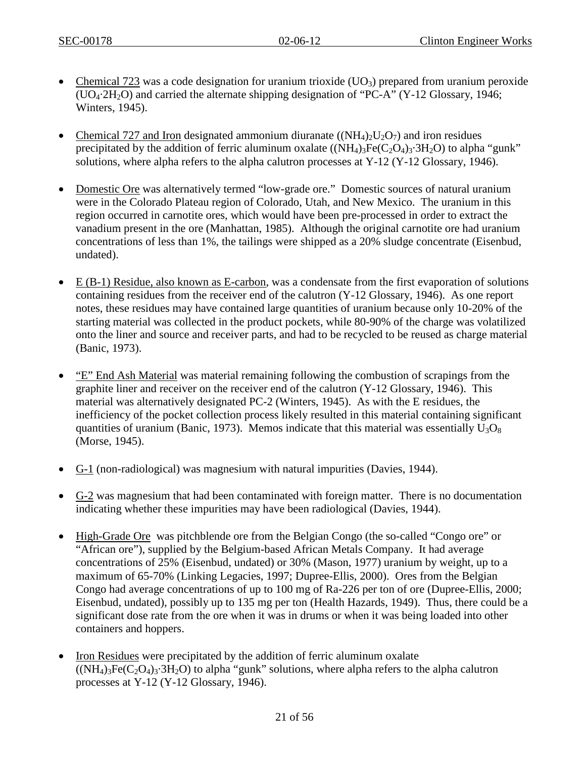- Chemical 723 was a code designation for uranium trioxide  $(UO_3)$  prepared from uranium peroxide  $(UO<sub>4</sub>·2H<sub>2</sub>O)$  and carried the alternate shipping designation of "PC-A" (Y-12 Glossary, 1946; Winters, 1945).
- Chemical 727 and Iron designated ammonium diuranate  $((NH_4)_2U_2O_7)$  and iron residues precipitated by the addition of ferric aluminum oxalate  $((NH_4)_3Fe(C_2O_4)_3.3H_2O)$  to alpha "gunk" solutions, where alpha refers to the alpha calutron processes at Y-12 (Y-12 Glossary, 1946).
- Domestic Ore was alternatively termed "low-grade ore." Domestic sources of natural uranium were in the Colorado Plateau region of Colorado, Utah, and New Mexico. The uranium in this region occurred in carnotite ores, which would have been pre-processed in order to extract the vanadium present in the ore (Manhattan, 1985). Although the original carnotite ore had uranium concentrations of less than 1%, the tailings were shipped as a 20% sludge concentrate (Eisenbud, undated).
- E (B-1) Residue, also known as E-carbon, was a condensate from the first evaporation of solutions containing residues from the receiver end of the calutron (Y-12 Glossary, 1946). As one report notes, these residues may have contained large quantities of uranium because only 10-20% of the starting material was collected in the product pockets, while 80-90% of the charge was volatilized onto the liner and source and receiver parts, and had to be recycled to be reused as charge material (Banic, 1973).
- "E" End Ash Material was material remaining following the combustion of scrapings from the graphite liner and receiver on the receiver end of the calutron (Y-12 Glossary, 1946). This material was alternatively designated PC-2 (Winters, 1945). As with the E residues, the inefficiency of the pocket collection process likely resulted in this material containing significant quantities of uranium (Banic, 1973). Memos indicate that this material was essentially  $U_3O_8$ (Morse, 1945).
- G-1 (non-radiological) was magnesium with natural impurities (Davies, 1944).
- G-2 was magnesium that had been contaminated with foreign matter. There is no documentation indicating whether these impurities may have been radiological (Davies, 1944).
- High-Grade Ore was pitchblende ore from the Belgian Congo (the so-called "Congo ore" or "African ore"), supplied by the Belgium-based African Metals Company. It had average concentrations of 25% (Eisenbud, undated) or 30% (Mason, 1977) uranium by weight, up to a maximum of 65-70% (Linking Legacies, 1997; Dupree-Ellis, 2000). Ores from the Belgian Congo had average concentrations of up to 100 mg of Ra-226 per ton of ore (Dupree-Ellis, 2000; Eisenbud, undated), possibly up to 135 mg per ton (Health Hazards, 1949). Thus, there could be a significant dose rate from the ore when it was in drums or when it was being loaded into other containers and hoppers.
- Iron Residues were precipitated by the addition of ferric aluminum oxalate  $((NH_4)_3Fe(C_2O_4)_3.3H_2O)$  to alpha "gunk" solutions, where alpha refers to the alpha calutron processes at Y-12 (Y-12 Glossary, 1946).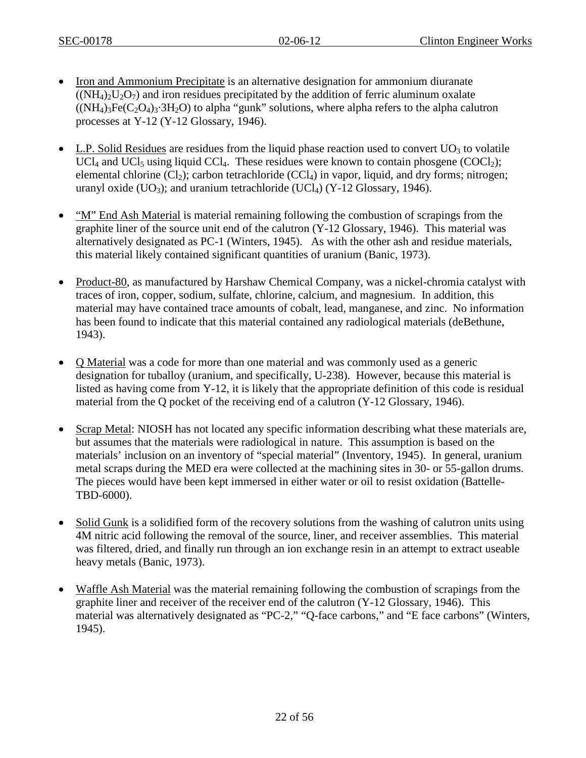- Iron and Ammonium Precipitate is an alternative designation for ammonium diuranate  $((NH<sub>4</sub>)<sub>2</sub>U<sub>2</sub>O<sub>7</sub>)$  and iron residues precipitated by the addition of ferric aluminum oxalate  $((NH_4)_3Fe(C_2O_4)_3.3H_2O)$  to alpha "gunk" solutions, where alpha refers to the alpha calutron processes at Y-12 (Y-12 Glossary, 1946).
- L.P. Solid Residues are residues from the liquid phase reaction used to convert  $UO_3$  to volatile  $UCl<sub>4</sub>$  and  $UCl<sub>5</sub>$  using liquid  $CCl<sub>4</sub>$ . These residues were known to contain phosgene (COCl<sub>2</sub>); elemental chlorine  $(Cl_2)$ ; carbon tetrachloride  $(CCl_4)$  in vapor, liquid, and dry forms; nitrogen; uranyl oxide (UO<sub>3</sub>); and uranium tetrachloride (UCl<sub>4</sub>) (Y-12 Glossary, 1946).
- "M" End Ash Material is material remaining following the combustion of scrapings from the graphite liner of the source unit end of the calutron (Y-12 Glossary, 1946). This material was alternatively designated as PC-1 (Winters, 1945). As with the other ash and residue materials, this material likely contained significant quantities of uranium (Banic, 1973).
- Product-80, as manufactured by Harshaw Chemical Company, was a nickel-chromia catalyst with traces of iron, copper, sodium, sulfate, chlorine, calcium, and magnesium. In addition, this material may have contained trace amounts of cobalt, lead, manganese, and zinc. No information has been found to indicate that this material contained any radiological materials (deBethune, 1943).
- Q Material was a code for more than one material and was commonly used as a generic designation for tuballoy (uranium, and specifically, U-238). However, because this material is listed as having come from Y-12, it is likely that the appropriate definition of this code is residual material from the Q pocket of the receiving end of a calutron (Y-12 Glossary, 1946).
- Scrap Metal: NIOSH has not located any specific information describing what these materials are, but assumes that the materials were radiological in nature. This assumption is based on the materials' inclusion on an inventory of "special material" (Inventory, 1945). In general, uranium metal scraps during the MED era were collected at the machining sites in 30- or 55-gallon drums. The pieces would have been kept immersed in either water or oil to resist oxidation (Battelle-TBD-6000).
- Solid Gunk is a solidified form of the recovery solutions from the washing of calutron units using 4M nitric acid following the removal of the source, liner, and receiver assemblies. This material was filtered, dried, and finally run through an ion exchange resin in an attempt to extract useable heavy metals (Banic, 1973).
- Waffle Ash Material was the material remaining following the combustion of scrapings from the graphite liner and receiver of the receiver end of the calutron (Y-12 Glossary, 1946). This material was alternatively designated as "PC-2," "Q-face carbons," and "E face carbons" (Winters, 1945).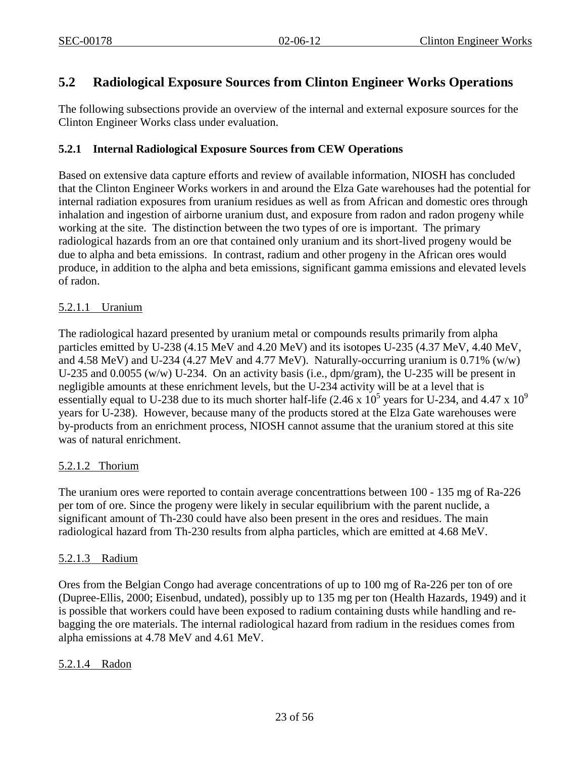### <span id="page-22-0"></span>**5.2 Radiological Exposure Sources from Clinton Engineer Works Operations**

The following subsections provide an overview of the internal and external exposure sources for the Clinton Engineer Works class under evaluation.

### <span id="page-22-1"></span>**5.2.1 Internal Radiological Exposure Sources from CEW Operations**

Based on extensive data capture efforts and review of available information, NIOSH has concluded that the Clinton Engineer Works workers in and around the Elza Gate warehouses had the potential for internal radiation exposures from uranium residues as well as from African and domestic ores through inhalation and ingestion of airborne uranium dust, and exposure from radon and radon progeny while working at the site. The distinction between the two types of ore is important. The primary radiological hazards from an ore that contained only uranium and its short-lived progeny would be due to alpha and beta emissions. In contrast, radium and other progeny in the African ores would produce, in addition to the alpha and beta emissions, significant gamma emissions and elevated levels of radon.

### <span id="page-22-2"></span>5.2.1.1 Uranium

The radiological hazard presented by uranium metal or compounds results primarily from alpha particles emitted by U-238 (4.15 MeV and 4.20 MeV) and its isotopes U-235 (4.37 MeV, 4.40 MeV, and 4.58 MeV) and U-234 (4.27 MeV and 4.77 MeV). Naturally-occurring uranium is  $0.71\%$  (w/w) U-235 and 0.0055 (w/w) U-234. On an activity basis (i.e., dpm/gram), the U-235 will be present in negligible amounts at these enrichment levels, but the U-234 activity will be at a level that is essentially equal to U-238 due to its much shorter half-life (2.46 x 10<sup>5</sup> years for U-234, and 4.47 x 10<sup>9</sup> years for U-238). However, because many of the products stored at the Elza Gate warehouses were by-products from an enrichment process, NIOSH cannot assume that the uranium stored at this site was of natural enrichment.

### <span id="page-22-3"></span>5.2.1.2 Thorium

The uranium ores were reported to contain average concentrattions between 100 - 135 mg of Ra-226 per tom of ore. Since the progeny were likely in secular equilibrium with the parent nuclide, a significant amount of Th-230 could have also been present in the ores and residues. The main radiological hazard from Th-230 results from alpha particles, which are emitted at 4.68 MeV.

### <span id="page-22-4"></span>5.2.1.3 Radium

Ores from the Belgian Congo had average concentrations of up to 100 mg of Ra-226 per ton of ore (Dupree-Ellis, 2000; Eisenbud, undated), possibly up to 135 mg per ton (Health Hazards, 1949) and it is possible that workers could have been exposed to radium containing dusts while handling and rebagging the ore materials. The internal radiological hazard from radium in the residues comes from alpha emissions at 4.78 MeV and 4.61 MeV.

### <span id="page-22-5"></span>5.2.1.4 Radon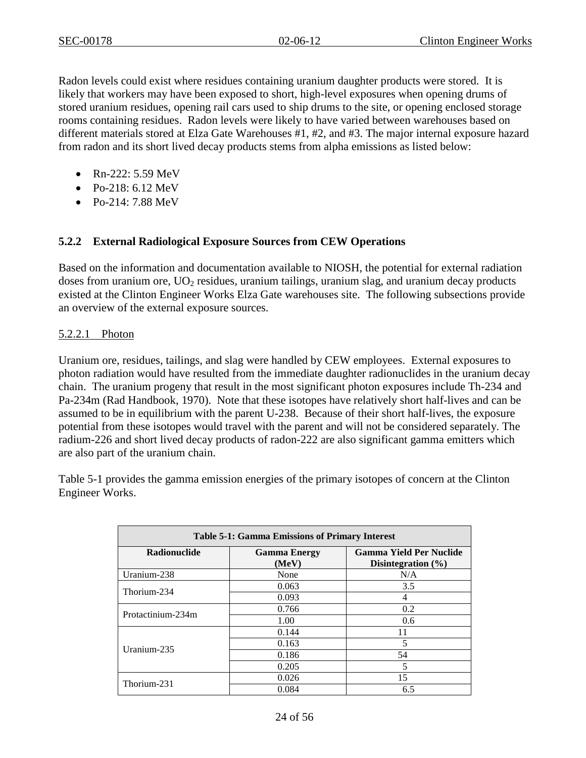Radon levels could exist where residues containing uranium daughter products were stored. It is likely that workers may have been exposed to short, high-level exposures when opening drums of stored uranium residues, opening rail cars used to ship drums to the site, or opening enclosed storage rooms containing residues. Radon levels were likely to have varied between warehouses based on different materials stored at Elza Gate Warehouses #1, #2, and #3. The major internal exposure hazard from radon and its short lived decay products stems from alpha emissions as listed below:

- Rn-222: 5.59 MeV
- Po-218: 6.12 MeV
- Po-214: 7.88 MeV

### <span id="page-23-0"></span>**5.2.2 External Radiological Exposure Sources from CEW Operations**

Based on the information and documentation available to NIOSH, the potential for external radiation doses from uranium ore,  $UO<sub>2</sub>$  residues, uranium tailings, uranium slag, and uranium decay products existed at the Clinton Engineer Works Elza Gate warehouses site. The following subsections provide an overview of the external exposure sources.

### <span id="page-23-1"></span>5.2.2.1 Photon

Uranium ore, residues, tailings, and slag were handled by CEW employees. External exposures to photon radiation would have resulted from the immediate daughter radionuclides in the uranium decay chain. The uranium progeny that result in the most significant photon exposures include Th-234 and Pa-234m (Rad Handbook, 1970). Note that these isotopes have relatively short half-lives and can be assumed to be in equilibrium with the parent U-238. Because of their short half-lives, the exposure potential from these isotopes would travel with the parent and will not be considered separately. The radium-226 and short lived decay products of radon-222 are also significant gamma emitters which are also part of the uranium chain.

Table 5-1 provides the gamma emission energies of the primary isotopes of concern at the Clinton Engineer Works.

| <b>Table 5-1: Gamma Emissions of Primary Interest</b> |                              |                                                          |  |
|-------------------------------------------------------|------------------------------|----------------------------------------------------------|--|
| Radionuclide                                          | <b>Gamma Energy</b><br>(MeV) | <b>Gamma Yield Per Nuclide</b><br>Disintegration $(\% )$ |  |
| Uranium-238                                           | None                         | N/A                                                      |  |
| Thorium-234                                           | 0.063                        | 3.5                                                      |  |
|                                                       | 0.093                        | 4                                                        |  |
|                                                       | 0.766                        | 0.2                                                      |  |
| Protactinium-234m                                     | 1.00                         | 0.6                                                      |  |
|                                                       | 0.144                        | 11                                                       |  |
| Uranium-235                                           | 0.163                        | 5                                                        |  |
|                                                       | 0.186                        | 54                                                       |  |
|                                                       | 0.205                        | 5                                                        |  |
|                                                       | 0.026                        | 15                                                       |  |
| Thorium-231                                           | 0.084                        | 6.5                                                      |  |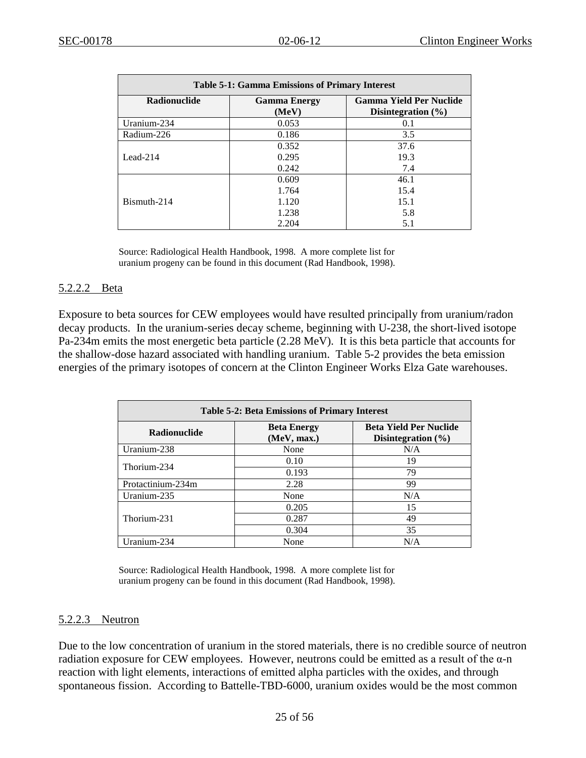| <b>Table 5-1: Gamma Emissions of Primary Interest</b> |                                           |                                                          |  |
|-------------------------------------------------------|-------------------------------------------|----------------------------------------------------------|--|
| <b>Radionuclide</b>                                   | <b>Gamma Energy</b><br>(MeV)              | <b>Gamma Yield Per Nuclide</b><br>Disintegration $(\% )$ |  |
| Uranium-234                                           | 0.053                                     | 0.1                                                      |  |
| Radium-226                                            | 0.186                                     | 3.5                                                      |  |
| Lead- $214$                                           | 0.352<br>0.295<br>0.242                   | 37.6<br>19.3<br>7.4                                      |  |
| Bismuth-214                                           | 0.609<br>1.764<br>1.120<br>1.238<br>2.204 | 46.1<br>15.4<br>15.1<br>5.8<br>5.1                       |  |

Source: Radiological Health Handbook, 1998. A more complete list for uranium progeny can be found in this document (Rad Handbook, 1998).

#### <span id="page-24-0"></span>5.2.2.2 Beta

Exposure to beta sources for CEW employees would have resulted principally from uranium/radon decay products. In the uranium-series decay scheme, beginning with U-238, the short-lived isotope Pa-234m emits the most energetic beta particle (2.28 MeV). It is this beta particle that accounts for the shallow-dose hazard associated with handling uranium. Table 5-2 provides the beta emission energies of the primary isotopes of concern at the Clinton Engineer Works Elza Gate warehouses.

| <b>Table 5-2: Beta Emissions of Primary Interest</b> |                                   |                                                         |  |
|------------------------------------------------------|-----------------------------------|---------------------------------------------------------|--|
| <b>Radionuclide</b>                                  | <b>Beta Energy</b><br>(MeV, max.) | <b>Beta Yield Per Nuclide</b><br>Disintegration $(\% )$ |  |
| Uranium-238                                          | None                              | N/A                                                     |  |
|                                                      | 0.10                              | 19                                                      |  |
| Thorium-234                                          | 0.193                             | 79                                                      |  |
| Protactinium-234m                                    | 2.28                              | 99                                                      |  |
| Uranium-235                                          | None                              | N/A                                                     |  |
|                                                      | 0.205                             | 15                                                      |  |
| Thorium-231                                          | 0.287                             | 49                                                      |  |
|                                                      | 0.304                             | 35                                                      |  |
| Uranium-234                                          | None                              | N/A                                                     |  |

Source: Radiological Health Handbook, 1998. A more complete list for uranium progeny can be found in this document (Rad Handbook, 1998).

### <span id="page-24-1"></span>5.2.2.3 Neutron

Due to the low concentration of uranium in the stored materials, there is no credible source of neutron radiation exposure for CEW employees. However, neutrons could be emitted as a result of the  $\alpha$ -n reaction with light elements, interactions of emitted alpha particles with the oxides, and through spontaneous fission. According to Battelle-TBD-6000, uranium oxides would be the most common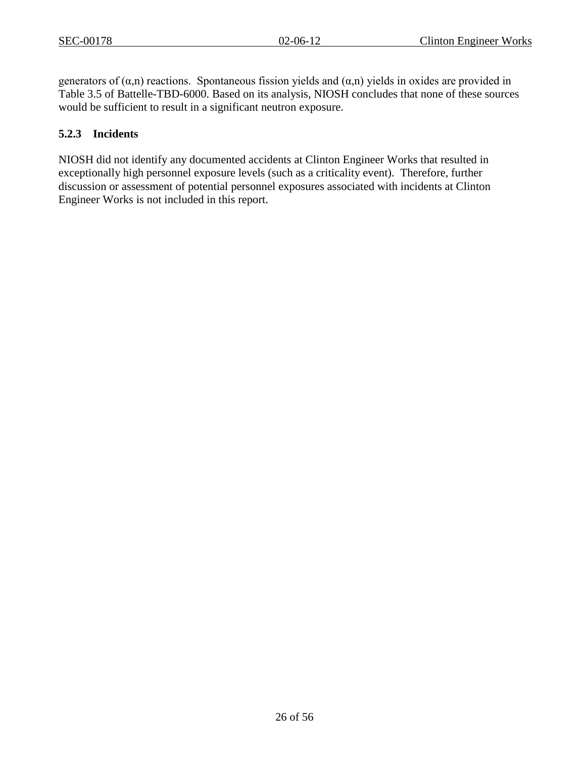generators of  $(\alpha, n)$  reactions. Spontaneous fission yields and  $(\alpha, n)$  yields in oxides are provided in Table 3.5 of Battelle-TBD-6000. Based on its analysis, NIOSH concludes that none of these sources would be sufficient to result in a significant neutron exposure.

### <span id="page-25-0"></span>**5.2.3 Incidents**

NIOSH did not identify any documented accidents at Clinton Engineer Works that resulted in exceptionally high personnel exposure levels (such as a criticality event). Therefore, further discussion or assessment of potential personnel exposures associated with incidents at Clinton Engineer Works is not included in this report.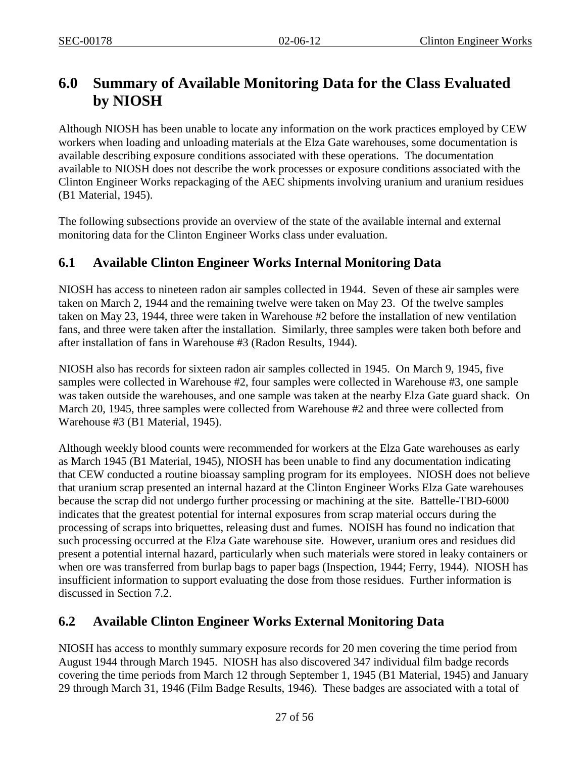# <span id="page-26-0"></span>**6.0 Summary of Available Monitoring Data for the Class Evaluated by NIOSH**

Although NIOSH has been unable to locate any information on the work practices employed by CEW workers when loading and unloading materials at the Elza Gate warehouses, some documentation is available describing exposure conditions associated with these operations. The documentation available to NIOSH does not describe the work processes or exposure conditions associated with the Clinton Engineer Works repackaging of the AEC shipments involving uranium and uranium residues (B1 Material, 1945).

The following subsections provide an overview of the state of the available internal and external monitoring data for the Clinton Engineer Works class under evaluation.

### <span id="page-26-1"></span>**6.1 Available Clinton Engineer Works Internal Monitoring Data**

NIOSH has access to nineteen radon air samples collected in 1944. Seven of these air samples were taken on March 2, 1944 and the remaining twelve were taken on May 23. Of the twelve samples taken on May 23, 1944, three were taken in Warehouse #2 before the installation of new ventilation fans, and three were taken after the installation. Similarly, three samples were taken both before and after installation of fans in Warehouse #3 (Radon Results, 1944).

NIOSH also has records for sixteen radon air samples collected in 1945. On March 9, 1945, five samples were collected in Warehouse #2, four samples were collected in Warehouse #3, one sample was taken outside the warehouses, and one sample was taken at the nearby Elza Gate guard shack. On March 20, 1945, three samples were collected from Warehouse #2 and three were collected from Warehouse #3 (B1 Material, 1945).

Although weekly blood counts were recommended for workers at the Elza Gate warehouses as early as March 1945 (B1 Material, 1945), NIOSH has been unable to find any documentation indicating that CEW conducted a routine bioassay sampling program for its employees. NIOSH does not believe that uranium scrap presented an internal hazard at the Clinton Engineer Works Elza Gate warehouses because the scrap did not undergo further processing or machining at the site. Battelle-TBD-6000 indicates that the greatest potential for internal exposures from scrap material occurs during the processing of scraps into briquettes, releasing dust and fumes. NOISH has found no indication that such processing occurred at the Elza Gate warehouse site. However, uranium ores and residues did present a potential internal hazard, particularly when such materials were stored in leaky containers or when ore was transferred from burlap bags to paper bags (Inspection, 1944; Ferry, 1944). NIOSH has insufficient information to support evaluating the dose from those residues. Further information is discussed in Section 7.2.

### <span id="page-26-2"></span>**6.2 Available Clinton Engineer Works External Monitoring Data**

NIOSH has access to monthly summary exposure records for 20 men covering the time period from August 1944 through March 1945. NIOSH has also discovered 347 individual film badge records covering the time periods from March 12 through September 1, 1945 (B1 Material, 1945) and January 29 through March 31, 1946 (Film Badge Results, 1946). These badges are associated with a total of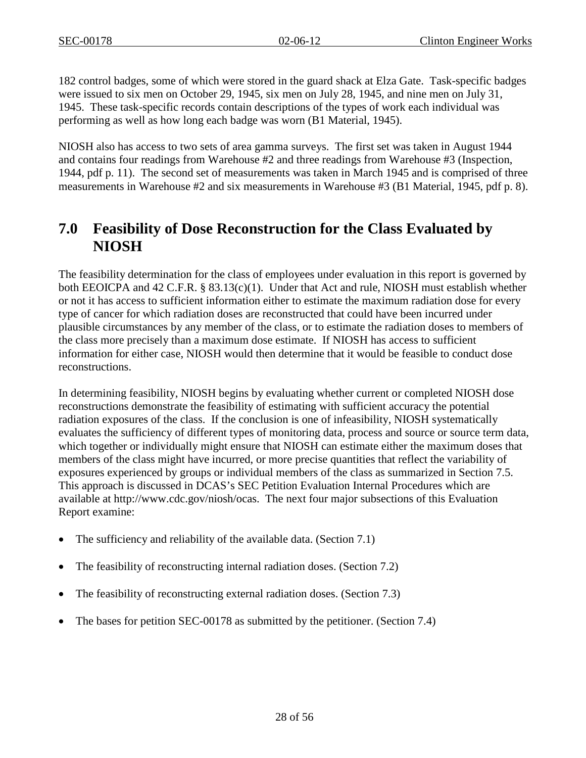182 control badges, some of which were stored in the guard shack at Elza Gate. Task-specific badges were issued to six men on October 29, 1945, six men on July 28, 1945, and nine men on July 31, 1945. These task-specific records contain descriptions of the types of work each individual was performing as well as how long each badge was worn (B1 Material, 1945).

NIOSH also has access to two sets of area gamma surveys. The first set was taken in August 1944 and contains four readings from Warehouse #2 and three readings from Warehouse #3 (Inspection, 1944, pdf p. 11). The second set of measurements was taken in March 1945 and is comprised of three measurements in Warehouse #2 and six measurements in Warehouse #3 (B1 Material, 1945, pdf p. 8).

# <span id="page-27-0"></span>**7.0 Feasibility of Dose Reconstruction for the Class Evaluated by NIOSH**

The feasibility determination for the class of employees under evaluation in this report is governed by both EEOICPA and 42 C.F.R. § 83.13(c)(1). Under that Act and rule, NIOSH must establish whether or not it has access to sufficient information either to estimate the maximum radiation dose for every type of cancer for which radiation doses are reconstructed that could have been incurred under plausible circumstances by any member of the class, or to estimate the radiation doses to members of the class more precisely than a maximum dose estimate. If NIOSH has access to sufficient information for either case, NIOSH would then determine that it would be feasible to conduct dose reconstructions.

In determining feasibility, NIOSH begins by evaluating whether current or completed NIOSH dose reconstructions demonstrate the feasibility of estimating with sufficient accuracy the potential radiation exposures of the class. If the conclusion is one of infeasibility, NIOSH systematically evaluates the sufficiency of different types of monitoring data, process and source or source term data, which together or individually might ensure that NIOSH can estimate either the maximum doses that members of the class might have incurred, or more precise quantities that reflect the variability of exposures experienced by groups or individual members of the class as summarized in Section 7.5. This approach is discussed in DCAS's SEC Petition Evaluation Internal Procedures which are available at http://www.cdc.gov/niosh/ocas. The next four major subsections of this Evaluation Report examine:

- The sufficiency and reliability of the available data. (Section 7.1)
- The feasibility of reconstructing internal radiation doses. (Section 7.2)
- The feasibility of reconstructing external radiation doses. (Section 7.3)
- The bases for petition SEC-00178 as submitted by the petitioner. (Section 7.4)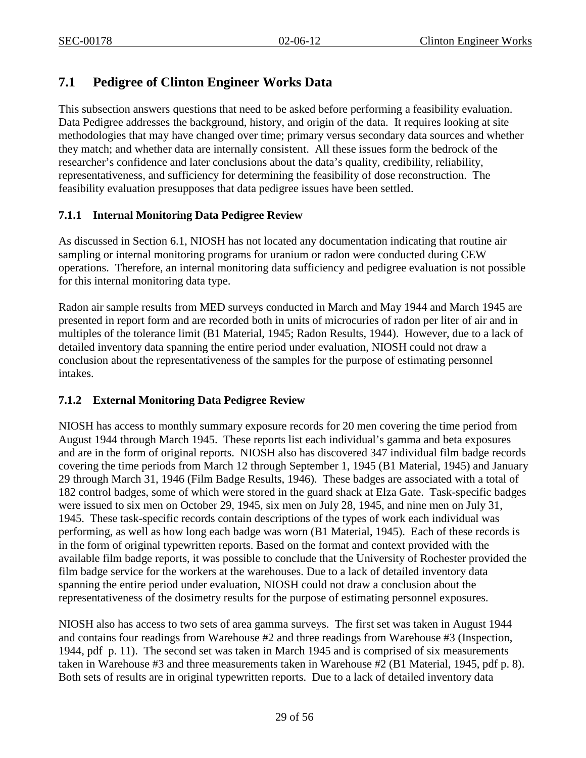### <span id="page-28-0"></span>**7.1 Pedigree of Clinton Engineer Works Data**

This subsection answers questions that need to be asked before performing a feasibility evaluation. Data Pedigree addresses the background, history, and origin of the data. It requires looking at site methodologies that may have changed over time; primary versus secondary data sources and whether they match; and whether data are internally consistent. All these issues form the bedrock of the researcher's confidence and later conclusions about the data's quality, credibility, reliability, representativeness, and sufficiency for determining the feasibility of dose reconstruction. The feasibility evaluation presupposes that data pedigree issues have been settled.

### <span id="page-28-1"></span>**7.1.1 Internal Monitoring Data Pedigree Review**

As discussed in Section 6.1, NIOSH has not located any documentation indicating that routine air sampling or internal monitoring programs for uranium or radon were conducted during CEW operations. Therefore, an internal monitoring data sufficiency and pedigree evaluation is not possible for this internal monitoring data type.

Radon air sample results from MED surveys conducted in March and May 1944 and March 1945 are presented in report form and are recorded both in units of microcuries of radon per liter of air and in multiples of the tolerance limit (B1 Material, 1945; Radon Results, 1944). However, due to a lack of detailed inventory data spanning the entire period under evaluation, NIOSH could not draw a conclusion about the representativeness of the samples for the purpose of estimating personnel intakes.

### <span id="page-28-2"></span>**7.1.2 External Monitoring Data Pedigree Review**

NIOSH has access to monthly summary exposure records for 20 men covering the time period from August 1944 through March 1945. These reports list each individual's gamma and beta exposures and are in the form of original reports. NIOSH also has discovered 347 individual film badge records covering the time periods from March 12 through September 1, 1945 (B1 Material, 1945) and January 29 through March 31, 1946 (Film Badge Results, 1946). These badges are associated with a total of 182 control badges, some of which were stored in the guard shack at Elza Gate. Task-specific badges were issued to six men on October 29, 1945, six men on July 28, 1945, and nine men on July 31, 1945. These task-specific records contain descriptions of the types of work each individual was performing, as well as how long each badge was worn (B1 Material, 1945). Each of these records is in the form of original typewritten reports. Based on the format and context provided with the available film badge reports, it was possible to conclude that the University of Rochester provided the film badge service for the workers at the warehouses. Due to a lack of detailed inventory data spanning the entire period under evaluation, NIOSH could not draw a conclusion about the representativeness of the dosimetry results for the purpose of estimating personnel exposures.

NIOSH also has access to two sets of area gamma surveys. The first set was taken in August 1944 and contains four readings from Warehouse #2 and three readings from Warehouse #3 (Inspection, 1944, pdf p. 11). The second set was taken in March 1945 and is comprised of six measurements taken in Warehouse #3 and three measurements taken in Warehouse #2 (B1 Material, 1945, pdf p. 8). Both sets of results are in original typewritten reports. Due to a lack of detailed inventory data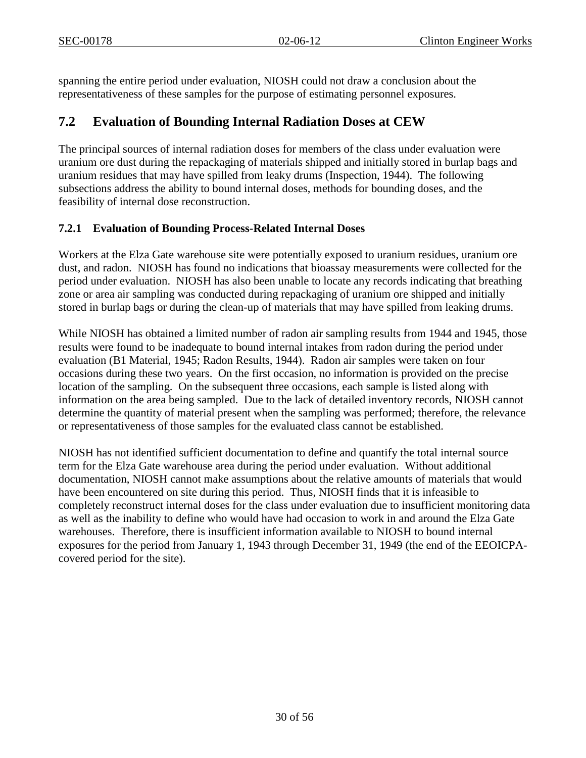spanning the entire period under evaluation, NIOSH could not draw a conclusion about the representativeness of these samples for the purpose of estimating personnel exposures.

### <span id="page-29-0"></span>**7.2 Evaluation of Bounding Internal Radiation Doses at CEW**

The principal sources of internal radiation doses for members of the class under evaluation were uranium ore dust during the repackaging of materials shipped and initially stored in burlap bags and uranium residues that may have spilled from leaky drums (Inspection, 1944). The following subsections address the ability to bound internal doses, methods for bounding doses, and the feasibility of internal dose reconstruction.

### <span id="page-29-1"></span>**7.2.1 Evaluation of Bounding Process-Related Internal Doses**

Workers at the Elza Gate warehouse site were potentially exposed to uranium residues, uranium ore dust, and radon. NIOSH has found no indications that bioassay measurements were collected for the period under evaluation. NIOSH has also been unable to locate any records indicating that breathing zone or area air sampling was conducted during repackaging of uranium ore shipped and initially stored in burlap bags or during the clean-up of materials that may have spilled from leaking drums.

While NIOSH has obtained a limited number of radon air sampling results from 1944 and 1945, those results were found to be inadequate to bound internal intakes from radon during the period under evaluation (B1 Material, 1945; Radon Results, 1944). Radon air samples were taken on four occasions during these two years. On the first occasion, no information is provided on the precise location of the sampling. On the subsequent three occasions, each sample is listed along with information on the area being sampled. Due to the lack of detailed inventory records, NIOSH cannot determine the quantity of material present when the sampling was performed; therefore, the relevance or representativeness of those samples for the evaluated class cannot be established.

NIOSH has not identified sufficient documentation to define and quantify the total internal source term for the Elza Gate warehouse area during the period under evaluation. Without additional documentation, NIOSH cannot make assumptions about the relative amounts of materials that would have been encountered on site during this period. Thus, NIOSH finds that it is infeasible to completely reconstruct internal doses for the class under evaluation due to insufficient monitoring data as well as the inability to define who would have had occasion to work in and around the Elza Gate warehouses. Therefore, there is insufficient information available to NIOSH to bound internal exposures for the period from January 1, 1943 through December 31, 1949 (the end of the EEOICPAcovered period for the site).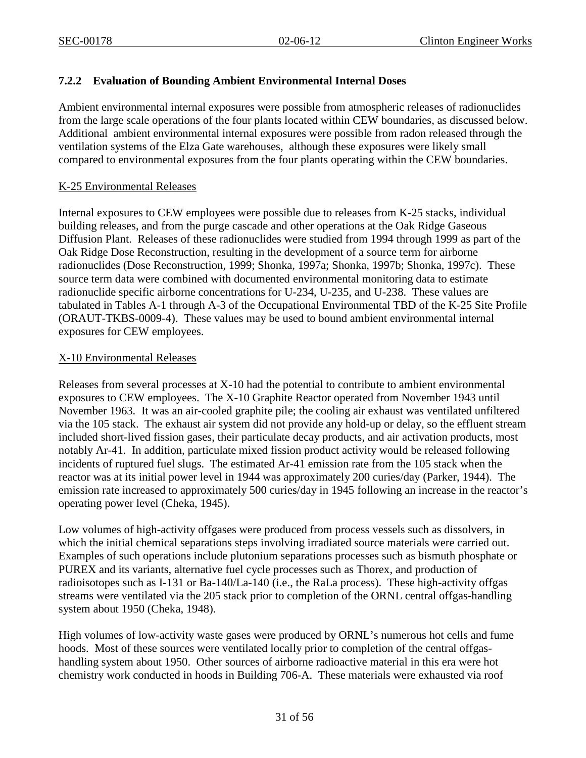### <span id="page-30-0"></span>**7.2.2 Evaluation of Bounding Ambient Environmental Internal Doses**

Ambient environmental internal exposures were possible from atmospheric releases of radionuclides from the large scale operations of the four plants located within CEW boundaries, as discussed below. Additional ambient environmental internal exposures were possible from radon released through the ventilation systems of the Elza Gate warehouses, although these exposures were likely small compared to environmental exposures from the four plants operating within the CEW boundaries.

### K-25 Environmental Releases

Internal exposures to CEW employees were possible due to releases from K-25 stacks, individual building releases, and from the purge cascade and other operations at the Oak Ridge Gaseous Diffusion Plant. Releases of these radionuclides were studied from 1994 through 1999 as part of the Oak Ridge Dose Reconstruction, resulting in the development of a source term for airborne radionuclides (Dose Reconstruction, 1999; Shonka, 1997a; Shonka, 1997b; Shonka, 1997c). These source term data were combined with documented environmental monitoring data to estimate radionuclide specific airborne concentrations for U-234, U-235, and U-238. These values are tabulated in Tables A-1 through A-3 of the Occupational Environmental TBD of the K-25 Site Profile (ORAUT-TKBS-0009-4). These values may be used to bound ambient environmental internal exposures for CEW employees.

### X-10 Environmental Releases

Releases from several processes at X-10 had the potential to contribute to ambient environmental exposures to CEW employees. The X-10 Graphite Reactor operated from November 1943 until November 1963. It was an air-cooled graphite pile; the cooling air exhaust was ventilated unfiltered via the 105 stack. The exhaust air system did not provide any hold-up or delay, so the effluent stream included short-lived fission gases, their particulate decay products, and air activation products, most notably Ar-41. In addition, particulate mixed fission product activity would be released following incidents of ruptured fuel slugs. The estimated Ar-41 emission rate from the 105 stack when the reactor was at its initial power level in 1944 was approximately 200 curies/day (Parker, 1944). The emission rate increased to approximately 500 curies/day in 1945 following an increase in the reactor's operating power level (Cheka, 1945).

Low volumes of high-activity offgases were produced from process vessels such as dissolvers, in which the initial chemical separations steps involving irradiated source materials were carried out. Examples of such operations include plutonium separations processes such as bismuth phosphate or PUREX and its variants, alternative fuel cycle processes such as Thorex, and production of radioisotopes such as I-131 or Ba-140/La-140 (i.e., the RaLa process). These high-activity offgas streams were ventilated via the 205 stack prior to completion of the ORNL central offgas-handling system about 1950 (Cheka, 1948).

High volumes of low-activity waste gases were produced by ORNL's numerous hot cells and fume hoods. Most of these sources were ventilated locally prior to completion of the central offgashandling system about 1950. Other sources of airborne radioactive material in this era were hot chemistry work conducted in hoods in Building 706-A. These materials were exhausted via roof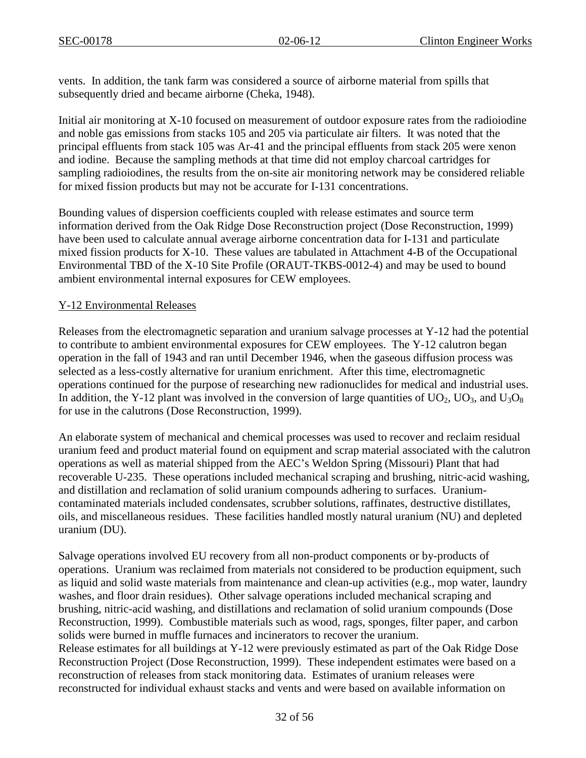vents. In addition, the tank farm was considered a source of airborne material from spills that subsequently dried and became airborne (Cheka, 1948).

Initial air monitoring at X-10 focused on measurement of outdoor exposure rates from the radioiodine and noble gas emissions from stacks 105 and 205 via particulate air filters. It was noted that the principal effluents from stack 105 was Ar-41 and the principal effluents from stack 205 were xenon and iodine. Because the sampling methods at that time did not employ charcoal cartridges for sampling radioiodines, the results from the on-site air monitoring network may be considered reliable for mixed fission products but may not be accurate for I-131 concentrations.

Bounding values of dispersion coefficients coupled with release estimates and source term information derived from the Oak Ridge Dose Reconstruction project (Dose Reconstruction, 1999) have been used to calculate annual average airborne concentration data for I-131 and particulate mixed fission products for X-10. These values are tabulated in Attachment 4-B of the Occupational Environmental TBD of the X-10 Site Profile (ORAUT-TKBS-0012-4) and may be used to bound ambient environmental internal exposures for CEW employees.

### Y-12 Environmental Releases

Releases from the electromagnetic separation and uranium salvage processes at Y-12 had the potential to contribute to ambient environmental exposures for CEW employees. The Y-12 calutron began operation in the fall of 1943 and ran until December 1946, when the gaseous diffusion process was selected as a less-costly alternative for uranium enrichment. After this time, electromagnetic operations continued for the purpose of researching new radionuclides for medical and industrial uses. In addition, the Y-12 plant was involved in the conversion of large quantities of  $UO_2$ ,  $UO_3$ , and  $U_3O_8$ for use in the calutrons (Dose Reconstruction, 1999).

An elaborate system of mechanical and chemical processes was used to recover and reclaim residual uranium feed and product material found on equipment and scrap material associated with the calutron operations as well as material shipped from the AEC's Weldon Spring (Missouri) Plant that had recoverable U-235. These operations included mechanical scraping and brushing, nitric-acid washing, and distillation and reclamation of solid uranium compounds adhering to surfaces. Uraniumcontaminated materials included condensates, scrubber solutions, raffinates, destructive distillates, oils, and miscellaneous residues. These facilities handled mostly natural uranium (NU) and depleted uranium (DU).

Salvage operations involved EU recovery from all non-product components or by-products of operations. Uranium was reclaimed from materials not considered to be production equipment, such as liquid and solid waste materials from maintenance and clean-up activities (e.g., mop water, laundry washes, and floor drain residues). Other salvage operations included mechanical scraping and brushing, nitric-acid washing, and distillations and reclamation of solid uranium compounds (Dose Reconstruction, 1999). Combustible materials such as wood, rags, sponges, filter paper, and carbon solids were burned in muffle furnaces and incinerators to recover the uranium. Release estimates for all buildings at Y-12 were previously estimated as part of the Oak Ridge Dose Reconstruction Project (Dose Reconstruction, 1999). These independent estimates were based on a reconstruction of releases from stack monitoring data. Estimates of uranium releases were reconstructed for individual exhaust stacks and vents and were based on available information on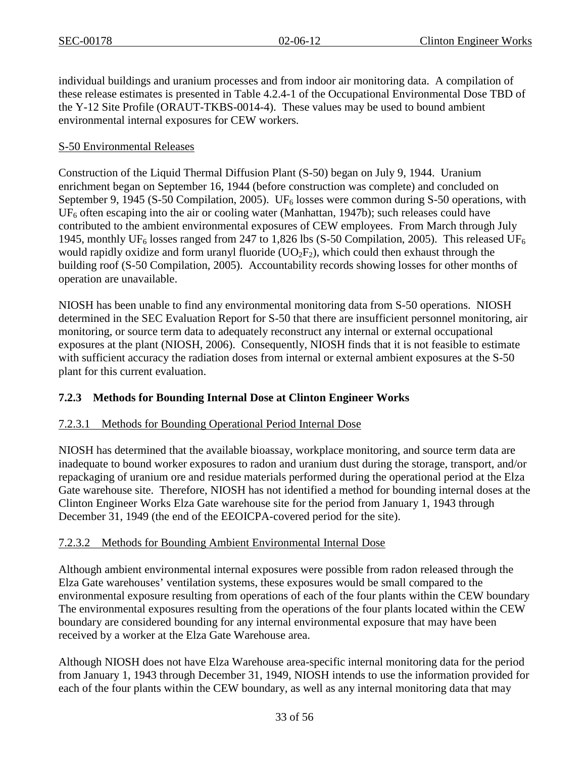individual buildings and uranium processes and from indoor air monitoring data. A compilation of these release estimates is presented in Table 4.2.4-1 of the Occupational Environmental Dose TBD of the Y-12 Site Profile (ORAUT-TKBS-0014-4). These values may be used to bound ambient environmental internal exposures for CEW workers.

### S-50 Environmental Releases

Construction of the Liquid Thermal Diffusion Plant (S-50) began on July 9, 1944. Uranium enrichment began on September 16, 1944 (before construction was complete) and concluded on September 9, 1945 (S-50 Compilation, 2005). UF<sub>6</sub> losses were common during S-50 operations, with  $UF<sub>6</sub>$  often escaping into the air or cooling water (Manhattan, 1947b); such releases could have contributed to the ambient environmental exposures of CEW employees. From March through July 1945, monthly UF<sub>6</sub> losses ranged from 247 to 1,826 lbs (S-50 Compilation, 2005). This released UF<sub>6</sub> would rapidly oxidize and form uranyl fluoride  $(UO_2F_2)$ , which could then exhaust through the building roof (S-50 Compilation, 2005). Accountability records showing losses for other months of operation are unavailable.

NIOSH has been unable to find any environmental monitoring data from S-50 operations. NIOSH determined in the SEC Evaluation Report for S-50 that there are insufficient personnel monitoring, air monitoring, or source term data to adequately reconstruct any internal or external occupational exposures at the plant (NIOSH, 2006). Consequently, NIOSH finds that it is not feasible to estimate with sufficient accuracy the radiation doses from internal or external ambient exposures at the S-50 plant for this current evaluation.

### <span id="page-32-0"></span>**7.2.3 Methods for Bounding Internal Dose at Clinton Engineer Works**

### <span id="page-32-1"></span>7.2.3.1 Methods for Bounding Operational Period Internal Dose

NIOSH has determined that the available bioassay, workplace monitoring, and source term data are inadequate to bound worker exposures to radon and uranium dust during the storage, transport, and/or repackaging of uranium ore and residue materials performed during the operational period at the Elza Gate warehouse site. Therefore, NIOSH has not identified a method for bounding internal doses at the Clinton Engineer Works Elza Gate warehouse site for the period from January 1, 1943 through December 31, 1949 (the end of the EEOICPA-covered period for the site).

### <span id="page-32-2"></span>7.2.3.2 Methods for Bounding Ambient Environmental Internal Dose

Although ambient environmental internal exposures were possible from radon released through the Elza Gate warehouses' ventilation systems, these exposures would be small compared to the environmental exposure resulting from operations of each of the four plants within the CEW boundary The environmental exposures resulting from the operations of the four plants located within the CEW boundary are considered bounding for any internal environmental exposure that may have been received by a worker at the Elza Gate Warehouse area.

Although NIOSH does not have Elza Warehouse area-specific internal monitoring data for the period from January 1, 1943 through December 31, 1949, NIOSH intends to use the information provided for each of the four plants within the CEW boundary, as well as any internal monitoring data that may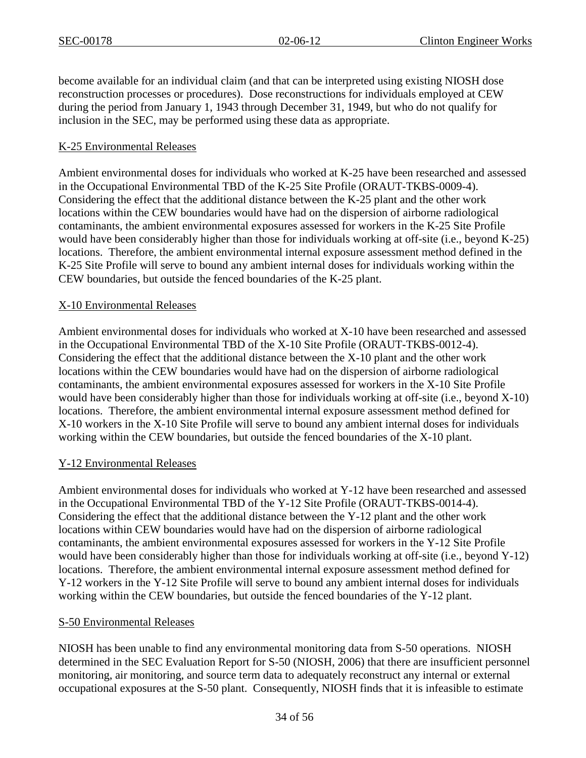become available for an individual claim (and that can be interpreted using existing NIOSH dose reconstruction processes or procedures). Dose reconstructions for individuals employed at CEW during the period from January 1, 1943 through December 31, 1949, but who do not qualify for inclusion in the SEC, may be performed using these data as appropriate.

#### K-25 Environmental Releases

Ambient environmental doses for individuals who worked at K-25 have been researched and assessed in the Occupational Environmental TBD of the K-25 Site Profile (ORAUT-TKBS-0009-4). Considering the effect that the additional distance between the K-25 plant and the other work locations within the CEW boundaries would have had on the dispersion of airborne radiological contaminants, the ambient environmental exposures assessed for workers in the K-25 Site Profile would have been considerably higher than those for individuals working at off-site (i.e., beyond K-25) locations. Therefore, the ambient environmental internal exposure assessment method defined in the K-25 Site Profile will serve to bound any ambient internal doses for individuals working within the CEW boundaries, but outside the fenced boundaries of the K-25 plant.

#### X-10 Environmental Releases

Ambient environmental doses for individuals who worked at X-10 have been researched and assessed in the Occupational Environmental TBD of the X-10 Site Profile (ORAUT-TKBS-0012-4). Considering the effect that the additional distance between the X-10 plant and the other work locations within the CEW boundaries would have had on the dispersion of airborne radiological contaminants, the ambient environmental exposures assessed for workers in the X-10 Site Profile would have been considerably higher than those for individuals working at off-site (i.e., beyond X-10) locations. Therefore, the ambient environmental internal exposure assessment method defined for X-10 workers in the X-10 Site Profile will serve to bound any ambient internal doses for individuals working within the CEW boundaries, but outside the fenced boundaries of the X-10 plant.

### Y-12 Environmental Releases

Ambient environmental doses for individuals who worked at Y-12 have been researched and assessed in the Occupational Environmental TBD of the Y-12 Site Profile (ORAUT-TKBS-0014-4). Considering the effect that the additional distance between the Y-12 plant and the other work locations within CEW boundaries would have had on the dispersion of airborne radiological contaminants, the ambient environmental exposures assessed for workers in the Y-12 Site Profile would have been considerably higher than those for individuals working at off-site (i.e., beyond Y-12) locations. Therefore, the ambient environmental internal exposure assessment method defined for Y-12 workers in the Y-12 Site Profile will serve to bound any ambient internal doses for individuals working within the CEW boundaries, but outside the fenced boundaries of the Y-12 plant.

### S-50 Environmental Releases

NIOSH has been unable to find any environmental monitoring data from S-50 operations. NIOSH determined in the SEC Evaluation Report for S-50 (NIOSH, 2006) that there are insufficient personnel monitoring, air monitoring, and source term data to adequately reconstruct any internal or external occupational exposures at the S-50 plant. Consequently, NIOSH finds that it is infeasible to estimate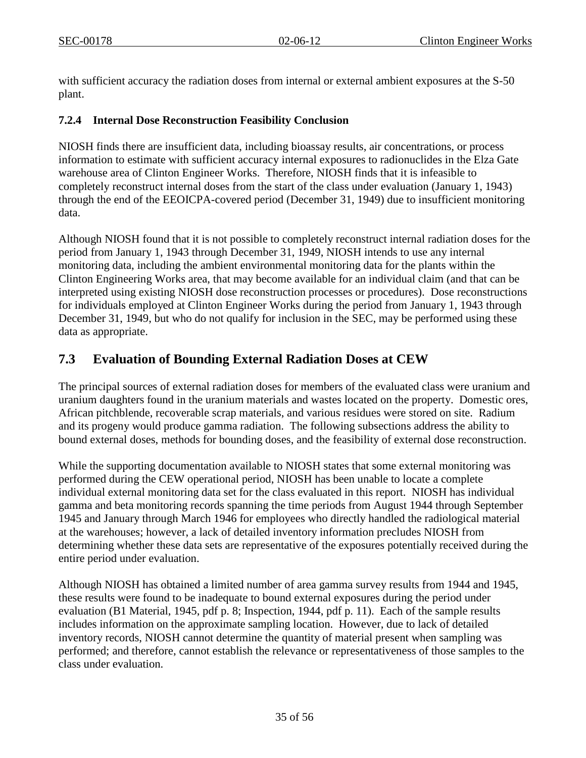with sufficient accuracy the radiation doses from internal or external ambient exposures at the S-50 plant.

### <span id="page-34-0"></span>**7.2.4 Internal Dose Reconstruction Feasibility Conclusion**

NIOSH finds there are insufficient data, including bioassay results, air concentrations, or process information to estimate with sufficient accuracy internal exposures to radionuclides in the Elza Gate warehouse area of Clinton Engineer Works. Therefore, NIOSH finds that it is infeasible to completely reconstruct internal doses from the start of the class under evaluation (January 1, 1943) through the end of the EEOICPA-covered period (December 31, 1949) due to insufficient monitoring data.

Although NIOSH found that it is not possible to completely reconstruct internal radiation doses for the period from January 1, 1943 through December 31, 1949, NIOSH intends to use any internal monitoring data, including the ambient environmental monitoring data for the plants within the Clinton Engineering Works area, that may become available for an individual claim (and that can be interpreted using existing NIOSH dose reconstruction processes or procedures). Dose reconstructions for individuals employed at Clinton Engineer Works during the period from January 1, 1943 through December 31, 1949, but who do not qualify for inclusion in the SEC, may be performed using these data as appropriate.

### <span id="page-34-1"></span>**7.3 Evaluation of Bounding External Radiation Doses at CEW**

The principal sources of external radiation doses for members of the evaluated class were uranium and uranium daughters found in the uranium materials and wastes located on the property. Domestic ores, African pitchblende, recoverable scrap materials, and various residues were stored on site. Radium and its progeny would produce gamma radiation. The following subsections address the ability to bound external doses, methods for bounding doses, and the feasibility of external dose reconstruction.

While the supporting documentation available to NIOSH states that some external monitoring was performed during the CEW operational period, NIOSH has been unable to locate a complete individual external monitoring data set for the class evaluated in this report. NIOSH has individual gamma and beta monitoring records spanning the time periods from August 1944 through September 1945 and January through March 1946 for employees who directly handled the radiological material at the warehouses; however, a lack of detailed inventory information precludes NIOSH from determining whether these data sets are representative of the exposures potentially received during the entire period under evaluation.

Although NIOSH has obtained a limited number of area gamma survey results from 1944 and 1945, these results were found to be inadequate to bound external exposures during the period under evaluation (B1 Material, 1945, pdf p. 8; Inspection, 1944, pdf p. 11). Each of the sample results includes information on the approximate sampling location. However, due to lack of detailed inventory records, NIOSH cannot determine the quantity of material present when sampling was performed; and therefore, cannot establish the relevance or representativeness of those samples to the class under evaluation.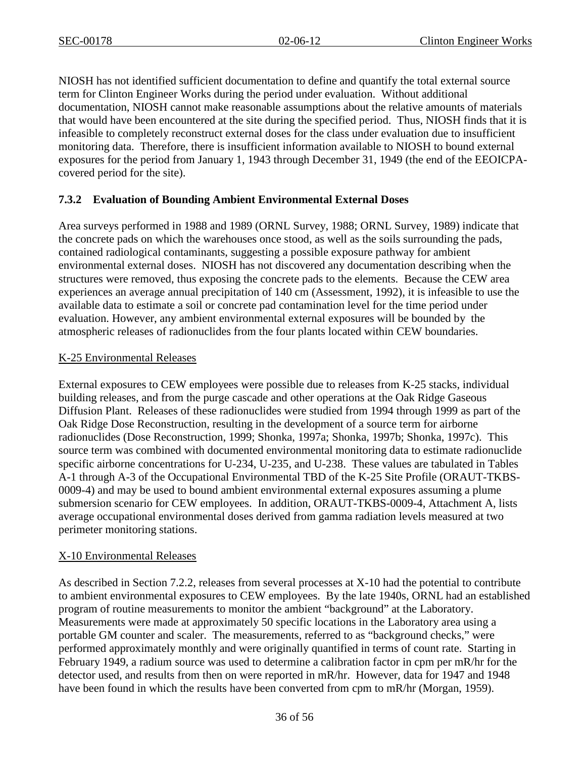NIOSH has not identified sufficient documentation to define and quantify the total external source term for Clinton Engineer Works during the period under evaluation. Without additional documentation, NIOSH cannot make reasonable assumptions about the relative amounts of materials that would have been encountered at the site during the specified period. Thus, NIOSH finds that it is infeasible to completely reconstruct external doses for the class under evaluation due to insufficient monitoring data. Therefore, there is insufficient information available to NIOSH to bound external exposures for the period from January 1, 1943 through December 31, 1949 (the end of the EEOICPAcovered period for the site).

### <span id="page-35-0"></span>**7.3.2 Evaluation of Bounding Ambient Environmental External Doses**

Area surveys performed in 1988 and 1989 (ORNL Survey, 1988; ORNL Survey, 1989) indicate that the concrete pads on which the warehouses once stood, as well as the soils surrounding the pads, contained radiological contaminants, suggesting a possible exposure pathway for ambient environmental external doses. NIOSH has not discovered any documentation describing when the structures were removed, thus exposing the concrete pads to the elements. Because the CEW area experiences an average annual precipitation of 140 cm (Assessment, 1992), it is infeasible to use the available data to estimate a soil or concrete pad contamination level for the time period under evaluation. However, any ambient environmental external exposures will be bounded by the atmospheric releases of radionuclides from the four plants located within CEW boundaries.

### K-25 Environmental Releases

External exposures to CEW employees were possible due to releases from K-25 stacks, individual building releases, and from the purge cascade and other operations at the Oak Ridge Gaseous Diffusion Plant. Releases of these radionuclides were studied from 1994 through 1999 as part of the Oak Ridge Dose Reconstruction, resulting in the development of a source term for airborne radionuclides (Dose Reconstruction, 1999; Shonka, 1997a; Shonka, 1997b; Shonka, 1997c). This source term was combined with documented environmental monitoring data to estimate radionuclide specific airborne concentrations for U-234, U-235, and U-238. These values are tabulated in Tables A-1 through A-3 of the Occupational Environmental TBD of the K-25 Site Profile (ORAUT-TKBS-0009-4) and may be used to bound ambient environmental external exposures assuming a plume submersion scenario for CEW employees. In addition, ORAUT-TKBS-0009-4, Attachment A, lists average occupational environmental doses derived from gamma radiation levels measured at two perimeter monitoring stations.

### X-10 Environmental Releases

As described in Section 7.2.2, releases from several processes at X-10 had the potential to contribute to ambient environmental exposures to CEW employees. By the late 1940s, ORNL had an established program of routine measurements to monitor the ambient "background" at the Laboratory. Measurements were made at approximately 50 specific locations in the Laboratory area using a portable GM counter and scaler. The measurements, referred to as "background checks," were performed approximately monthly and were originally quantified in terms of count rate. Starting in February 1949, a radium source was used to determine a calibration factor in cpm per mR/hr for the detector used, and results from then on were reported in mR/hr. However, data for 1947 and 1948 have been found in which the results have been converted from cpm to mR/hr (Morgan, 1959).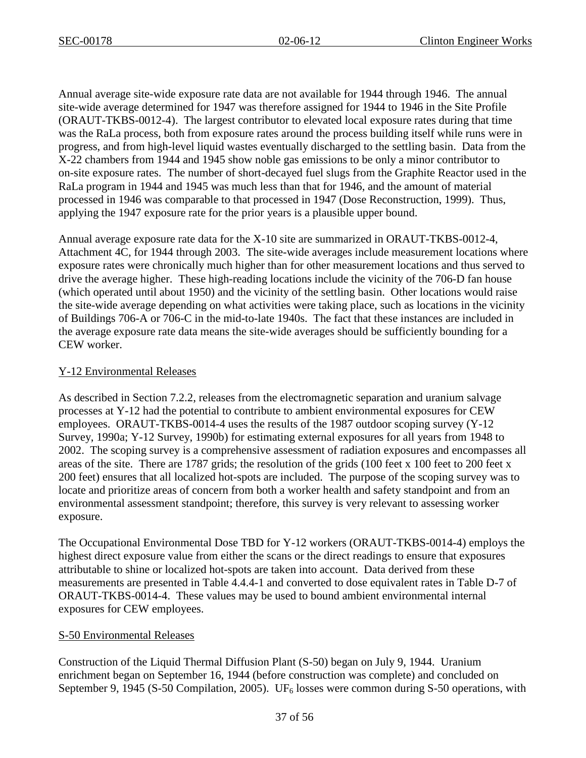Annual average site-wide exposure rate data are not available for 1944 through 1946. The annual site-wide average determined for 1947 was therefore assigned for 1944 to 1946 in the Site Profile (ORAUT-TKBS-0012-4). The largest contributor to elevated local exposure rates during that time was the RaLa process, both from exposure rates around the process building itself while runs were in progress, and from high-level liquid wastes eventually discharged to the settling basin. Data from the X-22 chambers from 1944 and 1945 show noble gas emissions to be only a minor contributor to on-site exposure rates. The number of short-decayed fuel slugs from the Graphite Reactor used in the RaLa program in 1944 and 1945 was much less than that for 1946, and the amount of material processed in 1946 was comparable to that processed in 1947 (Dose Reconstruction, 1999). Thus, applying the 1947 exposure rate for the prior years is a plausible upper bound.

Annual average exposure rate data for the X-10 site are summarized in ORAUT-TKBS-0012-4, Attachment 4C, for 1944 through 2003. The site-wide averages include measurement locations where exposure rates were chronically much higher than for other measurement locations and thus served to drive the average higher. These high-reading locations include the vicinity of the 706-D fan house (which operated until about 1950) and the vicinity of the settling basin. Other locations would raise the site-wide average depending on what activities were taking place, such as locations in the vicinity of Buildings 706-A or 706-C in the mid-to-late 1940s. The fact that these instances are included in the average exposure rate data means the site-wide averages should be sufficiently bounding for a CEW worker.

### Y-12 Environmental Releases

As described in Section 7.2.2, releases from the electromagnetic separation and uranium salvage processes at Y-12 had the potential to contribute to ambient environmental exposures for CEW employees. ORAUT-TKBS-0014-4 uses the results of the 1987 outdoor scoping survey (Y-12 Survey, 1990a; Y-12 Survey, 1990b) for estimating external exposures for all years from 1948 to 2002. The scoping survey is a comprehensive assessment of radiation exposures and encompasses all areas of the site. There are 1787 grids; the resolution of the grids (100 feet x 100 feet to 200 feet x 200 feet) ensures that all localized hot-spots are included. The purpose of the scoping survey was to locate and prioritize areas of concern from both a worker health and safety standpoint and from an environmental assessment standpoint; therefore, this survey is very relevant to assessing worker exposure.

The Occupational Environmental Dose TBD for Y-12 workers (ORAUT-TKBS-0014-4) employs the highest direct exposure value from either the scans or the direct readings to ensure that exposures attributable to shine or localized hot-spots are taken into account. Data derived from these measurements are presented in Table 4.4.4-1 and converted to dose equivalent rates in Table D-7 of ORAUT-TKBS-0014-4. These values may be used to bound ambient environmental internal exposures for CEW employees.

### S-50 Environmental Releases

Construction of the Liquid Thermal Diffusion Plant (S-50) began on July 9, 1944. Uranium enrichment began on September 16, 1944 (before construction was complete) and concluded on September 9, 1945 (S-50 Compilation, 2005). UF<sub>6</sub> losses were common during S-50 operations, with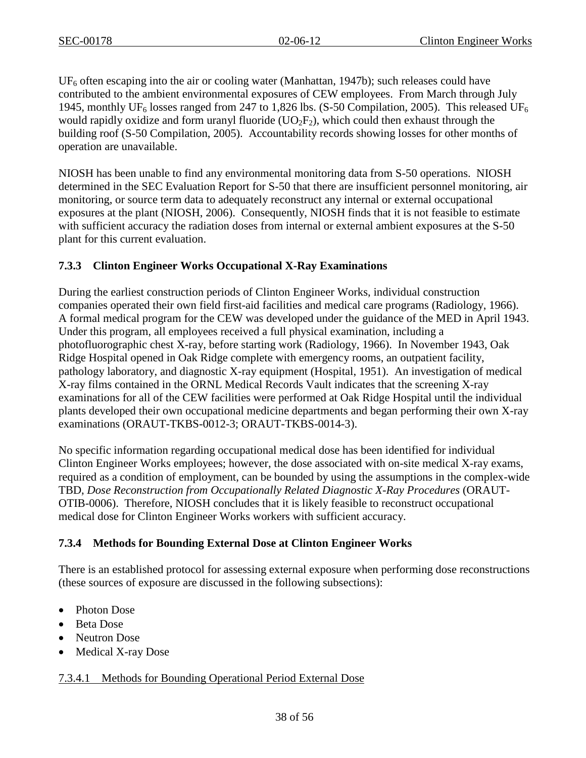$UF<sub>6</sub>$  often escaping into the air or cooling water (Manhattan, 1947b); such releases could have contributed to the ambient environmental exposures of CEW employees. From March through July 1945, monthly UF<sub>6</sub> losses ranged from 247 to 1,826 lbs. (S-50 Compilation, 2005). This released UF<sub>6</sub> would rapidly oxidize and form uranyl fluoride  $(UO_2F_2)$ , which could then exhaust through the building roof (S-50 Compilation, 2005). Accountability records showing losses for other months of operation are unavailable.

NIOSH has been unable to find any environmental monitoring data from S-50 operations. NIOSH determined in the SEC Evaluation Report for S-50 that there are insufficient personnel monitoring, air monitoring, or source term data to adequately reconstruct any internal or external occupational exposures at the plant (NIOSH, 2006). Consequently, NIOSH finds that it is not feasible to estimate with sufficient accuracy the radiation doses from internal or external ambient exposures at the S-50 plant for this current evaluation.

### <span id="page-37-0"></span>**7.3.3 Clinton Engineer Works Occupational X-Ray Examinations**

During the earliest construction periods of Clinton Engineer Works, individual construction companies operated their own field first-aid facilities and medical care programs (Radiology, 1966). A formal medical program for the CEW was developed under the guidance of the MED in April 1943. Under this program, all employees received a full physical examination, including a photofluorographic chest X-ray, before starting work (Radiology, 1966). In November 1943, Oak Ridge Hospital opened in Oak Ridge complete with emergency rooms, an outpatient facility, pathology laboratory, and diagnostic X-ray equipment (Hospital, 1951). An investigation of medical X-ray films contained in the ORNL Medical Records Vault indicates that the screening X-ray examinations for all of the CEW facilities were performed at Oak Ridge Hospital until the individual plants developed their own occupational medicine departments and began performing their own X-ray examinations (ORAUT-TKBS-0012-3; ORAUT-TKBS-0014-3).

No specific information regarding occupational medical dose has been identified for individual Clinton Engineer Works employees; however, the dose associated with on-site medical X-ray exams, required as a condition of employment, can be bounded by using the assumptions in the complex-wide TBD, *Dose Reconstruction from Occupationally Related Diagnostic X-Ray Procedures* (ORAUT-OTIB-0006). Therefore, NIOSH concludes that it is likely feasible to reconstruct occupational medical dose for Clinton Engineer Works workers with sufficient accuracy.

### <span id="page-37-1"></span>**7.3.4 Methods for Bounding External Dose at Clinton Engineer Works**

There is an established protocol for assessing external exposure when performing dose reconstructions (these sources of exposure are discussed in the following subsections):

- Photon Dose
- Beta Dose
- Neutron Dose
- Medical X-ray Dose

### <span id="page-37-2"></span>7.3.4.1 Methods for Bounding Operational Period External Dose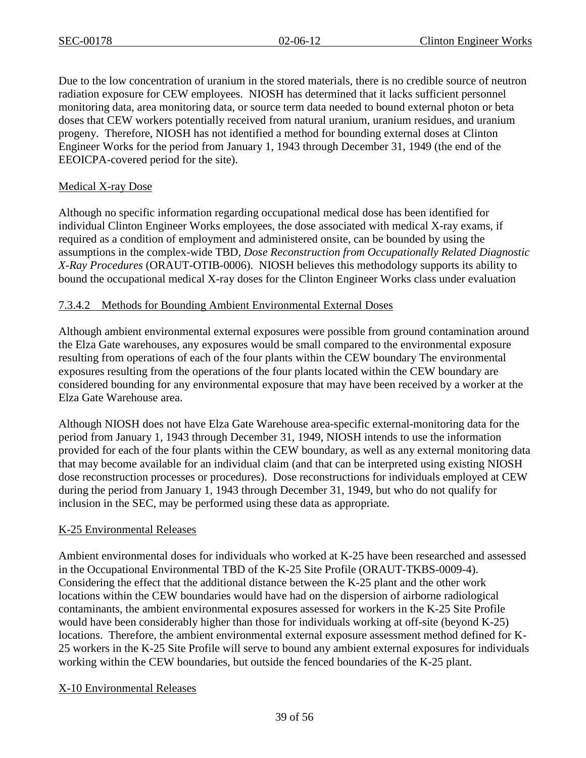Due to the low concentration of uranium in the stored materials, there is no credible source of neutron radiation exposure for CEW employees. NIOSH has determined that it lacks sufficient personnel monitoring data, area monitoring data, or source term data needed to bound external photon or beta doses that CEW workers potentially received from natural uranium, uranium residues, and uranium progeny. Therefore, NIOSH has not identified a method for bounding external doses at Clinton Engineer Works for the period from January 1, 1943 through December 31, 1949 (the end of the EEOICPA-covered period for the site).

### Medical X-ray Dose

Although no specific information regarding occupational medical dose has been identified for individual Clinton Engineer Works employees, the dose associated with medical X-ray exams, if required as a condition of employment and administered onsite, can be bounded by using the assumptions in the complex-wide TBD, *Dose Reconstruction from Occupationally Related Diagnostic X-Ray Procedures* (ORAUT-OTIB-0006). NIOSH believes this methodology supports its ability to bound the occupational medical X-ray doses for the Clinton Engineer Works class under evaluation

#### <span id="page-38-0"></span>7.3.4.2 Methods for Bounding Ambient Environmental External Doses

Although ambient environmental external exposures were possible from ground contamination around the Elza Gate warehouses, any exposures would be small compared to the environmental exposure resulting from operations of each of the four plants within the CEW boundary The environmental exposures resulting from the operations of the four plants located within the CEW boundary are considered bounding for any environmental exposure that may have been received by a worker at the Elza Gate Warehouse area.

Although NIOSH does not have Elza Gate Warehouse area-specific external-monitoring data for the period from January 1, 1943 through December 31, 1949, NIOSH intends to use the information provided for each of the four plants within the CEW boundary, as well as any external monitoring data that may become available for an individual claim (and that can be interpreted using existing NIOSH dose reconstruction processes or procedures). Dose reconstructions for individuals employed at CEW during the period from January 1, 1943 through December 31, 1949, but who do not qualify for inclusion in the SEC, may be performed using these data as appropriate.

### K-25 Environmental Releases

Ambient environmental doses for individuals who worked at K-25 have been researched and assessed in the Occupational Environmental TBD of the K-25 Site Profile (ORAUT-TKBS-0009-4). Considering the effect that the additional distance between the K-25 plant and the other work locations within the CEW boundaries would have had on the dispersion of airborne radiological contaminants, the ambient environmental exposures assessed for workers in the K-25 Site Profile would have been considerably higher than those for individuals working at off-site (beyond K-25) locations. Therefore, the ambient environmental external exposure assessment method defined for K-25 workers in the K-25 Site Profile will serve to bound any ambient external exposures for individuals working within the CEW boundaries, but outside the fenced boundaries of the K-25 plant.

#### X-10 Environmental Releases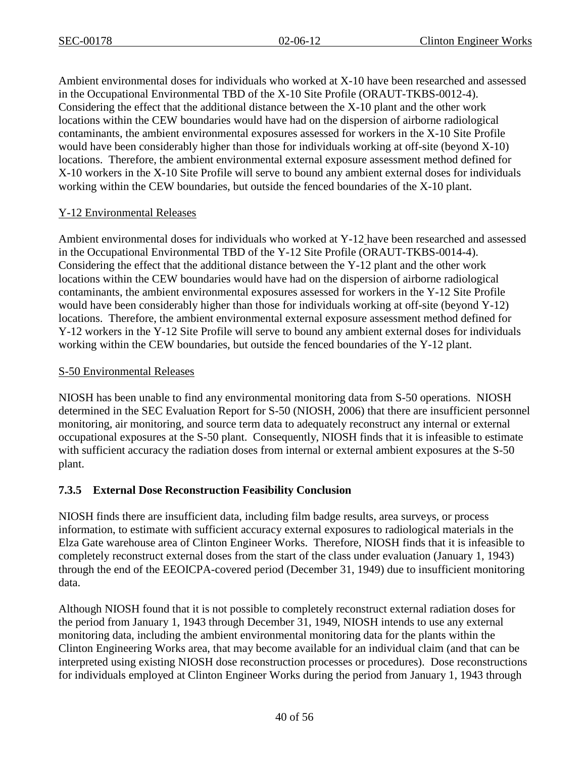Ambient environmental doses for individuals who worked at X-10 have been researched and assessed in the Occupational Environmental TBD of the X-10 Site Profile (ORAUT-TKBS-0012-4). Considering the effect that the additional distance between the X-10 plant and the other work locations within the CEW boundaries would have had on the dispersion of airborne radiological contaminants, the ambient environmental exposures assessed for workers in the X-10 Site Profile would have been considerably higher than those for individuals working at off-site (beyond X-10) locations. Therefore, the ambient environmental external exposure assessment method defined for X-10 workers in the X-10 Site Profile will serve to bound any ambient external doses for individuals working within the CEW boundaries, but outside the fenced boundaries of the X-10 plant.

#### Y-12 Environmental Releases

Ambient environmental doses for individuals who worked at Y-12 have been researched and assessed in the Occupational Environmental TBD of the Y-12 Site Profile (ORAUT-TKBS-0014-4). Considering the effect that the additional distance between the Y-12 plant and the other work locations within the CEW boundaries would have had on the dispersion of airborne radiological contaminants, the ambient environmental exposures assessed for workers in the Y-12 Site Profile would have been considerably higher than those for individuals working at off-site (beyond Y-12) locations. Therefore, the ambient environmental external exposure assessment method defined for Y-12 workers in the Y-12 Site Profile will serve to bound any ambient external doses for individuals working within the CEW boundaries, but outside the fenced boundaries of the Y-12 plant.

#### S-50 Environmental Releases

NIOSH has been unable to find any environmental monitoring data from S-50 operations. NIOSH determined in the SEC Evaluation Report for S-50 (NIOSH, 2006) that there are insufficient personnel monitoring, air monitoring, and source term data to adequately reconstruct any internal or external occupational exposures at the S-50 plant. Consequently, NIOSH finds that it is infeasible to estimate with sufficient accuracy the radiation doses from internal or external ambient exposures at the S-50 plant.

### <span id="page-39-0"></span>**7.3.5 External Dose Reconstruction Feasibility Conclusion**

NIOSH finds there are insufficient data, including film badge results, area surveys, or process information, to estimate with sufficient accuracy external exposures to radiological materials in the Elza Gate warehouse area of Clinton Engineer Works. Therefore, NIOSH finds that it is infeasible to completely reconstruct external doses from the start of the class under evaluation (January 1, 1943) through the end of the EEOICPA-covered period (December 31, 1949) due to insufficient monitoring data.

Although NIOSH found that it is not possible to completely reconstruct external radiation doses for the period from January 1, 1943 through December 31, 1949, NIOSH intends to use any external monitoring data, including the ambient environmental monitoring data for the plants within the Clinton Engineering Works area, that may become available for an individual claim (and that can be interpreted using existing NIOSH dose reconstruction processes or procedures). Dose reconstructions for individuals employed at Clinton Engineer Works during the period from January 1, 1943 through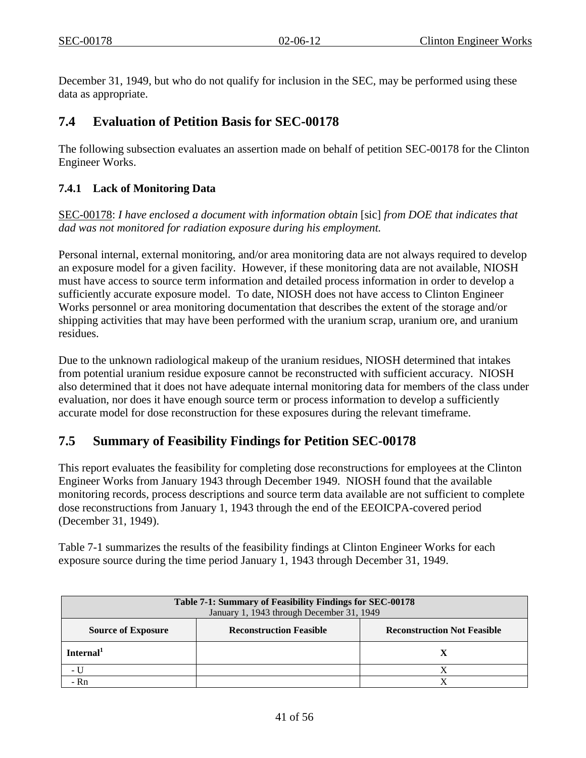December 31, 1949, but who do not qualify for inclusion in the SEC, may be performed using these data as appropriate.

### <span id="page-40-0"></span>**7.4 Evaluation of Petition Basis for SEC-00178**

The following subsection evaluates an assertion made on behalf of petition SEC-00178 for the Clinton Engineer Works.

### <span id="page-40-1"></span>**7.4.1 Lack of Monitoring Data**

SEC-00178: *I have enclosed a document with information obtain* [sic] *from DOE that indicates that dad was not monitored for radiation exposure during his employment.*

Personal internal, external monitoring, and/or area monitoring data are not always required to develop an exposure model for a given facility. However, if these monitoring data are not available, NIOSH must have access to source term information and detailed process information in order to develop a sufficiently accurate exposure model. To date, NIOSH does not have access to Clinton Engineer Works personnel or area monitoring documentation that describes the extent of the storage and/or shipping activities that may have been performed with the uranium scrap, uranium ore, and uranium residues.

Due to the unknown radiological makeup of the uranium residues, NIOSH determined that intakes from potential uranium residue exposure cannot be reconstructed with sufficient accuracy. NIOSH also determined that it does not have adequate internal monitoring data for members of the class under evaluation, nor does it have enough source term or process information to develop a sufficiently accurate model for dose reconstruction for these exposures during the relevant timeframe.

### <span id="page-40-2"></span>**7.5 Summary of Feasibility Findings for Petition SEC-00178**

This report evaluates the feasibility for completing dose reconstructions for employees at the Clinton Engineer Works from January 1943 through December 1949. NIOSH found that the available monitoring records, process descriptions and source term data available are not sufficient to complete dose reconstructions from January 1, 1943 through the end of the EEOICPA-covered period (December 31, 1949).

Table 7-1 summarizes the results of the feasibility findings at Clinton Engineer Works for each exposure source during the time period January 1, 1943 through December 31, 1949.

| Table 7-1: Summary of Feasibility Findings for SEC-00178<br>January 1, 1943 through December 31, 1949 |  |  |  |  |
|-------------------------------------------------------------------------------------------------------|--|--|--|--|
| <b>Source of Exposure</b><br><b>Reconstruction Feasible</b><br><b>Reconstruction Not Feasible</b>     |  |  |  |  |
| Internal <sup>1</sup>                                                                                 |  |  |  |  |
|                                                                                                       |  |  |  |  |
| $-Rn$                                                                                                 |  |  |  |  |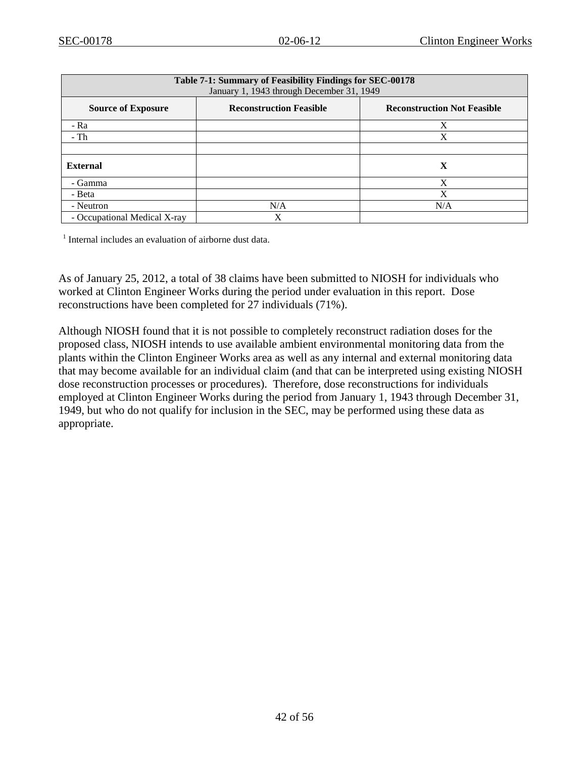| Table 7-1: Summary of Feasibility Findings for SEC-00178<br>January 1, 1943 through December 31, 1949 |                                |                                    |  |
|-------------------------------------------------------------------------------------------------------|--------------------------------|------------------------------------|--|
| <b>Source of Exposure</b>                                                                             | <b>Reconstruction Feasible</b> | <b>Reconstruction Not Feasible</b> |  |
| $-Ra$                                                                                                 |                                | X                                  |  |
| $-Th$                                                                                                 |                                | X                                  |  |
|                                                                                                       |                                |                                    |  |
| <b>External</b>                                                                                       |                                | Х                                  |  |
| - Gamma                                                                                               |                                | X                                  |  |
| - Beta                                                                                                |                                | X                                  |  |
| - Neutron                                                                                             | N/A                            | N/A                                |  |
| - Occupational Medical X-ray                                                                          | X                              |                                    |  |

 $1$  Internal includes an evaluation of airborne dust data.

As of January 25, 2012, a total of 38 claims have been submitted to NIOSH for individuals who worked at Clinton Engineer Works during the period under evaluation in this report. Dose reconstructions have been completed for 27 individuals (71%).

Although NIOSH found that it is not possible to completely reconstruct radiation doses for the proposed class, NIOSH intends to use available ambient environmental monitoring data from the plants within the Clinton Engineer Works area as well as any internal and external monitoring data that may become available for an individual claim (and that can be interpreted using existing NIOSH dose reconstruction processes or procedures). Therefore, dose reconstructions for individuals employed at Clinton Engineer Works during the period from January 1, 1943 through December 31, 1949, but who do not qualify for inclusion in the SEC, may be performed using these data as appropriate.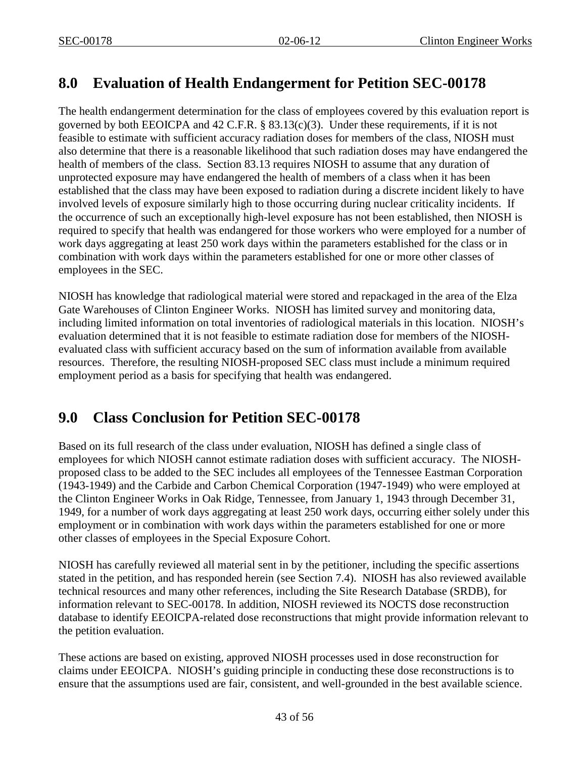# <span id="page-42-0"></span>**8.0 Evaluation of Health Endangerment for Petition SEC-00178**

The health endangerment determination for the class of employees covered by this evaluation report is governed by both EEOICPA and 42 C.F.R. § 83.13(c)(3). Under these requirements, if it is not feasible to estimate with sufficient accuracy radiation doses for members of the class, NIOSH must also determine that there is a reasonable likelihood that such radiation doses may have endangered the health of members of the class. Section 83.13 requires NIOSH to assume that any duration of unprotected exposure may have endangered the health of members of a class when it has been established that the class may have been exposed to radiation during a discrete incident likely to have involved levels of exposure similarly high to those occurring during nuclear criticality incidents. If the occurrence of such an exceptionally high-level exposure has not been established, then NIOSH is required to specify that health was endangered for those workers who were employed for a number of work days aggregating at least 250 work days within the parameters established for the class or in combination with work days within the parameters established for one or more other classes of employees in the SEC.

NIOSH has knowledge that radiological material were stored and repackaged in the area of the Elza Gate Warehouses of Clinton Engineer Works. NIOSH has limited survey and monitoring data, including limited information on total inventories of radiological materials in this location. NIOSH's evaluation determined that it is not feasible to estimate radiation dose for members of the NIOSHevaluated class with sufficient accuracy based on the sum of information available from available resources. Therefore, the resulting NIOSH-proposed SEC class must include a minimum required employment period as a basis for specifying that health was endangered.

# <span id="page-42-1"></span>**9.0 Class Conclusion for Petition SEC-00178**

Based on its full research of the class under evaluation, NIOSH has defined a single class of employees for which NIOSH cannot estimate radiation doses with sufficient accuracy. The NIOSHproposed class to be added to the SEC includes all employees of the Tennessee Eastman Corporation (1943-1949) and the Carbide and Carbon Chemical Corporation (1947-1949) who were employed at the Clinton Engineer Works in Oak Ridge, Tennessee, from January 1, 1943 through December 31, 1949, for a number of work days aggregating at least 250 work days, occurring either solely under this employment or in combination with work days within the parameters established for one or more other classes of employees in the Special Exposure Cohort.

NIOSH has carefully reviewed all material sent in by the petitioner, including the specific assertions stated in the petition, and has responded herein (see Section 7.4). NIOSH has also reviewed available technical resources and many other references, including the Site Research Database (SRDB), for information relevant to SEC-00178. In addition, NIOSH reviewed its NOCTS dose reconstruction database to identify EEOICPA-related dose reconstructions that might provide information relevant to the petition evaluation.

These actions are based on existing, approved NIOSH processes used in dose reconstruction for claims under EEOICPA. NIOSH's guiding principle in conducting these dose reconstructions is to ensure that the assumptions used are fair, consistent, and well-grounded in the best available science.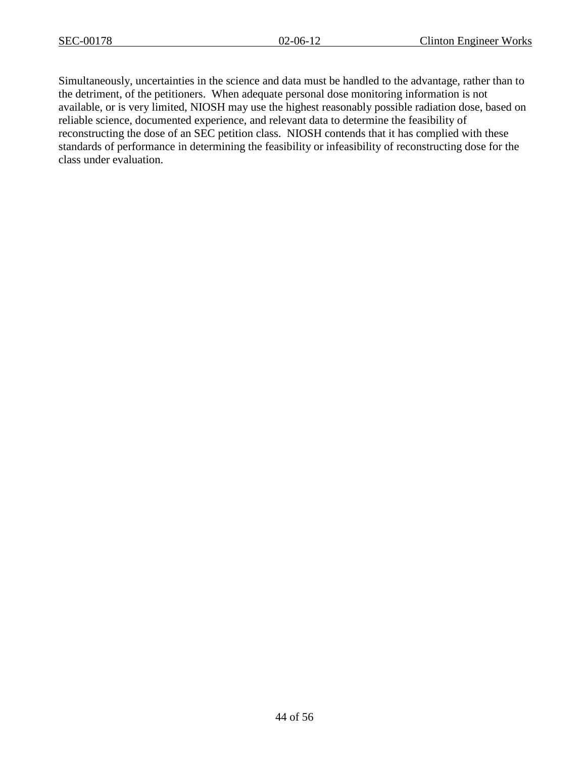Simultaneously, uncertainties in the science and data must be handled to the advantage, rather than to the detriment, of the petitioners. When adequate personal dose monitoring information is not available, or is very limited, NIOSH may use the highest reasonably possible radiation dose, based on reliable science, documented experience, and relevant data to determine the feasibility of reconstructing the dose of an SEC petition class. NIOSH contends that it has complied with these standards of performance in determining the feasibility or infeasibility of reconstructing dose for the class under evaluation.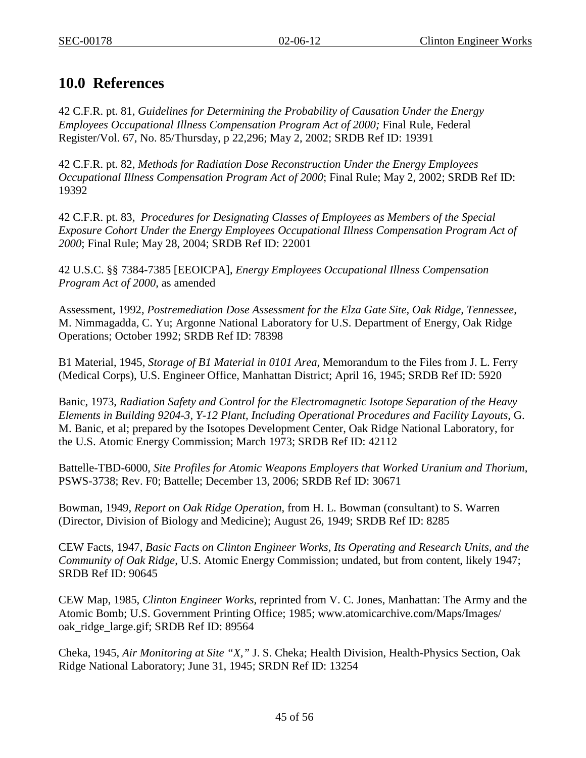# <span id="page-44-0"></span>**10.0 References**

42 C.F.R. pt. 81, *Guidelines for Determining the Probability of Causation Under the Energy Employees Occupational Illness Compensation Program Act of 2000;* Final Rule, Federal Register/Vol. 67, No. 85/Thursday, p 22,296; May 2, 2002; SRDB Ref ID: 19391

42 C.F.R. pt. 82, *Methods for Radiation Dose Reconstruction Under the Energy Employees Occupational Illness Compensation Program Act of 2000*; Final Rule; May 2, 2002; SRDB Ref ID: 19392

42 C.F.R. pt. 83, *Procedures for Designating Classes of Employees as Members of the Special Exposure Cohort Under the Energy Employees Occupational Illness Compensation Program Act of 2000*; Final Rule; May 28, 2004; SRDB Ref ID: 22001

42 U.S.C. §§ 7384-7385 [EEOICPA], *Energy Employees Occupational Illness Compensation Program Act of 2000*, as amended

Assessment, 1992, *Postremediation Dose Assessment for the Elza Gate Site, Oak Ridge, Tennessee*, M. Nimmagadda, C. Yu; Argonne National Laboratory for U.S. Department of Energy, Oak Ridge Operations; October 1992; SRDB Ref ID: 78398

B1 Material, 1945, *Storage of B1 Material in 0101 Area*, Memorandum to the Files from J. L. Ferry (Medical Corps), U.S. Engineer Office, Manhattan District; April 16, 1945; SRDB Ref ID: 5920

Banic, 1973, *Radiation Safety and Control for the Electromagnetic Isotope Separation of the Heavy Elements in Building 9204-3, Y-12 Plant, Including Operational Procedures and Facility Layouts*, G. M. Banic, et al; prepared by the Isotopes Development Center, Oak Ridge National Laboratory, for the U.S. Atomic Energy Commission; March 1973; SRDB Ref ID: 42112

Battelle-TBD-6000, *Site Profiles for Atomic Weapons Employers that Worked Uranium and Thorium*, PSWS-3738; Rev. F0; Battelle; December 13, 2006; SRDB Ref ID: 30671

Bowman, 1949, *Report on Oak Ridge Operation*, from H. L. Bowman (consultant) to S. Warren (Director, Division of Biology and Medicine); August 26, 1949; SRDB Ref ID: 8285

CEW Facts, 1947, *Basic Facts on Clinton Engineer Works, Its Operating and Research Units, and the Community of Oak Ridge*, U.S. Atomic Energy Commission; undated, but from content, likely 1947; SRDB Ref ID: 90645

CEW Map, 1985, *Clinton Engineer Works*, reprinted from V. C. Jones, Manhattan: The Army and the Atomic Bomb; U.S. Government Printing Office; 1985; www.atomicarchive.com/Maps/Images/ oak\_ridge\_large.gif; SRDB Ref ID: 89564

Cheka, 1945, *Air Monitoring at Site "X,"* J. S. Cheka; Health Division, Health-Physics Section, Oak Ridge National Laboratory; June 31, 1945; SRDN Ref ID: 13254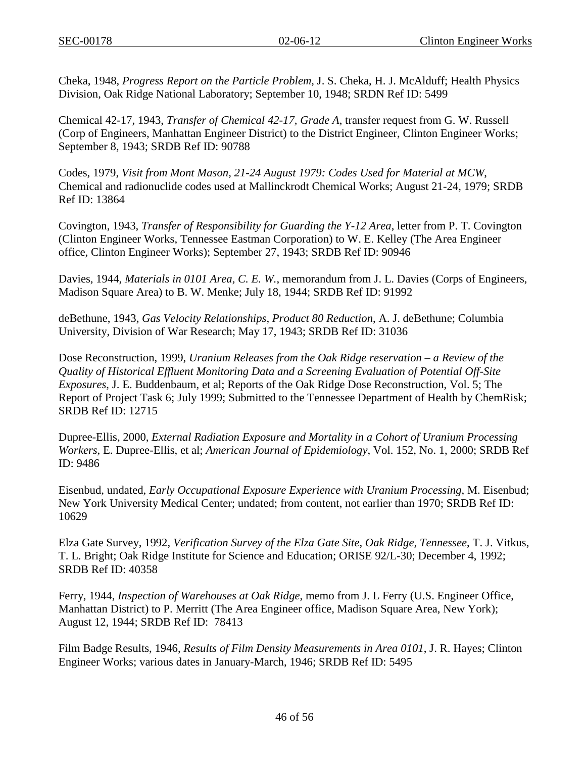Cheka, 1948, *Progress Report on the Particle Problem,* J. S. Cheka, H. J. McAlduff; Health Physics Division, Oak Ridge National Laboratory; September 10, 1948; SRDN Ref ID: 5499

Chemical 42-17, 1943, *Transfer of Chemical 42-17, Grade A*, transfer request from G. W. Russell (Corp of Engineers, Manhattan Engineer District) to the District Engineer, Clinton Engineer Works; September 8, 1943; SRDB Ref ID: 90788

Codes, 1979, *Visit from Mont Mason, 21-24 August 1979: Codes Used for Material at MCW*, Chemical and radionuclide codes used at Mallinckrodt Chemical Works; August 21-24, 1979; SRDB Ref ID: 13864

Covington, 1943, *Transfer of Responsibility for Guarding the Y-12 Area*, letter from P. T. Covington (Clinton Engineer Works, Tennessee Eastman Corporation) to W. E. Kelley (The Area Engineer office, Clinton Engineer Works); September 27, 1943; SRDB Ref ID: 90946

Davies, 1944, *Materials in 0101 Area, C. E. W.*, memorandum from J. L. Davies (Corps of Engineers, Madison Square Area) to B. W. Menke; July 18, 1944; SRDB Ref ID: 91992

deBethune, 1943, *Gas Velocity Relationships, Product 80 Reduction*, A. J. deBethune; Columbia University, Division of War Research; May 17, 1943; SRDB Ref ID: 31036

Dose Reconstruction, 1999, *Uranium Releases from the Oak Ridge reservation – a Review of the Quality of Historical Effluent Monitoring Data and a Screening Evaluation of Potential Off-Site Exposures*, J. E. Buddenbaum, et al; Reports of the Oak Ridge Dose Reconstruction, Vol. 5; The Report of Project Task 6; July 1999; Submitted to the Tennessee Department of Health by ChemRisk; SRDB Ref ID: 12715

Dupree-Ellis, 2000, *External Radiation Exposure and Mortality in a Cohort of Uranium Processing Workers*, E. Dupree-Ellis, et al; *American Journal of Epidemiology*, Vol. 152, No. 1, 2000; SRDB Ref ID: 9486

Eisenbud, undated, *Early Occupational Exposure Experience with Uranium Processing*, M. Eisenbud; New York University Medical Center; undated; from content, not earlier than 1970; SRDB Ref ID: 10629

Elza Gate Survey, 1992, *Verification Survey of the Elza Gate Site, Oak Ridge, Tennessee*, T. J. Vitkus, T. L. Bright; Oak Ridge Institute for Science and Education; ORISE 92/L-30; December 4, 1992; SRDB Ref ID: 40358

Ferry, 1944, *Inspection of Warehouses at Oak Ridge*, memo from J. L Ferry (U.S. Engineer Office, Manhattan District) to P. Merritt (The Area Engineer office, Madison Square Area, New York); August 12, 1944; SRDB Ref ID: 78413

Film Badge Results, 1946, *Results of Film Density Measurements in Area 0101*, J. R. Hayes; Clinton Engineer Works; various dates in January-March, 1946; SRDB Ref ID: 5495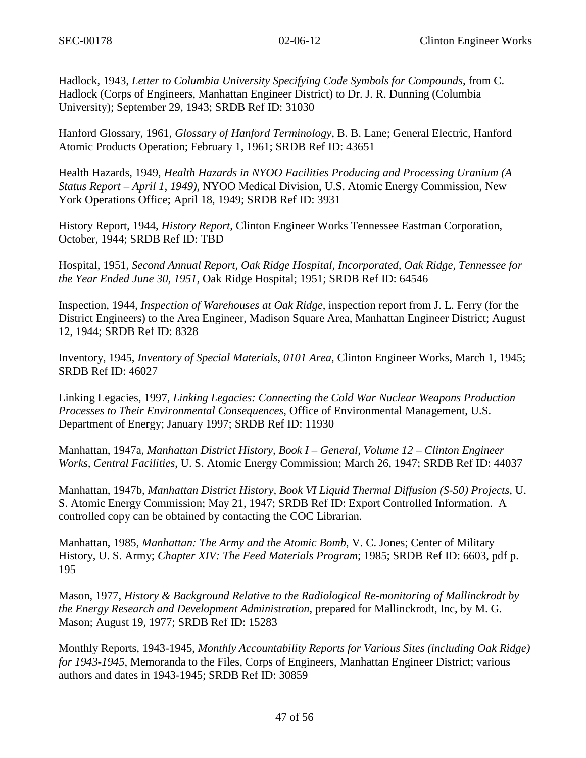Hadlock, 1943, *Letter to Columbia University Specifying Code Symbols for Compounds*, from C. Hadlock (Corps of Engineers, Manhattan Engineer District) to Dr. J. R. Dunning (Columbia University); September 29, 1943; SRDB Ref ID: 31030

Hanford Glossary, 1961, *Glossary of Hanford Terminology*, B. B. Lane; General Electric, Hanford Atomic Products Operation; February 1, 1961; SRDB Ref ID: 43651

Health Hazards, 1949, *Health Hazards in NYOO Facilities Producing and Processing Uranium (A Status Report – April 1, 1949)*, NYOO Medical Division, U.S. Atomic Energy Commission, New York Operations Office; April 18, 1949; SRDB Ref ID: 3931

History Report, 1944, *History Report,* Clinton Engineer Works Tennessee Eastman Corporation, October, 1944; SRDB Ref ID: TBD

Hospital, 1951, *Second Annual Report, Oak Ridge Hospital, Incorporated, Oak Ridge, Tennessee for the Year Ended June 30, 1951*, Oak Ridge Hospital; 1951; SRDB Ref ID: 64546

Inspection, 1944, *Inspection of Warehouses at Oak Ridge*, inspection report from J. L. Ferry (for the District Engineers) to the Area Engineer, Madison Square Area, Manhattan Engineer District; August 12, 1944; SRDB Ref ID: 8328

Inventory, 1945, *Inventory of Special Materials, 0101 Area*, Clinton Engineer Works, March 1, 1945; SRDB Ref ID: 46027

Linking Legacies, 1997, *Linking Legacies: Connecting the Cold War Nuclear Weapons Production Processes to Their Environmental Consequences*, Office of Environmental Management, U.S. Department of Energy; January 1997; SRDB Ref ID: 11930

Manhattan, 1947a, *Manhattan District History, Book I – General, Volume 12 – Clinton Engineer Works, Central Facilities*, U. S. Atomic Energy Commission; March 26, 1947; SRDB Ref ID: 44037

Manhattan, 1947b, *Manhattan District History, Book VI Liquid Thermal Diffusion (S-50) Projects*, U. S. Atomic Energy Commission; May 21, 1947; SRDB Ref ID: Export Controlled Information. A controlled copy can be obtained by contacting the COC Librarian.

Manhattan, 1985, *Manhattan: The Army and the Atomic Bomb*, V. C. Jones; Center of Military History, U. S. Army; *Chapter XIV: The Feed Materials Program*; 1985; SRDB Ref ID: 6603, pdf p. 195

Mason, 1977, *History & Background Relative to the Radiological Re-monitoring of Mallinckrodt by the Energy Research and Development Administration*, prepared for Mallinckrodt, Inc, by M. G. Mason; August 19, 1977; SRDB Ref ID: 15283

Monthly Reports, 1943-1945, *Monthly Accountability Reports for Various Sites (including Oak Ridge) for 1943-1945*, Memoranda to the Files, Corps of Engineers, Manhattan Engineer District; various authors and dates in 1943-1945; SRDB Ref ID: 30859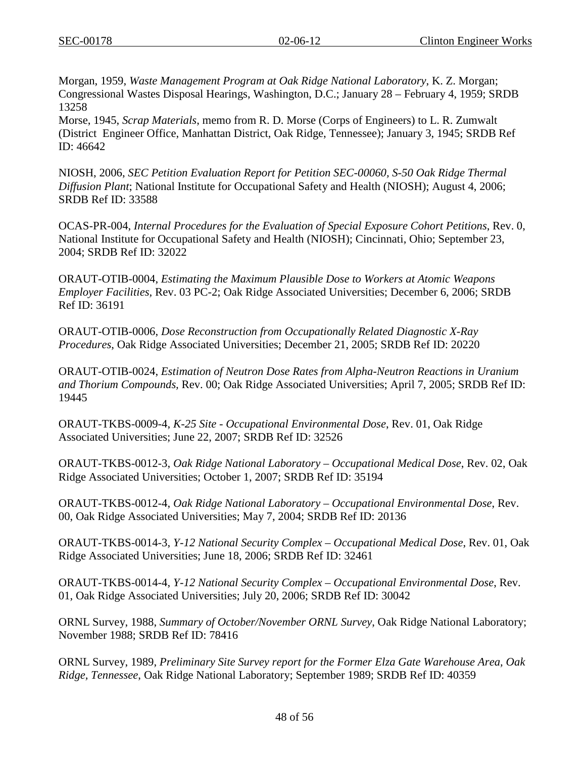Morgan, 1959, *Waste Management Program at Oak Ridge National Laboratory*, K. Z. Morgan; Congressional Wastes Disposal Hearings, Washington, D.C.; January 28 – February 4, 1959; SRDB 13258

Morse, 1945, *Scrap Materials*, memo from R. D. Morse (Corps of Engineers) to L. R. Zumwalt (District Engineer Office, Manhattan District, Oak Ridge, Tennessee); January 3, 1945; SRDB Ref ID: 46642

NIOSH, 2006, *SEC Petition Evaluation Report for Petition SEC-00060, S-50 Oak Ridge Thermal Diffusion Plant*; National Institute for Occupational Safety and Health (NIOSH); August 4, 2006; SRDB Ref ID: 33588

OCAS-PR-004, *Internal Procedures for the Evaluation of Special Exposure Cohort Petitions*, Rev. 0, National Institute for Occupational Safety and Health (NIOSH); Cincinnati, Ohio; September 23, 2004; SRDB Ref ID: 32022

ORAUT-OTIB-0004, *Estimating the Maximum Plausible Dose to Workers at Atomic Weapons Employer Facilities,* Rev. 03 PC-2; Oak Ridge Associated Universities; December 6, 2006; SRDB Ref ID: 36191

ORAUT-OTIB-0006, *Dose Reconstruction from Occupationally Related Diagnostic X-Ray Procedures*, Oak Ridge Associated Universities; December 21, 2005; SRDB Ref ID: 20220

ORAUT-OTIB-0024, *Estimation of Neutron Dose Rates from Alpha-Neutron Reactions in Uranium and Thorium Compounds,* Rev. 00; Oak Ridge Associated Universities; April 7, 2005; SRDB Ref ID: 19445

ORAUT-TKBS-0009-4, *K-25 Site - Occupational Environmental Dose*, Rev. 01, Oak Ridge Associated Universities; June 22, 2007; SRDB Ref ID: 32526

ORAUT-TKBS-0012-3, *Oak Ridge National Laboratory – Occupational Medical Dose*, Rev. 02, Oak Ridge Associated Universities; October 1, 2007; SRDB Ref ID: 35194

ORAUT-TKBS-0012-4, *Oak Ridge National Laboratory – Occupational Environmental Dose*, Rev. 00, Oak Ridge Associated Universities; May 7, 2004; SRDB Ref ID: 20136

ORAUT-TKBS-0014-3, *Y-12 National Security Complex – Occupational Medical Dose*, Rev. 01, Oak Ridge Associated Universities; June 18, 2006; SRDB Ref ID: 32461

ORAUT-TKBS-0014-4, *Y-12 National Security Complex – Occupational Environmental Dose*, Rev. 01, Oak Ridge Associated Universities; July 20, 2006; SRDB Ref ID: 30042

ORNL Survey, 1988, *Summary of October/November ORNL Survey*, Oak Ridge National Laboratory; November 1988; SRDB Ref ID: 78416

ORNL Survey, 1989, *Preliminary Site Survey report for the Former Elza Gate Warehouse Area, Oak Ridge, Tennessee*, Oak Ridge National Laboratory; September 1989; SRDB Ref ID: 40359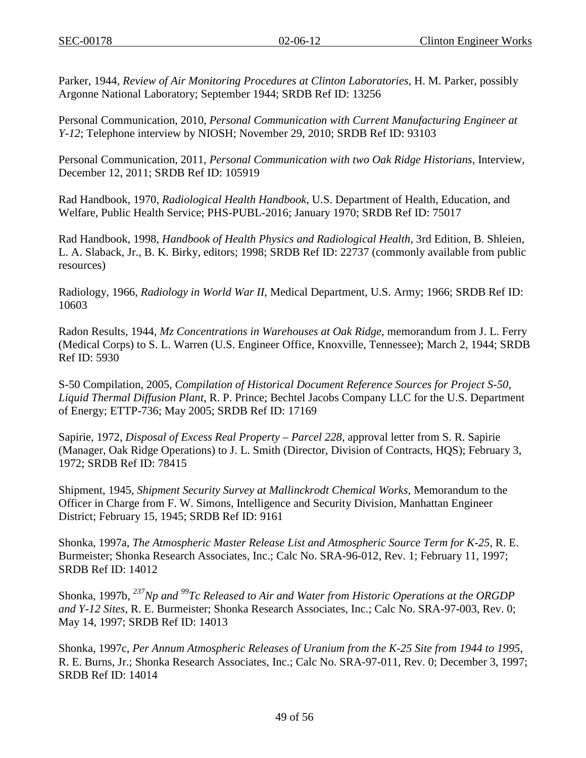Parker, 1944, *Review of Air Monitoring Procedures at Clinton Laboratories*, H. M. Parker, possibly Argonne National Laboratory; September 1944; SRDB Ref ID: 13256

Personal Communication, 2010, *Personal Communication with Current Manufacturing Engineer at Y-12*; Telephone interview by NIOSH; November 29, 2010; SRDB Ref ID: 93103

Personal Communication, 2011, *Personal Communication with two Oak Ridge Historians*, Interview, December 12, 2011; SRDB Ref ID: 105919

Rad Handbook, 1970, *Radiological Health Handbook*, U.S. Department of Health, Education, and Welfare, Public Health Service; PHS-PUBL-2016; January 1970; SRDB Ref ID: 75017

Rad Handbook, 1998, *Handbook of Health Physics and Radiological Health*, 3rd Edition, B. Shleien, L. A. Slaback, Jr., B. K. Birky, editors; 1998; SRDB Ref ID: 22737 (commonly available from public resources)

Radiology, 1966, *Radiology in World War II*, Medical Department, U.S. Army; 1966; SRDB Ref ID: 10603

Radon Results, 1944, *Mz Concentrations in Warehouses at Oak Ridge*, memorandum from J. L. Ferry (Medical Corps) to S. L. Warren (U.S. Engineer Office, Knoxville, Tennessee); March 2, 1944; SRDB Ref ID: 5930

S-50 Compilation, 2005, *Compilation of Historical Document Reference Sources for Project S-50, Liquid Thermal Diffusion Plant*, R. P. Prince; Bechtel Jacobs Company LLC for the U.S. Department of Energy; ETTP-736; May 2005; SRDB Ref ID: 17169

Sapirie, 1972, *Disposal of Excess Real Property – Parcel 228*, approval letter from S. R. Sapirie (Manager, Oak Ridge Operations) to J. L. Smith (Director, Division of Contracts, HQS); February 3, 1972; SRDB Ref ID: 78415

Shipment, 1945, *Shipment Security Survey at Mallinckrodt Chemical Works*, Memorandum to the Officer in Charge from F. W. Simons, Intelligence and Security Division, Manhattan Engineer District; February 15, 1945; SRDB Ref ID: 9161

Shonka, 1997a, *The Atmospheric Master Release List and Atmospheric Source Term for K-25*, R. E. Burmeister; Shonka Research Associates, Inc.; Calc No. SRA-96-012, Rev. 1; February 11, 1997; SRDB Ref ID: 14012

Shonka, 1997b, *237Np and 99Tc Released to Air and Water from Historic Operations at the ORGDP and Y-12 Sites*, R. E. Burmeister; Shonka Research Associates, Inc.; Calc No. SRA-97-003, Rev. 0; May 14, 1997; SRDB Ref ID: 14013

Shonka, 1997c, *Per Annum Atmospheric Releases of Uranium from the K-25 Site from 1944 to 1995*, R. E. Burns, Jr.; Shonka Research Associates, Inc.; Calc No. SRA-97-011, Rev. 0; December 3, 1997; SRDB Ref ID: 14014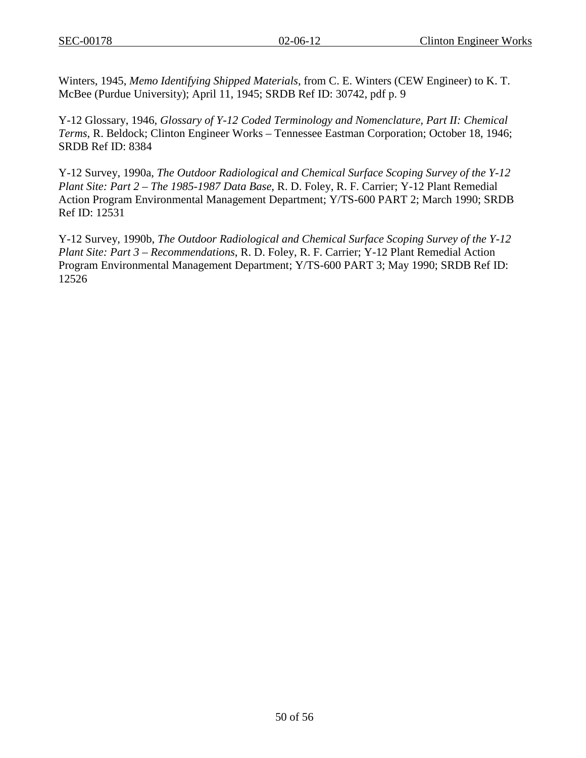Winters, 1945, *Memo Identifying Shipped Materials*, from C. E. Winters (CEW Engineer) to K. T. McBee (Purdue University); April 11, 1945; SRDB Ref ID: 30742, pdf p. 9

Y-12 Glossary, 1946, *Glossary of Y-12 Coded Terminology and Nomenclature, Part II: Chemical Terms*, R. Beldock; Clinton Engineer Works – Tennessee Eastman Corporation; October 18, 1946; SRDB Ref ID: 8384

Y-12 Survey, 1990a, *The Outdoor Radiological and Chemical Surface Scoping Survey of the Y-12 Plant Site: Part 2 – The 1985-1987 Data Base*, R. D. Foley, R. F. Carrier; Y-12 Plant Remedial Action Program Environmental Management Department; Y/TS-600 PART 2; March 1990; SRDB Ref ID: 12531

Y-12 Survey, 1990b, *The Outdoor Radiological and Chemical Surface Scoping Survey of the Y-12 Plant Site: Part 3 – Recommendations*, R. D. Foley, R. F. Carrier; Y-12 Plant Remedial Action Program Environmental Management Department; Y/TS-600 PART 3; May 1990; SRDB Ref ID: 12526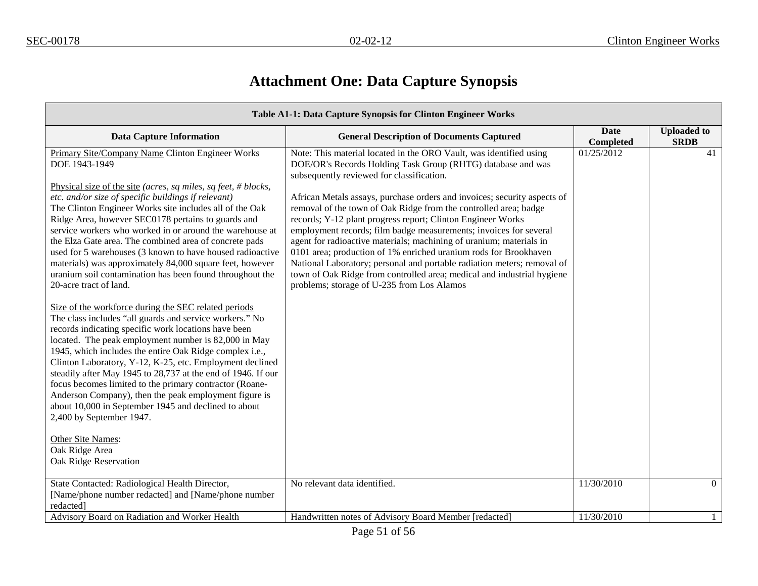# **Attachment One: Data Capture Synopsis**

<span id="page-50-0"></span>

| Table A1-1: Data Capture Synopsis for Clinton Engineer Works                                                                                                                                                                                                                                                                                                                                                                                                                                                                                                                                                                                                                                                                                                                                                                                                                                                                                                                                                                                                                                                                                                                                                                                                                                                                                          |                                                                                                                                                                                                                                                                                                                                                                                                                                                                                                                                                                                                                                                                                                                                                                                                                  |                   |                                   |  |
|-------------------------------------------------------------------------------------------------------------------------------------------------------------------------------------------------------------------------------------------------------------------------------------------------------------------------------------------------------------------------------------------------------------------------------------------------------------------------------------------------------------------------------------------------------------------------------------------------------------------------------------------------------------------------------------------------------------------------------------------------------------------------------------------------------------------------------------------------------------------------------------------------------------------------------------------------------------------------------------------------------------------------------------------------------------------------------------------------------------------------------------------------------------------------------------------------------------------------------------------------------------------------------------------------------------------------------------------------------|------------------------------------------------------------------------------------------------------------------------------------------------------------------------------------------------------------------------------------------------------------------------------------------------------------------------------------------------------------------------------------------------------------------------------------------------------------------------------------------------------------------------------------------------------------------------------------------------------------------------------------------------------------------------------------------------------------------------------------------------------------------------------------------------------------------|-------------------|-----------------------------------|--|
| <b>Data Capture Information</b>                                                                                                                                                                                                                                                                                                                                                                                                                                                                                                                                                                                                                                                                                                                                                                                                                                                                                                                                                                                                                                                                                                                                                                                                                                                                                                                       | <b>General Description of Documents Captured</b>                                                                                                                                                                                                                                                                                                                                                                                                                                                                                                                                                                                                                                                                                                                                                                 | Date<br>Completed | <b>Uploaded</b> to<br><b>SRDB</b> |  |
| Primary Site/Company Name Clinton Engineer Works<br>DOE 1943-1949<br>Physical size of the site (acres, sq miles, sq feet, $# blocks$ ,<br>etc. and/or size of specific buildings if relevant)<br>The Clinton Engineer Works site includes all of the Oak<br>Ridge Area, however SEC0178 pertains to guards and<br>service workers who worked in or around the warehouse at<br>the Elza Gate area. The combined area of concrete pads<br>used for 5 warehouses (3 known to have housed radioactive<br>materials) was approximately 84,000 square feet, however<br>uranium soil contamination has been found throughout the<br>20-acre tract of land.<br>Size of the workforce during the SEC related periods<br>The class includes "all guards and service workers." No<br>records indicating specific work locations have been<br>located. The peak employment number is 82,000 in May<br>1945, which includes the entire Oak Ridge complex i.e.,<br>Clinton Laboratory, Y-12, K-25, etc. Employment declined<br>steadily after May 1945 to 28,737 at the end of 1946. If our<br>focus becomes limited to the primary contractor (Roane-<br>Anderson Company), then the peak employment figure is<br>about 10,000 in September 1945 and declined to about<br>2,400 by September 1947.<br>Other Site Names:<br>Oak Ridge Area<br>Oak Ridge Reservation | Note: This material located in the ORO Vault, was identified using<br>DOE/OR's Records Holding Task Group (RHTG) database and was<br>subsequently reviewed for classification.<br>African Metals assays, purchase orders and invoices; security aspects of<br>removal of the town of Oak Ridge from the controlled area; badge<br>records; Y-12 plant progress report; Clinton Engineer Works<br>employment records; film badge measurements; invoices for several<br>agent for radioactive materials; machining of uranium; materials in<br>0101 area; production of 1% enriched uranium rods for Brookhaven<br>National Laboratory; personal and portable radiation meters; removal of<br>town of Oak Ridge from controlled area; medical and industrial hygiene<br>problems; storage of U-235 from Los Alamos | 01/25/2012        | 41                                |  |
| State Contacted: Radiological Health Director,<br>[Name/phone number redacted] and [Name/phone number<br>redacted]                                                                                                                                                                                                                                                                                                                                                                                                                                                                                                                                                                                                                                                                                                                                                                                                                                                                                                                                                                                                                                                                                                                                                                                                                                    | No relevant data identified.                                                                                                                                                                                                                                                                                                                                                                                                                                                                                                                                                                                                                                                                                                                                                                                     | 11/30/2010        | $\overline{0}$                    |  |
| Advisory Board on Radiation and Worker Health                                                                                                                                                                                                                                                                                                                                                                                                                                                                                                                                                                                                                                                                                                                                                                                                                                                                                                                                                                                                                                                                                                                                                                                                                                                                                                         | Handwritten notes of Advisory Board Member [redacted]                                                                                                                                                                                                                                                                                                                                                                                                                                                                                                                                                                                                                                                                                                                                                            | 11/30/2010        | $\mathbf{1}$                      |  |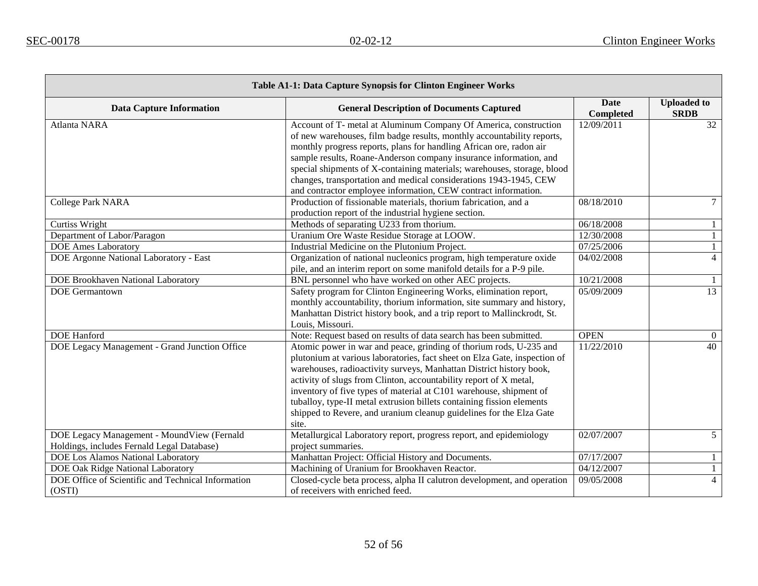| Table A1-1: Data Capture Synopsis for Clinton Engineer Works |                                                                           |                          |                                   |
|--------------------------------------------------------------|---------------------------------------------------------------------------|--------------------------|-----------------------------------|
| <b>Data Capture Information</b>                              | <b>General Description of Documents Captured</b>                          | <b>Date</b><br>Completed | <b>Uploaded</b> to<br><b>SRDB</b> |
| Atlanta NARA                                                 | Account of T- metal at Aluminum Company Of America, construction          | 12/09/2011               | $\overline{32}$                   |
|                                                              | of new warehouses, film badge results, monthly accountability reports,    |                          |                                   |
|                                                              | monthly progress reports, plans for handling African ore, radon air       |                          |                                   |
|                                                              | sample results, Roane-Anderson company insurance information, and         |                          |                                   |
|                                                              | special shipments of X-containing materials; warehouses, storage, blood   |                          |                                   |
|                                                              | changes, transportation and medical considerations 1943-1945, CEW         |                          |                                   |
|                                                              | and contractor employee information, CEW contract information.            |                          |                                   |
| College Park NARA                                            | Production of fissionable materials, thorium fabrication, and a           | 08/18/2010               | $\tau$                            |
|                                                              | production report of the industrial hygiene section.                      |                          |                                   |
| <b>Curtiss Wright</b>                                        | Methods of separating U233 from thorium.                                  | 06/18/2008               | $\mathbf{1}$                      |
| Department of Labor/Paragon                                  | Uranium Ore Waste Residue Storage at LOOW.                                | 12/30/2008               | $\mathbf{1}$                      |
| <b>DOE Ames Laboratory</b>                                   | Industrial Medicine on the Plutonium Project.                             | 07/25/2006               | $\mathbf{1}$                      |
| DOE Argonne National Laboratory - East                       | Organization of national nucleonics program, high temperature oxide       | 04/02/2008               | $\overline{4}$                    |
|                                                              | pile, and an interim report on some manifold details for a P-9 pile.      |                          |                                   |
| <b>DOE Brookhaven National Laboratory</b>                    | BNL personnel who have worked on other AEC projects.                      | 10/21/2008               |                                   |
| <b>DOE</b> Germantown                                        | Safety program for Clinton Engineering Works, elimination report,         | 05/09/2009               | 13                                |
|                                                              | monthly accountability, thorium information, site summary and history,    |                          |                                   |
|                                                              | Manhattan District history book, and a trip report to Mallinckrodt, St.   |                          |                                   |
|                                                              | Louis, Missouri.                                                          |                          |                                   |
| <b>DOE</b> Hanford                                           | Note: Request based on results of data search has been submitted.         | <b>OPEN</b>              | $\overline{0}$                    |
| DOE Legacy Management - Grand Junction Office                | Atomic power in war and peace, grinding of thorium rods, U-235 and        | 11/22/2010               | 40                                |
|                                                              | plutonium at various laboratories, fact sheet on Elza Gate, inspection of |                          |                                   |
|                                                              | warehouses, radioactivity surveys, Manhattan District history book,       |                          |                                   |
|                                                              | activity of slugs from Clinton, accountability report of X metal,         |                          |                                   |
|                                                              | inventory of five types of material at C101 warehouse, shipment of        |                          |                                   |
|                                                              | tuballoy, type-II metal extrusion billets containing fission elements     |                          |                                   |
|                                                              | shipped to Revere, and uranium cleanup guidelines for the Elza Gate       |                          |                                   |
|                                                              | site.                                                                     |                          |                                   |
| DOE Legacy Management - MoundView (Fernald                   | Metallurgical Laboratory report, progress report, and epidemiology        | $\sqrt{02}/07/2007$      | 5                                 |
| Holdings, includes Fernald Legal Database)                   | project summaries.                                                        |                          |                                   |
| <b>DOE Los Alamos National Laboratory</b>                    | Manhattan Project: Official History and Documents.                        | 07/17/2007               | $\mathbf{1}$                      |
| DOE Oak Ridge National Laboratory                            | Machining of Uranium for Brookhaven Reactor.                              | 04/12/2007               |                                   |
| DOE Office of Scientific and Technical Information           | Closed-cycle beta process, alpha II calutron development, and operation   | 09/05/2008               | $\overline{4}$                    |
| (OSTI)                                                       | of receivers with enriched feed.                                          |                          |                                   |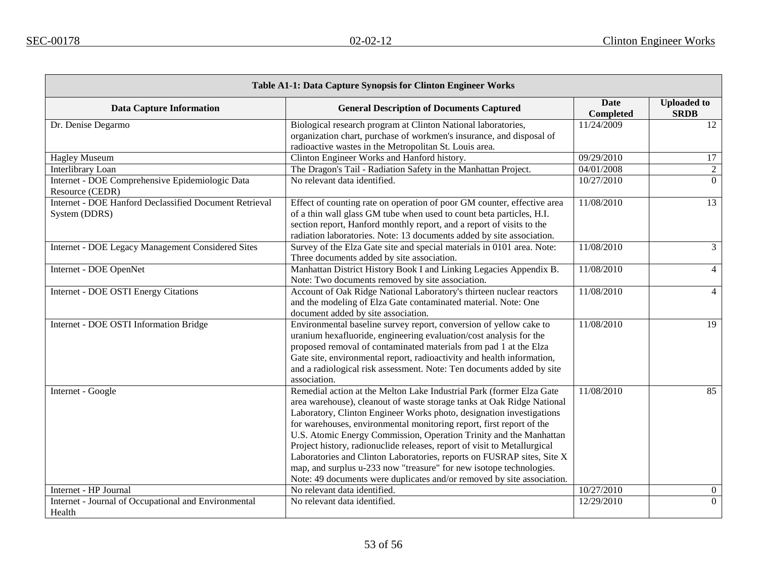| Table A1-1: Data Capture Synopsis for Clinton Engineer Works            |                                                                                                                                                                                                                                                                                                                                                                                                                                                                                                                                                                                                                                                                             |                          |                                   |
|-------------------------------------------------------------------------|-----------------------------------------------------------------------------------------------------------------------------------------------------------------------------------------------------------------------------------------------------------------------------------------------------------------------------------------------------------------------------------------------------------------------------------------------------------------------------------------------------------------------------------------------------------------------------------------------------------------------------------------------------------------------------|--------------------------|-----------------------------------|
| <b>Data Capture Information</b>                                         | <b>General Description of Documents Captured</b>                                                                                                                                                                                                                                                                                                                                                                                                                                                                                                                                                                                                                            | <b>Date</b><br>Completed | <b>Uploaded</b> to<br><b>SRDB</b> |
| Dr. Denise Degarmo                                                      | Biological research program at Clinton National laboratories,<br>organization chart, purchase of workmen's insurance, and disposal of<br>radioactive wastes in the Metropolitan St. Louis area.                                                                                                                                                                                                                                                                                                                                                                                                                                                                             | 11/24/2009               | 12                                |
| <b>Hagley Museum</b>                                                    | Clinton Engineer Works and Hanford history.                                                                                                                                                                                                                                                                                                                                                                                                                                                                                                                                                                                                                                 | 09/29/2010               | 17                                |
| <b>Interlibrary Loan</b>                                                | The Dragon's Tail - Radiation Safety in the Manhattan Project.                                                                                                                                                                                                                                                                                                                                                                                                                                                                                                                                                                                                              | 04/01/2008               | $\overline{2}$                    |
| Internet - DOE Comprehensive Epidemiologic Data<br>Resource (CEDR)      | No relevant data identified.                                                                                                                                                                                                                                                                                                                                                                                                                                                                                                                                                                                                                                                | 10/27/2010               | $\theta$                          |
| Internet - DOE Hanford Declassified Document Retrieval<br>System (DDRS) | Effect of counting rate on operation of poor GM counter, effective area<br>of a thin wall glass GM tube when used to count beta particles, H.I.<br>section report, Hanford monthly report, and a report of visits to the<br>radiation laboratories. Note: 13 documents added by site association.                                                                                                                                                                                                                                                                                                                                                                           | 11/08/2010               | 13                                |
| Internet - DOE Legacy Management Considered Sites                       | Survey of the Elza Gate site and special materials in 0101 area. Note:<br>Three documents added by site association.                                                                                                                                                                                                                                                                                                                                                                                                                                                                                                                                                        | 11/08/2010               | $\overline{3}$                    |
| Internet - DOE OpenNet                                                  | Manhattan District History Book I and Linking Legacies Appendix B.<br>Note: Two documents removed by site association.                                                                                                                                                                                                                                                                                                                                                                                                                                                                                                                                                      | 11/08/2010               | $\overline{4}$                    |
| Internet - DOE OSTI Energy Citations                                    | Account of Oak Ridge National Laboratory's thirteen nuclear reactors<br>and the modeling of Elza Gate contaminated material. Note: One<br>document added by site association.                                                                                                                                                                                                                                                                                                                                                                                                                                                                                               | 11/08/2010               | $\overline{4}$                    |
| Internet - DOE OSTI Information Bridge                                  | Environmental baseline survey report, conversion of yellow cake to<br>uranium hexafluoride, engineering evaluation/cost analysis for the<br>proposed removal of contaminated materials from pad 1 at the Elza<br>Gate site, environmental report, radioactivity and health information,<br>and a radiological risk assessment. Note: Ten documents added by site<br>association.                                                                                                                                                                                                                                                                                            | 11/08/2010               | 19                                |
| Internet - Google                                                       | Remedial action at the Melton Lake Industrial Park (former Elza Gate<br>area warehouse), cleanout of waste storage tanks at Oak Ridge National<br>Laboratory, Clinton Engineer Works photo, designation investigations<br>for warehouses, environmental monitoring report, first report of the<br>U.S. Atomic Energy Commission, Operation Trinity and the Manhattan<br>Project history, radionuclide releases, report of visit to Metallurgical<br>Laboratories and Clinton Laboratories, reports on FUSRAP sites, Site X<br>map, and surplus u-233 now "treasure" for new isotope technologies.<br>Note: 49 documents were duplicates and/or removed by site association. | 11/08/2010               | 85                                |
| Internet - HP Journal                                                   | No relevant data identified.                                                                                                                                                                                                                                                                                                                                                                                                                                                                                                                                                                                                                                                | 10/27/2010               | $\overline{0}$                    |
| Internet - Journal of Occupational and Environmental<br>Health          | No relevant data identified.                                                                                                                                                                                                                                                                                                                                                                                                                                                                                                                                                                                                                                                | 12/29/2010               | $\Omega$                          |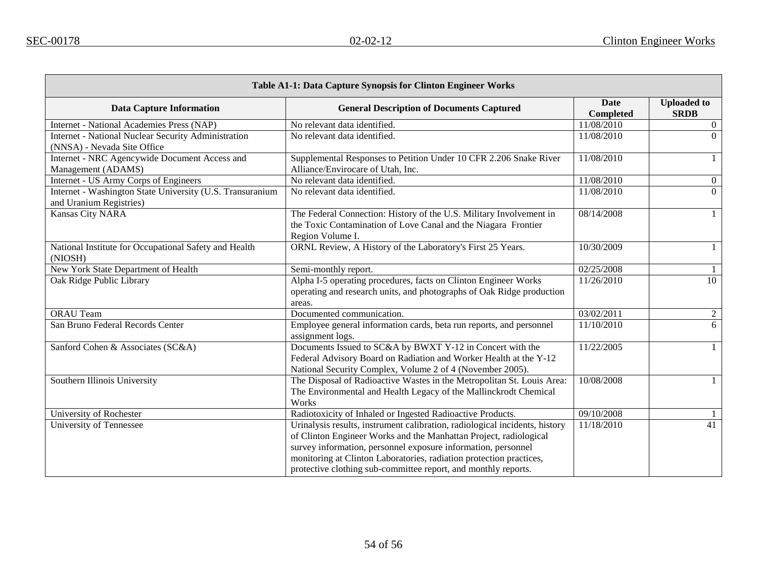| Table A1-1: Data Capture Synopsis for Clinton Engineer Works                              |                                                                                                                                                                                                                                                                                                                                                            |                   |                                   |
|-------------------------------------------------------------------------------------------|------------------------------------------------------------------------------------------------------------------------------------------------------------------------------------------------------------------------------------------------------------------------------------------------------------------------------------------------------------|-------------------|-----------------------------------|
| <b>Data Capture Information</b>                                                           | <b>General Description of Documents Captured</b>                                                                                                                                                                                                                                                                                                           | Date<br>Completed | <b>Uploaded</b> to<br><b>SRDB</b> |
| <b>Internet - National Academies Press (NAP)</b>                                          | No relevant data identified.                                                                                                                                                                                                                                                                                                                               | 11/08/2010        | $\overline{0}$                    |
| <b>Internet - National Nuclear Security Administration</b><br>(NNSA) - Nevada Site Office | No relevant data identified.                                                                                                                                                                                                                                                                                                                               | 11/08/2010        | $\overline{0}$                    |
| Internet - NRC Agencywide Document Access and<br>Management (ADAMS)                       | Supplemental Responses to Petition Under 10 CFR 2.206 Snake River<br>Alliance/Envirocare of Utah, Inc.                                                                                                                                                                                                                                                     | 11/08/2010        | $\mathbf{1}$                      |
| Internet - US Army Corps of Engineers                                                     | No relevant data identified.                                                                                                                                                                                                                                                                                                                               | 11/08/2010        | $\overline{0}$                    |
| Internet - Washington State University (U.S. Transuranium<br>and Uranium Registries)      | No relevant data identified.                                                                                                                                                                                                                                                                                                                               | 11/08/2010        | $\Omega$                          |
| Kansas City NARA                                                                          | The Federal Connection: History of the U.S. Military Involvement in<br>the Toxic Contamination of Love Canal and the Niagara Frontier<br>Region Volume I.                                                                                                                                                                                                  | 08/14/2008        |                                   |
| National Institute for Occupational Safety and Health<br>(NIOSH)                          | ORNL Review, A History of the Laboratory's First 25 Years.                                                                                                                                                                                                                                                                                                 | 10/30/2009        |                                   |
| New York State Department of Health                                                       | Semi-monthly report.                                                                                                                                                                                                                                                                                                                                       | 02/25/2008        | -1                                |
| Oak Ridge Public Library                                                                  | Alpha I-5 operating procedures, facts on Clinton Engineer Works<br>operating and research units, and photographs of Oak Ridge production<br>areas.                                                                                                                                                                                                         | 11/26/2010        | 10                                |
| <b>ORAU Team</b>                                                                          | Documented communication.                                                                                                                                                                                                                                                                                                                                  | 03/02/2011        | $\overline{2}$                    |
| San Bruno Federal Records Center                                                          | Employee general information cards, beta run reports, and personnel<br>assignment logs.                                                                                                                                                                                                                                                                    | 11/10/2010        | 6                                 |
| Sanford Cohen & Associates (SC&A)                                                         | Documents Issued to SC&A by BWXT Y-12 in Concert with the<br>Federal Advisory Board on Radiation and Worker Health at the Y-12<br>National Security Complex, Volume 2 of 4 (November 2005).                                                                                                                                                                | 11/22/2005        |                                   |
| Southern Illinois University                                                              | The Disposal of Radioactive Wastes in the Metropolitan St. Louis Area:<br>The Environmental and Health Legacy of the Mallinckrodt Chemical<br>Works                                                                                                                                                                                                        | 10/08/2008        |                                   |
| University of Rochester                                                                   | Radiotoxicity of Inhaled or Ingested Radioactive Products.                                                                                                                                                                                                                                                                                                 | 09/10/2008        |                                   |
| University of Tennessee                                                                   | Urinalysis results, instrument calibration, radiological incidents, history<br>of Clinton Engineer Works and the Manhattan Project, radiological<br>survey information, personnel exposure information, personnel<br>monitoring at Clinton Laboratories, radiation protection practices,<br>protective clothing sub-committee report, and monthly reports. | 11/18/2010        | 41                                |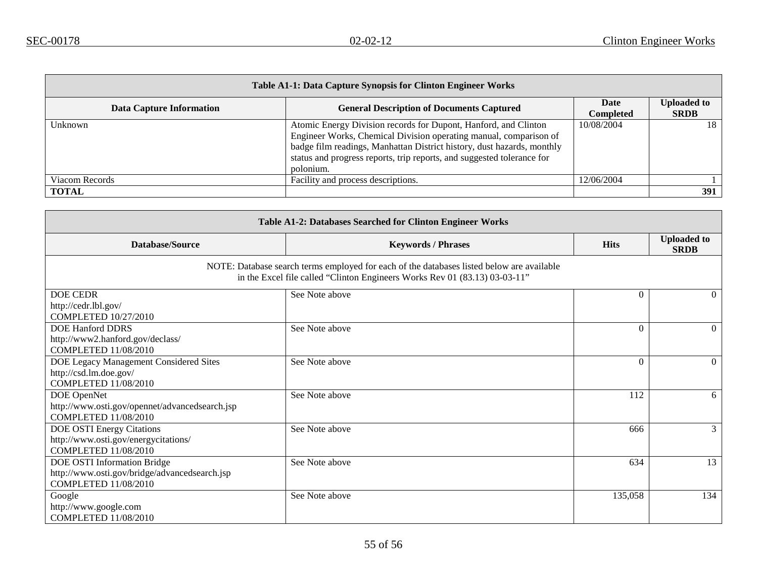| Table A1-1: Data Capture Synopsis for Clinton Engineer Works |                                                                                                                                                                                                                                                                                                       |                          |                                   |
|--------------------------------------------------------------|-------------------------------------------------------------------------------------------------------------------------------------------------------------------------------------------------------------------------------------------------------------------------------------------------------|--------------------------|-----------------------------------|
| Data Capture Information                                     | <b>General Description of Documents Captured</b>                                                                                                                                                                                                                                                      | Date<br><b>Completed</b> | <b>Uploaded to</b><br><b>SRDB</b> |
| Unknown                                                      | Atomic Energy Division records for Dupont, Hanford, and Clinton<br>Engineer Works, Chemical Division operating manual, comparison of<br>badge film readings, Manhattan District history, dust hazards, monthly<br>status and progress reports, trip reports, and suggested tolerance for<br>polonium. | 10/08/2004               | 18                                |
| Viacom Records                                               | Facility and process descriptions.                                                                                                                                                                                                                                                                    | 12/06/2004               |                                   |
| <b>TOTAL</b>                                                 |                                                                                                                                                                                                                                                                                                       |                          | 391                               |

| Table A1-2: Databases Searched for Clinton Engineer Works                                                                                                               |                           |             |                                   |
|-------------------------------------------------------------------------------------------------------------------------------------------------------------------------|---------------------------|-------------|-----------------------------------|
| Database/Source                                                                                                                                                         | <b>Keywords / Phrases</b> | <b>Hits</b> | <b>Uploaded to</b><br><b>SRDB</b> |
| NOTE: Database search terms employed for each of the databases listed below are available<br>in the Excel file called "Clinton Engineers Works Rev 01 (83.13) 03-03-11" |                           |             |                                   |
| DOE CEDR                                                                                                                                                                | See Note above            | 0           | 0                                 |
| http://cedr.lbl.gov/<br>COMPLETED 10/27/2010                                                                                                                            |                           |             |                                   |
| <b>DOE Hanford DDRS</b>                                                                                                                                                 | See Note above            | $\Omega$    | $\Omega$                          |
| http://www2.hanford.gov/declass/                                                                                                                                        |                           |             |                                   |
| COMPLETED 11/08/2010                                                                                                                                                    |                           |             |                                   |
| DOE Legacy Management Considered Sites                                                                                                                                  | See Note above            | $\Omega$    | $\Omega$                          |
| http://csd.lm.doe.gov/                                                                                                                                                  |                           |             |                                   |
| COMPLETED 11/08/2010                                                                                                                                                    |                           |             |                                   |
| DOE OpenNet                                                                                                                                                             | See Note above            | 112         | 6                                 |
| http://www.osti.gov/opennet/advancedsearch.jsp<br><b>COMPLETED 11/08/2010</b>                                                                                           |                           |             |                                   |
| <b>DOE OSTI Energy Citations</b>                                                                                                                                        | See Note above            | 666         | 3                                 |
| http://www.osti.gov/energycitations/                                                                                                                                    |                           |             |                                   |
| <b>COMPLETED 11/08/2010</b>                                                                                                                                             |                           |             |                                   |
| <b>DOE OSTI Information Bridge</b>                                                                                                                                      | See Note above            | 634         | 13                                |
| http://www.osti.gov/bridge/advancedsearch.jsp                                                                                                                           |                           |             |                                   |
| <b>COMPLETED 11/08/2010</b>                                                                                                                                             |                           |             |                                   |
| Google                                                                                                                                                                  | See Note above            | 135,058     | 134                               |
| http://www.google.com                                                                                                                                                   |                           |             |                                   |
| COMPLETED 11/08/2010                                                                                                                                                    |                           |             |                                   |